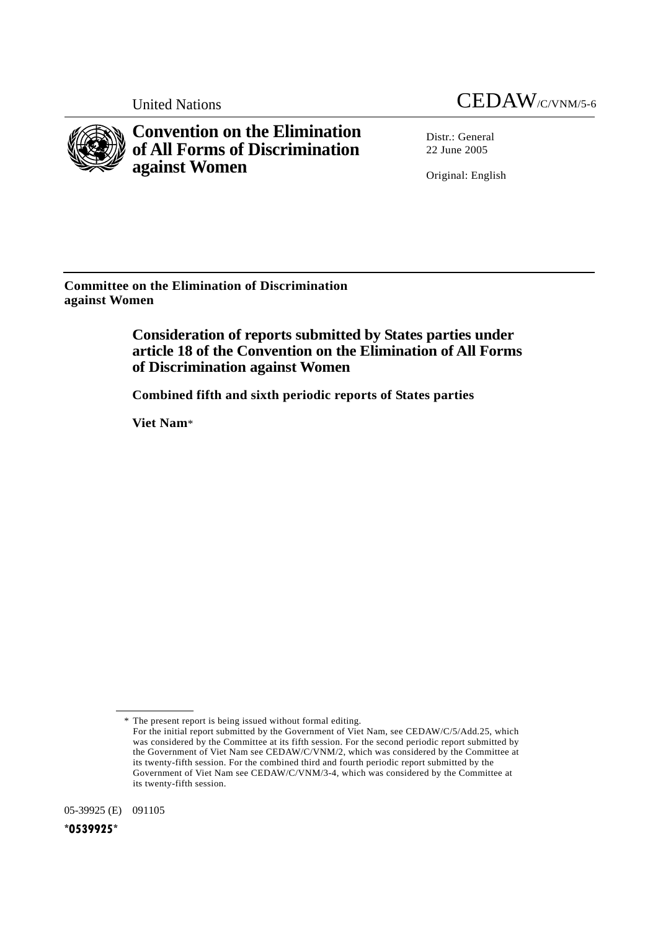

**Convention on the Elimination of All Forms of Discrimination against Women** 

Distr.: General 22 June 2005

Original: English

**Committee on the Elimination of Discrimination against Women** 

# **Consideration of reports submitted by States parties under article 18 of the Convention on the Elimination of All Forms of Discrimination against Women**

 **Combined fifth and sixth periodic reports of States parties** 

 **Viet Nam**\*

05-39925 (E) 091105

 <sup>\*</sup> The present report is being issued without formal editing.

For the initial report submitted by the Government of Viet Nam, see CEDAW/C/5/Add.25, which was considered by the Committee at its fifth session. For the second periodic report submitted by the Government of Viet Nam see CEDAW/C/VNM/2, which was considered by the Committee at its twenty-fifth session. For the combined third and fourth periodic report submitted by the Government of Viet Nam see CEDAW/C/VNM/3-4, which was considered by the Committee at its twenty-fifth session.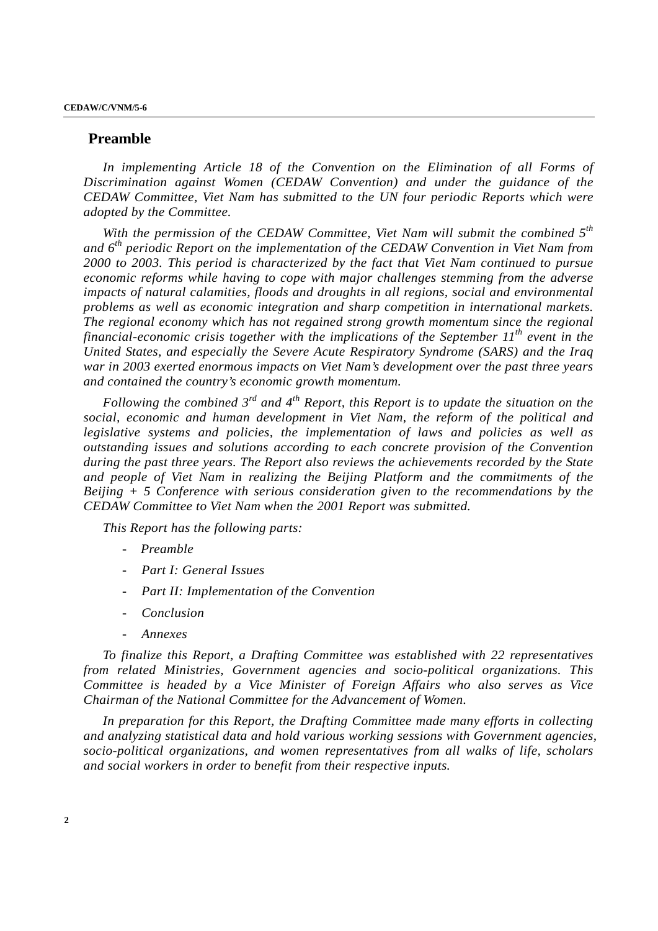## **Preamble**

In implementing Article 18 of the Convention on the Elimination of all Forms of *Discrimination against Women (CEDAW Convention) and under the guidance of the CEDAW Committee, Viet Nam has submitted to the UN four periodic Reports which were adopted by the Committee.* 

*With the permission of the CEDAW Committee, Viet Nam will submit the combined 5th and 6th periodic Report on the implementation of the CEDAW Convention in Viet Nam from 2000 to 2003. This period is characterized by the fact that Viet Nam continued to pursue economic reforms while having to cope with major challenges stemming from the adverse impacts of natural calamities, floods and droughts in all regions, social and environmental problems as well as economic integration and sharp competition in international markets. The regional economy which has not regained strong growth momentum since the regional financial-economic crisis together with the implications of the September 11th event in the United States, and especially the Severe Acute Respiratory Syndrome (SARS) and the Iraq war in 2003 exerted enormous impacts on Viet Nam's development over the past three years and contained the country's economic growth momentum.* 

*Following the combined 3<sup>rd</sup> and 4<sup>th</sup> Report, this Report is to update the situation on the social, economic and human development in Viet Nam, the reform of the political and legislative systems and policies, the implementation of laws and policies as well as outstanding issues and solutions according to each concrete provision of the Convention during the past three years. The Report also reviews the achievements recorded by the State and people of Viet Nam in realizing the Beijing Platform and the commitments of the Beijing + 5 Conference with serious consideration given to the recommendations by the CEDAW Committee to Viet Nam when the 2001 Report was submitted.* 

*This Report has the following parts:* 

- *Preamble*
- *Part I: General Issues*
- Part II: Implementation of the Convention
- *Conclusion*
- *Annexes*

*To finalize this Report, a Drafting Committee was established with 22 representatives from related Ministries, Government agencies and socio-political organizations. This Committee is headed by a Vice Minister of Foreign Affairs who also serves as Vice Chairman of the National Committee for the Advancement of Women.* 

*In preparation for this Report, the Drafting Committee made many efforts in collecting and analyzing statistical data and hold various working sessions with Government agencies, socio-political organizations, and women representatives from all walks of life, scholars and social workers in order to benefit from their respective inputs.*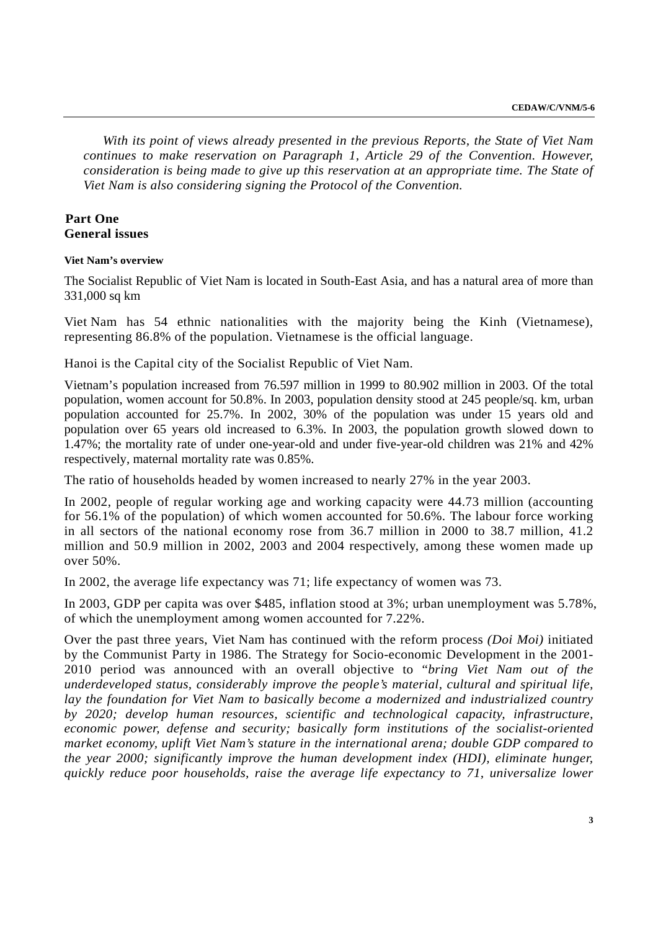*With its point of views already presented in the previous Reports, the State of Viet Nam continues to make reservation on Paragraph 1, Article 29 of the Convention. However, consideration is being made to give up this reservation at an appropriate time. The State of Viet Nam is also considering signing the Protocol of the Convention.* 

## **Part One General issues**

**Viet Nam's overview** 

The Socialist Republic of Viet Nam is located in South-East Asia, and has a natural area of more than 331,000 sq km

Viet Nam has 54 ethnic nationalities with the majority being the Kinh (Vietnamese), representing 86.8% of the population. Vietnamese is the official language.

Hanoi is the Capital city of the Socialist Republic of Viet Nam.

Vietnam's population increased from 76.597 million in 1999 to 80.902 million in 2003. Of the total population, women account for 50.8%. In 2003, population density stood at 245 people/sq. km, urban population accounted for 25.7%. In 2002, 30% of the population was under 15 years old and population over 65 years old increased to 6.3%. In 2003, the population growth slowed down to 1.47%; the mortality rate of under one-year-old and under five-year-old children was 21% and 42% respectively, maternal mortality rate was 0.85%.

The ratio of households headed by women increased to nearly 27% in the year 2003.

In 2002, people of regular working age and working capacity were 44.73 million (accounting for 56.1% of the population) of which women accounted for 50.6%. The labour force working in all sectors of the national economy rose from 36.7 million in 2000 to 38.7 million, 41.2 million and 50.9 million in 2002, 2003 and 2004 respectively, among these women made up over 50%.

In 2002, the average life expectancy was 71; life expectancy of women was 73.

In 2003, GDP per capita was over \$485, inflation stood at 3%; urban unemployment was 5.78%, of which the unemployment among women accounted for 7.22%.

Over the past three years, Viet Nam has continued with the reform process *(Doi Moi)* initiated by the Communist Party in 1986. The Strategy for Socio-economic Development in the 2001- 2010 period was announced with an overall objective to "*bring Viet Nam out of the underdeveloped status, considerably improve the people's material, cultural and spiritual life, lay the foundation for Viet Nam to basically become a modernized and industrialized country by 2020; develop human resources, scientific and technological capacity, infrastructure, economic power, defense and security; basically form institutions of the socialist-oriented market economy, uplift Viet Nam's stature in the international arena; double GDP compared to the year 2000; significantly improve the human development index (HDI), eliminate hunger, quickly reduce poor households, raise the average life expectancy to 71, universalize lower*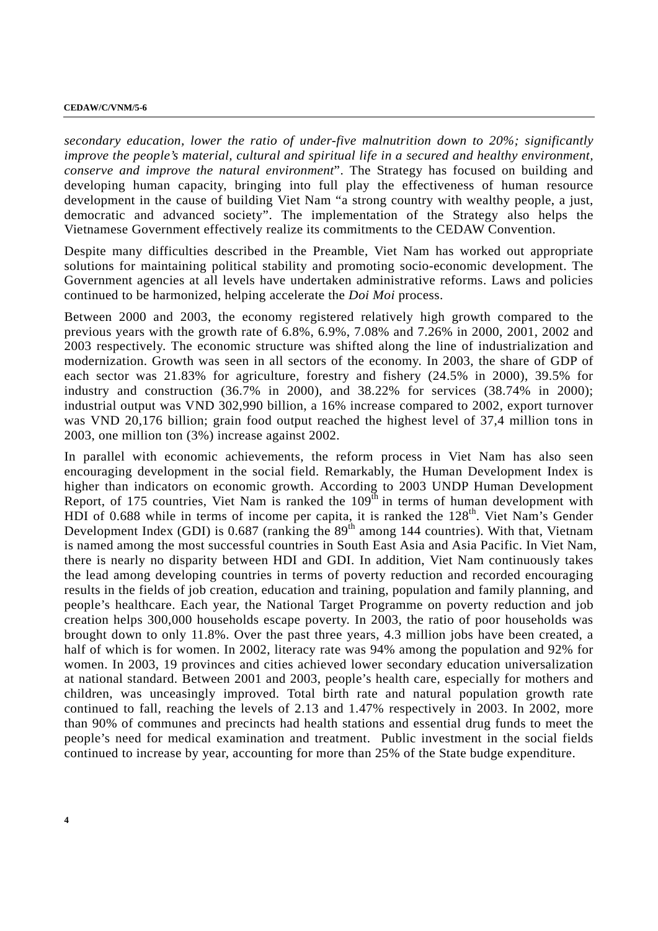*secondary education, lower the ratio of under-five malnutrition down to 20%; significantly improve the people's material, cultural and spiritual life in a secured and healthy environment, conserve and improve the natural environment*". The Strategy has focused on building and developing human capacity, bringing into full play the effectiveness of human resource development in the cause of building Viet Nam "a strong country with wealthy people, a just, democratic and advanced society". The implementation of the Strategy also helps the Vietnamese Government effectively realize its commitments to the CEDAW Convention.

Despite many difficulties described in the Preamble, Viet Nam has worked out appropriate solutions for maintaining political stability and promoting socio-economic development. The Government agencies at all levels have undertaken administrative reforms. Laws and policies continued to be harmonized, helping accelerate the *Doi Moi* process.

Between 2000 and 2003, the economy registered relatively high growth compared to the previous years with the growth rate of 6.8%, 6.9%, 7.08% and 7.26% in 2000, 2001, 2002 and 2003 respectively. The economic structure was shifted along the line of industrialization and modernization. Growth was seen in all sectors of the economy. In 2003, the share of GDP of each sector was 21.83% for agriculture, forestry and fishery (24.5% in 2000), 39.5% for industry and construction (36.7% in 2000), and 38.22% for services (38.74% in 2000); industrial output was VND 302,990 billion, a 16% increase compared to 2002, export turnover was VND 20,176 billion; grain food output reached the highest level of 37,4 million tons in 2003, one million ton (3%) increase against 2002.

In parallel with economic achievements, the reform process in Viet Nam has also seen encouraging development in the social field. Remarkably, the Human Development Index is higher than indicators on economic growth. According to 2003 UNDP Human Development Report, of 175 countries, Viet Nam is ranked the  $109<sup>th</sup>$  in terms of human development with HDI of 0.688 while in terms of income per capita, it is ranked the  $128<sup>th</sup>$ . Viet Nam's Gender Development Index (GDI) is 0.687 (ranking the  $89<sup>th</sup>$  among 144 countries). With that, Vietnam is named among the most successful countries in South East Asia and Asia Pacific. In Viet Nam, there is nearly no disparity between HDI and GDI. In addition, Viet Nam continuously takes the lead among developing countries in terms of poverty reduction and recorded encouraging results in the fields of job creation, education and training, population and family planning, and people's healthcare. Each year, the National Target Programme on poverty reduction and job creation helps 300,000 households escape poverty. In 2003, the ratio of poor households was brought down to only 11.8%. Over the past three years, 4.3 million jobs have been created, a half of which is for women. In 2002, literacy rate was 94% among the population and 92% for women. In 2003, 19 provinces and cities achieved lower secondary education universalization at national standard. Between 2001 and 2003, people's health care, especially for mothers and children, was unceasingly improved. Total birth rate and natural population growth rate continued to fall, reaching the levels of 2.13 and 1.47% respectively in 2003. In 2002, more than 90% of communes and precincts had health stations and essential drug funds to meet the people's need for medical examination and treatment. Public investment in the social fields continued to increase by year, accounting for more than 25% of the State budge expenditure.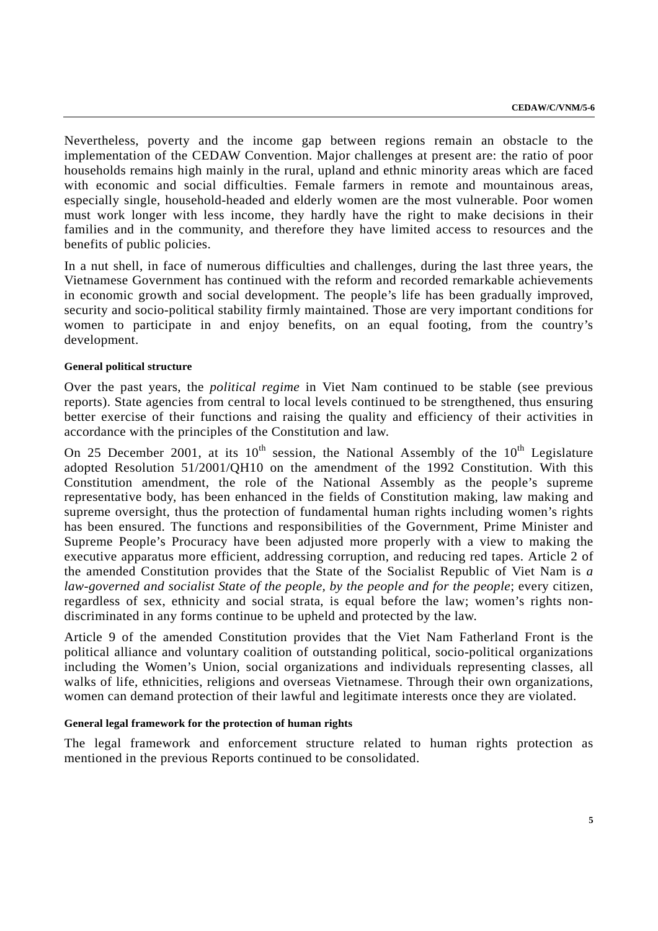Nevertheless, poverty and the income gap between regions remain an obstacle to the implementation of the CEDAW Convention. Major challenges at present are: the ratio of poor households remains high mainly in the rural, upland and ethnic minority areas which are faced with economic and social difficulties. Female farmers in remote and mountainous areas, especially single, household-headed and elderly women are the most vulnerable. Poor women must work longer with less income, they hardly have the right to make decisions in their families and in the community, and therefore they have limited access to resources and the benefits of public policies.

In a nut shell, in face of numerous difficulties and challenges, during the last three years, the Vietnamese Government has continued with the reform and recorded remarkable achievements in economic growth and social development. The people's life has been gradually improved, security and socio-political stability firmly maintained. Those are very important conditions for women to participate in and enjoy benefits, on an equal footing, from the country's development.

#### **General political structure**

Over the past years, the *political regime* in Viet Nam continued to be stable (see previous reports). State agencies from central to local levels continued to be strengthened, thus ensuring better exercise of their functions and raising the quality and efficiency of their activities in accordance with the principles of the Constitution and law.

On 25 December 2001, at its  $10^{th}$  session, the National Assembly of the  $10^{th}$  Legislature adopted Resolution 51/2001/QH10 on the amendment of the 1992 Constitution. With this Constitution amendment, the role of the National Assembly as the people's supreme representative body, has been enhanced in the fields of Constitution making, law making and supreme oversight, thus the protection of fundamental human rights including women's rights has been ensured. The functions and responsibilities of the Government, Prime Minister and Supreme People's Procuracy have been adjusted more properly with a view to making the executive apparatus more efficient, addressing corruption, and reducing red tapes. Article 2 of the amended Constitution provides that the State of the Socialist Republic of Viet Nam is *a law-governed and socialist State of the people, by the people and for the people*; every citizen, regardless of sex, ethnicity and social strata, is equal before the law; women's rights nondiscriminated in any forms continue to be upheld and protected by the law.

Article 9 of the amended Constitution provides that the Viet Nam Fatherland Front is the political alliance and voluntary coalition of outstanding political, socio-political organizations including the Women's Union, social organizations and individuals representing classes, all walks of life, ethnicities, religions and overseas Vietnamese. Through their own organizations, women can demand protection of their lawful and legitimate interests once they are violated.

#### **General legal framework for the protection of human rights**

The legal framework and enforcement structure related to human rights protection as mentioned in the previous Reports continued to be consolidated.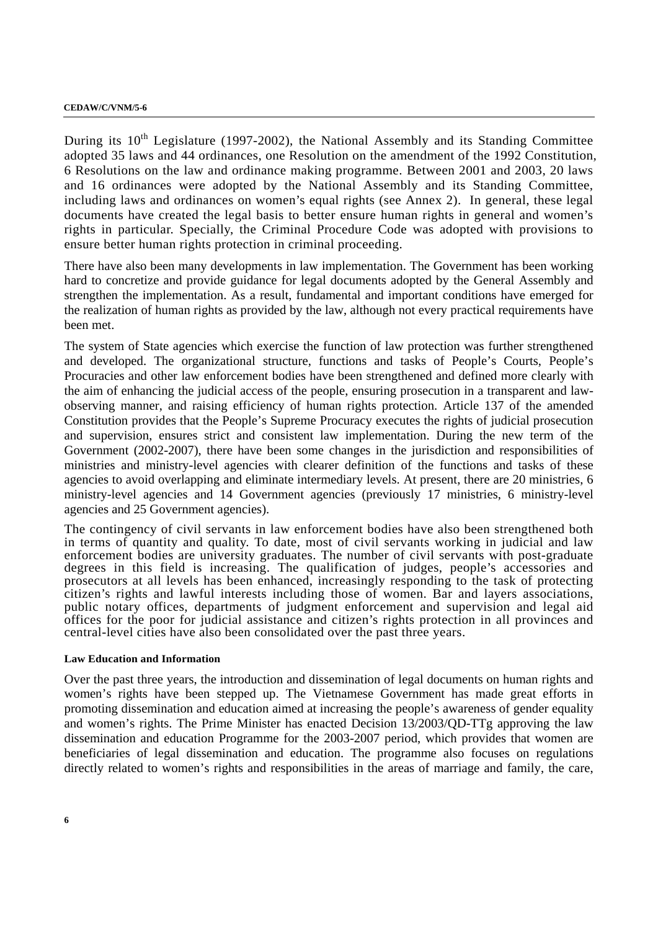During its  $10^{th}$  Legislature (1997-2002), the National Assembly and its Standing Committee adopted 35 laws and 44 ordinances, one Resolution on the amendment of the 1992 Constitution, 6 Resolutions on the law and ordinance making programme. Between 2001 and 2003, 20 laws and 16 ordinances were adopted by the National Assembly and its Standing Committee, including laws and ordinances on women's equal rights (see Annex 2). In general, these legal documents have created the legal basis to better ensure human rights in general and women's rights in particular. Specially, the Criminal Procedure Code was adopted with provisions to ensure better human rights protection in criminal proceeding.

There have also been many developments in law implementation. The Government has been working hard to concretize and provide guidance for legal documents adopted by the General Assembly and strengthen the implementation. As a result, fundamental and important conditions have emerged for the realization of human rights as provided by the law, although not every practical requirements have been met.

The system of State agencies which exercise the function of law protection was further strengthened and developed. The organizational structure, functions and tasks of People's Courts, People's Procuracies and other law enforcement bodies have been strengthened and defined more clearly with the aim of enhancing the judicial access of the people, ensuring prosecution in a transparent and lawobserving manner, and raising efficiency of human rights protection. Article 137 of the amended Constitution provides that the People's Supreme Procuracy executes the rights of judicial prosecution and supervision, ensures strict and consistent law implementation. During the new term of the Government (2002-2007), there have been some changes in the jurisdiction and responsibilities of ministries and ministry-level agencies with clearer definition of the functions and tasks of these agencies to avoid overlapping and eliminate intermediary levels. At present, there are 20 ministries, 6 ministry-level agencies and 14 Government agencies (previously 17 ministries, 6 ministry-level agencies and 25 Government agencies).

The contingency of civil servants in law enforcement bodies have also been strengthened both in terms of quantity and quality. To date, most of civil servants working in judicial and law enforcement bodies are university graduates. The number of civil servants with post-graduate degrees in this field is increasing. The qualification of judges, people's accessories and prosecutors at all levels has been enhanced, increasingly responding to the task of protecting citizen's rights and lawful interests including those of women. Bar and layers associations, public notary offices, departments of judgment enforcement and supervision and legal aid offices for the poor for judicial assistance and citizen's rights protection in all provinces and central-level cities have also been consolidated over the past three years.

#### **Law Education and Information**

Over the past three years, the introduction and dissemination of legal documents on human rights and women's rights have been stepped up. The Vietnamese Government has made great efforts in promoting dissemination and education aimed at increasing the people's awareness of gender equality and women's rights. The Prime Minister has enacted Decision 13/2003/QD-TTg approving the law dissemination and education Programme for the 2003-2007 period, which provides that women are beneficiaries of legal dissemination and education. The programme also focuses on regulations directly related to women's rights and responsibilities in the areas of marriage and family, the care,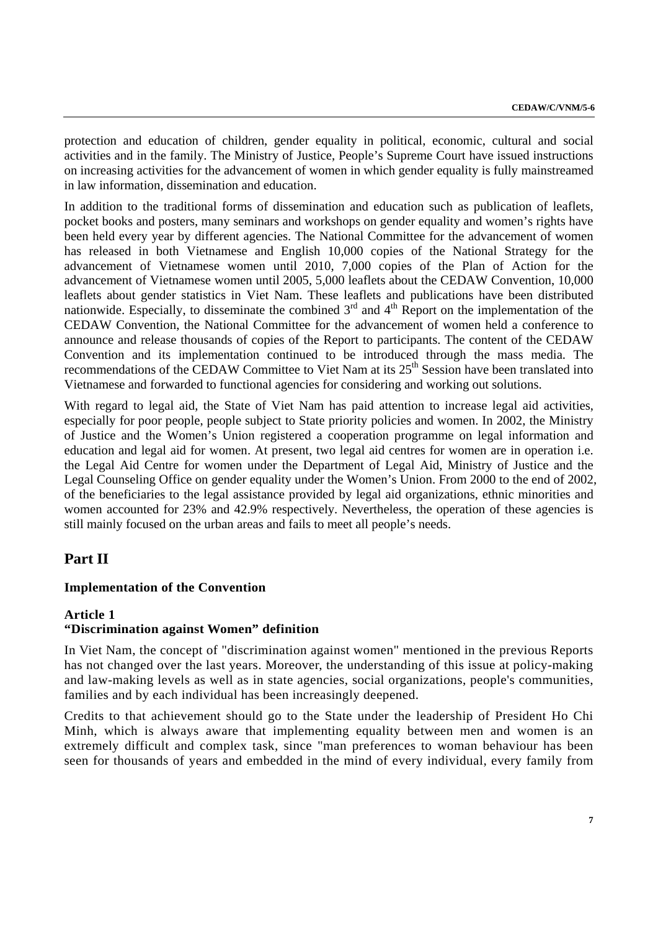protection and education of children, gender equality in political, economic, cultural and social activities and in the family. The Ministry of Justice, People's Supreme Court have issued instructions on increasing activities for the advancement of women in which gender equality is fully mainstreamed in law information, dissemination and education.

In addition to the traditional forms of dissemination and education such as publication of leaflets, pocket books and posters, many seminars and workshops on gender equality and women's rights have been held every year by different agencies. The National Committee for the advancement of women has released in both Vietnamese and English 10,000 copies of the National Strategy for the advancement of Vietnamese women until 2010, 7,000 copies of the Plan of Action for the advancement of Vietnamese women until 2005, 5,000 leaflets about the CEDAW Convention, 10,000 leaflets about gender statistics in Viet Nam. These leaflets and publications have been distributed nationwide. Especially, to disseminate the combined  $3<sup>rd</sup>$  and  $4<sup>th</sup>$  Report on the implementation of the CEDAW Convention, the National Committee for the advancement of women held a conference to announce and release thousands of copies of the Report to participants. The content of the CEDAW Convention and its implementation continued to be introduced through the mass media. The recommendations of the CEDAW Committee to Viet Nam at its 25<sup>th</sup> Session have been translated into Vietnamese and forwarded to functional agencies for considering and working out solutions.

With regard to legal aid, the State of Viet Nam has paid attention to increase legal aid activities, especially for poor people, people subject to State priority policies and women. In 2002, the Ministry of Justice and the Women's Union registered a cooperation programme on legal information and education and legal aid for women. At present, two legal aid centres for women are in operation i.e. the Legal Aid Centre for women under the Department of Legal Aid, Ministry of Justice and the Legal Counseling Office on gender equality under the Women's Union. From 2000 to the end of 2002, of the beneficiaries to the legal assistance provided by legal aid organizations, ethnic minorities and women accounted for 23% and 42.9% respectively. Nevertheless, the operation of these agencies is still mainly focused on the urban areas and fails to meet all people's needs.

# **Part II**

## **Implementation of the Convention**

## **Article 1**

## **"Discrimination against Women" definition**

In Viet Nam, the concept of "discrimination against women" mentioned in the previous Reports has not changed over the last years. Moreover, the understanding of this issue at policy-making and law-making levels as well as in state agencies, social organizations, people's communities, families and by each individual has been increasingly deepened.

Credits to that achievement should go to the State under the leadership of President Ho Chi Minh, which is always aware that implementing equality between men and women is an extremely difficult and complex task, since "man preferences to woman behaviour has been seen for thousands of years and embedded in the mind of every individual, every family from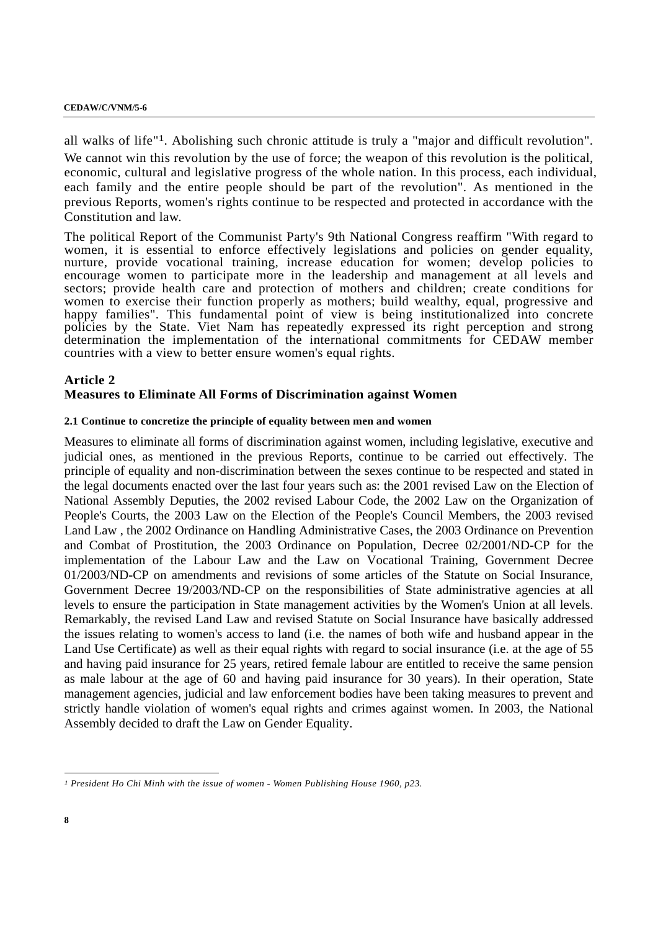all walks of life"1. Abolishing such chronic attitude is truly a "major and difficult revolution". We cannot win this revolution by the use of force; the weapon of this revolution is the political, economic, cultural and legislative progress of the whole nation. In this process, each individual, each family and the entire people should be part of the revolution". As mentioned in the previous Reports, women's rights continue to be respected and protected in accordance with the Constitution and law.

The political Report of the Communist Party's 9th National Congress reaffirm "With regard to women, it is essential to enforce effectively legislations and policies on gender equality, nurture, provide vocational training, increase education for women; develop policies to encourage women to participate more in the leadership and management at all levels and sectors; provide health care and protection of mothers and children; create conditions for women to exercise their function properly as mothers; build wealthy, equal, progressive and happy families". This fundamental point of view is being institutionalized into concrete policies by the State. Viet Nam has repeatedly expressed its right perception and strong determination the implementation of the international commitments for CEDAW member countries with a view to better ensure women's equal rights.

## **Article 2 Measures to Eliminate All Forms of Discrimination against Women**

#### **2.1 Continue to concretize the principle of equality between men and women**

Measures to eliminate all forms of discrimination against women, including legislative, executive and judicial ones, as mentioned in the previous Reports, continue to be carried out effectively. The principle of equality and non-discrimination between the sexes continue to be respected and stated in the legal documents enacted over the last four years such as: the 2001 revised Law on the Election of National Assembly Deputies, the 2002 revised Labour Code, the 2002 Law on the Organization of People's Courts, the 2003 Law on the Election of the People's Council Members, the 2003 revised Land Law , the 2002 Ordinance on Handling Administrative Cases, the 2003 Ordinance on Prevention and Combat of Prostitution, the 2003 Ordinance on Population, Decree 02/2001/ND-CP for the implementation of the Labour Law and the Law on Vocational Training, Government Decree 01/2003/ND-CP on amendments and revisions of some articles of the Statute on Social Insurance, Government Decree 19/2003/ND-CP on the responsibilities of State administrative agencies at all levels to ensure the participation in State management activities by the Women's Union at all levels. Remarkably, the revised Land Law and revised Statute on Social Insurance have basically addressed the issues relating to women's access to land (i.e. the names of both wife and husband appear in the Land Use Certificate) as well as their equal rights with regard to social insurance (i.e. at the age of 55 and having paid insurance for 25 years, retired female labour are entitled to receive the same pension as male labour at the age of 60 and having paid insurance for 30 years). In their operation, State management agencies, judicial and law enforcement bodies have been taking measures to prevent and strictly handle violation of women's equal rights and crimes against women. In 2003, the National Assembly decided to draft the Law on Gender Equality.

-

*<sup>1</sup> President Ho Chi Minh with the issue of women - Women Publishing House 1960, p23.*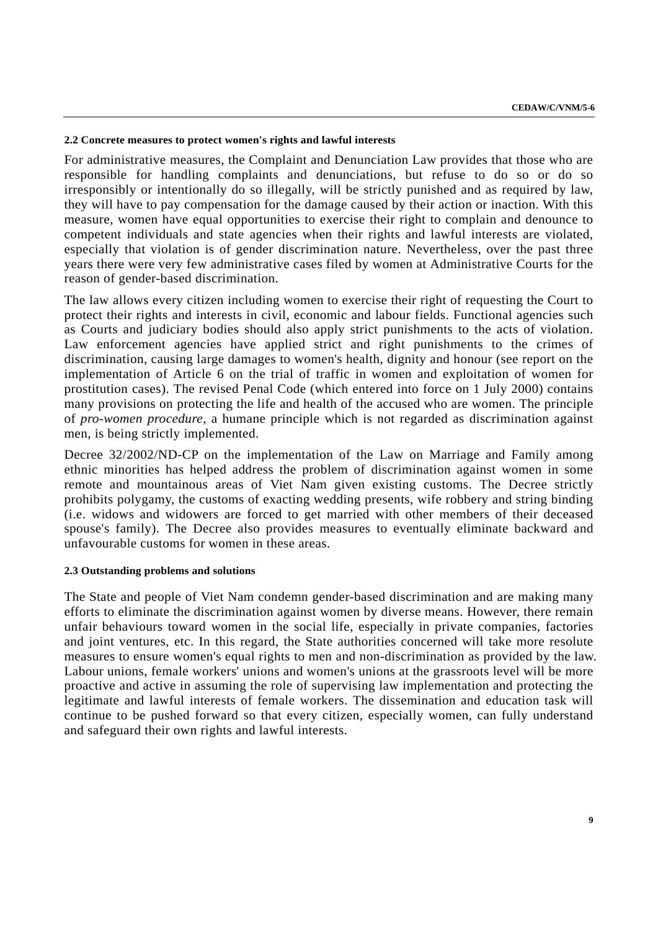#### **2.2 Concrete measures to protect women's rights and lawful interests**

For administrative measures, the Complaint and Denunciation Law provides that those who are responsible for handling complaints and denunciations, but refuse to do so or do so irresponsibly or intentionally do so illegally, will be strictly punished and as required by law, they will have to pay compensation for the damage caused by their action or inaction. With this measure, women have equal opportunities to exercise their right to complain and denounce to competent individuals and state agencies when their rights and lawful interests are violated, especially that violation is of gender discrimination nature. Nevertheless, over the past three years there were very few administrative cases filed by women at Administrative Courts for the reason of gender-based discrimination.

The law allows every citizen including women to exercise their right of requesting the Court to protect their rights and interests in civil, economic and labour fields. Functional agencies such as Courts and judiciary bodies should also apply strict punishments to the acts of violation. Law enforcement agencies have applied strict and right punishments to the crimes of discrimination, causing large damages to women's health, dignity and honour (see report on the implementation of Article 6 on the trial of traffic in women and exploitation of women for prostitution cases). The revised Penal Code (which entered into force on 1 July 2000) contains many provisions on protecting the life and health of the accused who are women. The principle of *pro-women procedure*, a humane principle which is not regarded as discrimination against men, is being strictly implemented.

Decree 32/2002/ND-CP on the implementation of the Law on Marriage and Family among ethnic minorities has helped address the problem of discrimination against women in some remote and mountainous areas of Viet Nam given existing customs. The Decree strictly prohibits polygamy, the customs of exacting wedding presents, wife robbery and string binding (i.e. widows and widowers are forced to get married with other members of their deceased spouse's family). The Decree also provides measures to eventually eliminate backward and unfavourable customs for women in these areas.

#### **2.3 Outstanding problems and solutions**

The State and people of Viet Nam condemn gender-based discrimination and are making many efforts to eliminate the discrimination against women by diverse means. However, there remain unfair behaviours toward women in the social life, especially in private companies, factories and joint ventures, etc. In this regard, the State authorities concerned will take more resolute measures to ensure women's equal rights to men and non-discrimination as provided by the law. Labour unions, female workers' unions and women's unions at the grassroots level will be more proactive and active in assuming the role of supervising law implementation and protecting the legitimate and lawful interests of female workers. The dissemination and education task will continue to be pushed forward so that every citizen, especially women, can fully understand and safeguard their own rights and lawful interests.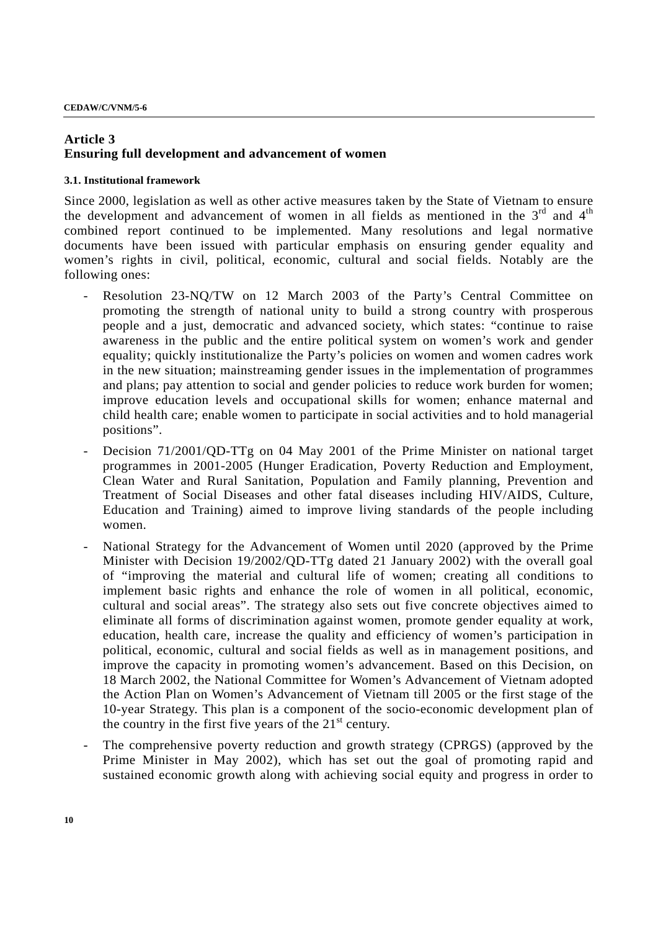## **Article 3 Ensuring full development and advancement of women**

## **3.1. Institutional framework**

Since 2000, legislation as well as other active measures taken by the State of Vietnam to ensure the development and advancement of women in all fields as mentioned in the  $3<sup>rd</sup>$  and  $4<sup>th</sup>$ combined report continued to be implemented. Many resolutions and legal normative documents have been issued with particular emphasis on ensuring gender equality and women's rights in civil, political, economic, cultural and social fields. Notably are the following ones:

- Resolution 23-NQ/TW on 12 March 2003 of the Party's Central Committee on promoting the strength of national unity to build a strong country with prosperous people and a just, democratic and advanced society, which states: "continue to raise awareness in the public and the entire political system on women's work and gender equality; quickly institutionalize the Party's policies on women and women cadres work in the new situation; mainstreaming gender issues in the implementation of programmes and plans; pay attention to social and gender policies to reduce work burden for women; improve education levels and occupational skills for women; enhance maternal and child health care; enable women to participate in social activities and to hold managerial positions".
- Decision 71/2001/QD-TTg on 04 May 2001 of the Prime Minister on national target programmes in 2001-2005 (Hunger Eradication, Poverty Reduction and Employment, Clean Water and Rural Sanitation, Population and Family planning, Prevention and Treatment of Social Diseases and other fatal diseases including HIV/AIDS, Culture, Education and Training) aimed to improve living standards of the people including women.
- National Strategy for the Advancement of Women until 2020 (approved by the Prime Minister with Decision 19/2002/QD-TTg dated 21 January 2002) with the overall goal of "improving the material and cultural life of women; creating all conditions to implement basic rights and enhance the role of women in all political, economic, cultural and social areas". The strategy also sets out five concrete objectives aimed to eliminate all forms of discrimination against women, promote gender equality at work, education, health care, increase the quality and efficiency of women's participation in political, economic, cultural and social fields as well as in management positions, and improve the capacity in promoting women's advancement. Based on this Decision, on 18 March 2002, the National Committee for Women's Advancement of Vietnam adopted the Action Plan on Women's Advancement of Vietnam till 2005 or the first stage of the 10-year Strategy. This plan is a component of the socio-economic development plan of the country in the first five years of the  $21<sup>st</sup>$  century.
- The comprehensive poverty reduction and growth strategy (CPRGS) (approved by the Prime Minister in May 2002), which has set out the goal of promoting rapid and sustained economic growth along with achieving social equity and progress in order to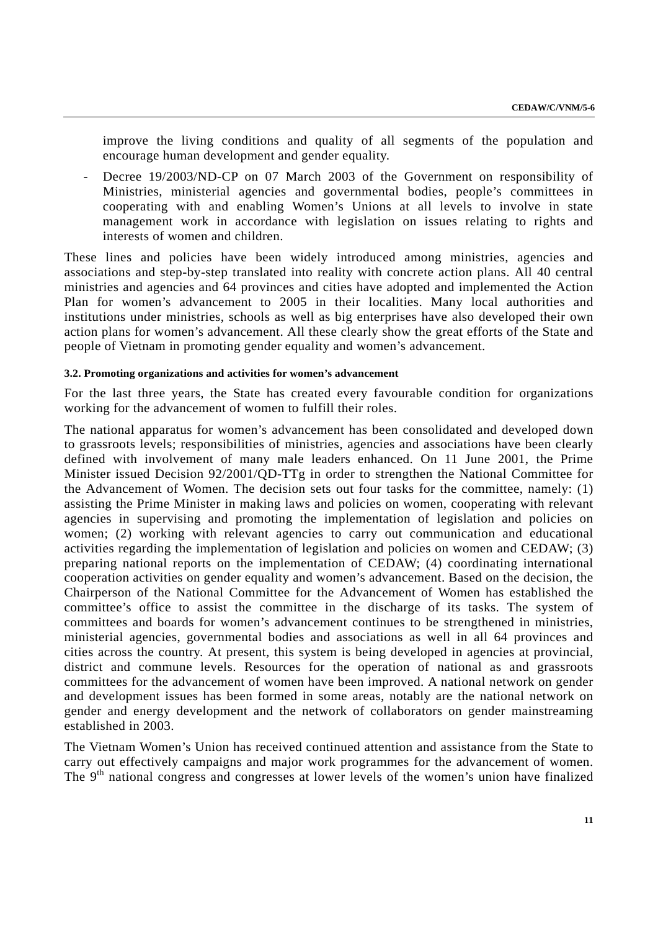improve the living conditions and quality of all segments of the population and encourage human development and gender equality.

- Decree 19/2003/ND-CP on 07 March 2003 of the Government on responsibility of Ministries, ministerial agencies and governmental bodies, people's committees in cooperating with and enabling Women's Unions at all levels to involve in state management work in accordance with legislation on issues relating to rights and interests of women and children.

These lines and policies have been widely introduced among ministries, agencies and associations and step-by-step translated into reality with concrete action plans. All 40 central ministries and agencies and 64 provinces and cities have adopted and implemented the Action Plan for women's advancement to 2005 in their localities. Many local authorities and institutions under ministries, schools as well as big enterprises have also developed their own action plans for women's advancement. All these clearly show the great efforts of the State and people of Vietnam in promoting gender equality and women's advancement.

#### **3.2. Promoting organizations and activities for women's advancement**

For the last three years, the State has created every favourable condition for organizations working for the advancement of women to fulfill their roles.

The national apparatus for women's advancement has been consolidated and developed down to grassroots levels; responsibilities of ministries, agencies and associations have been clearly defined with involvement of many male leaders enhanced. On 11 June 2001, the Prime Minister issued Decision 92/2001/QD-TTg in order to strengthen the National Committee for the Advancement of Women. The decision sets out four tasks for the committee, namely: (1) assisting the Prime Minister in making laws and policies on women, cooperating with relevant agencies in supervising and promoting the implementation of legislation and policies on women; (2) working with relevant agencies to carry out communication and educational activities regarding the implementation of legislation and policies on women and CEDAW; (3) preparing national reports on the implementation of CEDAW; (4) coordinating international cooperation activities on gender equality and women's advancement. Based on the decision, the Chairperson of the National Committee for the Advancement of Women has established the committee's office to assist the committee in the discharge of its tasks. The system of committees and boards for women's advancement continues to be strengthened in ministries, ministerial agencies, governmental bodies and associations as well in all 64 provinces and cities across the country. At present, this system is being developed in agencies at provincial, district and commune levels. Resources for the operation of national as and grassroots committees for the advancement of women have been improved. A national network on gender and development issues has been formed in some areas, notably are the national network on gender and energy development and the network of collaborators on gender mainstreaming established in 2003.

The Vietnam Women's Union has received continued attention and assistance from the State to carry out effectively campaigns and major work programmes for the advancement of women. The 9<sup>th</sup> national congress and congresses at lower levels of the women's union have finalized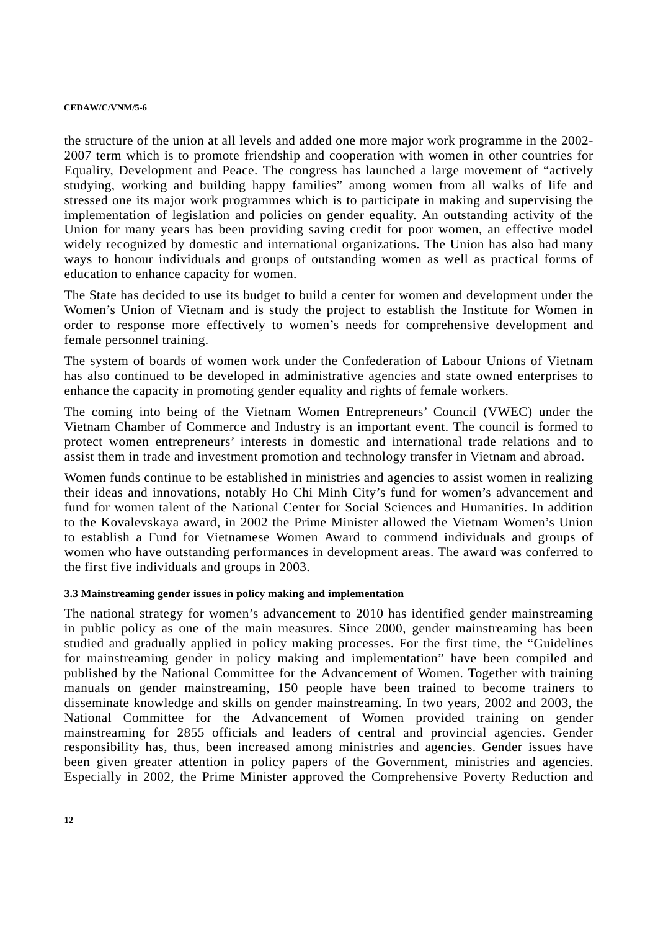the structure of the union at all levels and added one more major work programme in the 2002- 2007 term which is to promote friendship and cooperation with women in other countries for Equality, Development and Peace. The congress has launched a large movement of "actively studying, working and building happy families" among women from all walks of life and stressed one its major work programmes which is to participate in making and supervising the implementation of legislation and policies on gender equality. An outstanding activity of the Union for many years has been providing saving credit for poor women, an effective model widely recognized by domestic and international organizations. The Union has also had many ways to honour individuals and groups of outstanding women as well as practical forms of education to enhance capacity for women.

The State has decided to use its budget to build a center for women and development under the Women's Union of Vietnam and is study the project to establish the Institute for Women in order to response more effectively to women's needs for comprehensive development and female personnel training.

The system of boards of women work under the Confederation of Labour Unions of Vietnam has also continued to be developed in administrative agencies and state owned enterprises to enhance the capacity in promoting gender equality and rights of female workers.

The coming into being of the Vietnam Women Entrepreneurs' Council (VWEC) under the Vietnam Chamber of Commerce and Industry is an important event. The council is formed to protect women entrepreneurs' interests in domestic and international trade relations and to assist them in trade and investment promotion and technology transfer in Vietnam and abroad.

Women funds continue to be established in ministries and agencies to assist women in realizing their ideas and innovations, notably Ho Chi Minh City's fund for women's advancement and fund for women talent of the National Center for Social Sciences and Humanities. In addition to the Kovalevskaya award, in 2002 the Prime Minister allowed the Vietnam Women's Union to establish a Fund for Vietnamese Women Award to commend individuals and groups of women who have outstanding performances in development areas. The award was conferred to the first five individuals and groups in 2003.

## **3.3 Mainstreaming gender issues in policy making and implementation**

The national strategy for women's advancement to 2010 has identified gender mainstreaming in public policy as one of the main measures. Since 2000, gender mainstreaming has been studied and gradually applied in policy making processes. For the first time, the "Guidelines for mainstreaming gender in policy making and implementation" have been compiled and published by the National Committee for the Advancement of Women. Together with training manuals on gender mainstreaming, 150 people have been trained to become trainers to disseminate knowledge and skills on gender mainstreaming. In two years, 2002 and 2003, the National Committee for the Advancement of Women provided training on gender mainstreaming for 2855 officials and leaders of central and provincial agencies. Gender responsibility has, thus, been increased among ministries and agencies. Gender issues have been given greater attention in policy papers of the Government, ministries and agencies. Especially in 2002, the Prime Minister approved the Comprehensive Poverty Reduction and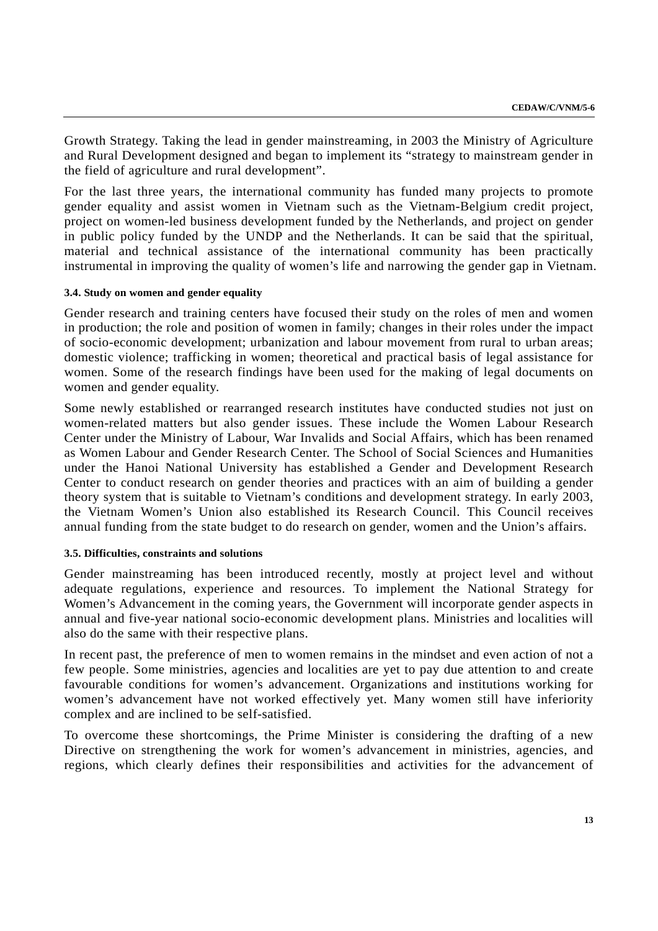Growth Strategy. Taking the lead in gender mainstreaming, in 2003 the Ministry of Agriculture and Rural Development designed and began to implement its "strategy to mainstream gender in the field of agriculture and rural development".

For the last three years, the international community has funded many projects to promote gender equality and assist women in Vietnam such as the Vietnam-Belgium credit project, project on women-led business development funded by the Netherlands, and project on gender in public policy funded by the UNDP and the Netherlands. It can be said that the spiritual, material and technical assistance of the international community has been practically instrumental in improving the quality of women's life and narrowing the gender gap in Vietnam.

### **3.4. Study on women and gender equality**

Gender research and training centers have focused their study on the roles of men and women in production; the role and position of women in family; changes in their roles under the impact of socio-economic development; urbanization and labour movement from rural to urban areas; domestic violence; trafficking in women; theoretical and practical basis of legal assistance for women. Some of the research findings have been used for the making of legal documents on women and gender equality.

Some newly established or rearranged research institutes have conducted studies not just on women-related matters but also gender issues. These include the Women Labour Research Center under the Ministry of Labour, War Invalids and Social Affairs, which has been renamed as Women Labour and Gender Research Center. The School of Social Sciences and Humanities under the Hanoi National University has established a Gender and Development Research Center to conduct research on gender theories and practices with an aim of building a gender theory system that is suitable to Vietnam's conditions and development strategy. In early 2003, the Vietnam Women's Union also established its Research Council. This Council receives annual funding from the state budget to do research on gender, women and the Union's affairs.

#### **3.5. Difficulties, constraints and solutions**

Gender mainstreaming has been introduced recently, mostly at project level and without adequate regulations, experience and resources. To implement the National Strategy for Women's Advancement in the coming years, the Government will incorporate gender aspects in annual and five-year national socio-economic development plans. Ministries and localities will also do the same with their respective plans.

In recent past, the preference of men to women remains in the mindset and even action of not a few people. Some ministries, agencies and localities are yet to pay due attention to and create favourable conditions for women's advancement. Organizations and institutions working for women's advancement have not worked effectively yet. Many women still have inferiority complex and are inclined to be self-satisfied.

To overcome these shortcomings, the Prime Minister is considering the drafting of a new Directive on strengthening the work for women's advancement in ministries, agencies, and regions, which clearly defines their responsibilities and activities for the advancement of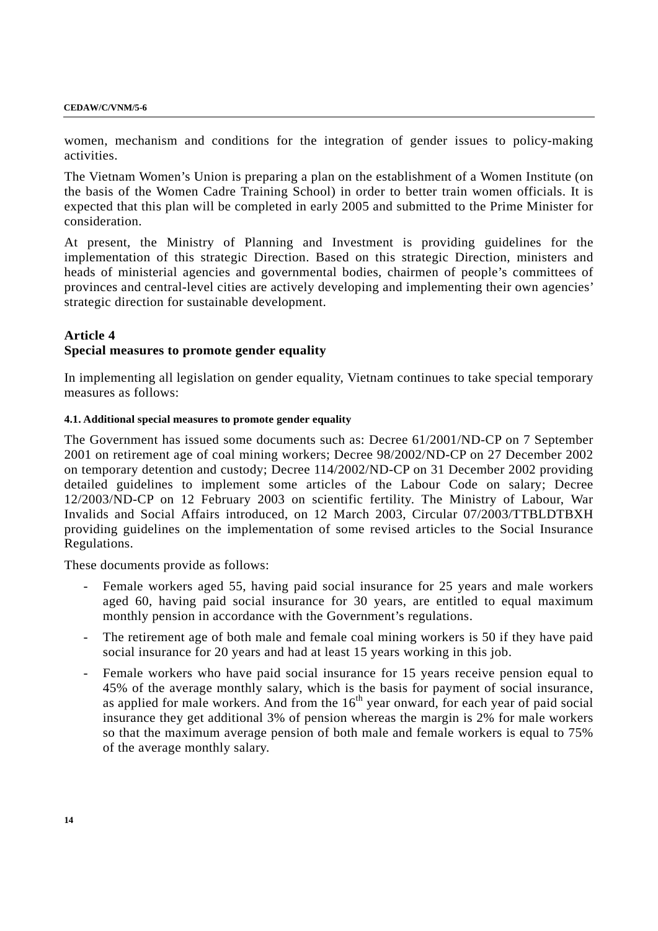women, mechanism and conditions for the integration of gender issues to policy-making activities.

The Vietnam Women's Union is preparing a plan on the establishment of a Women Institute (on the basis of the Women Cadre Training School) in order to better train women officials. It is expected that this plan will be completed in early 2005 and submitted to the Prime Minister for consideration.

At present, the Ministry of Planning and Investment is providing guidelines for the implementation of this strategic Direction. Based on this strategic Direction, ministers and heads of ministerial agencies and governmental bodies, chairmen of people's committees of provinces and central-level cities are actively developing and implementing their own agencies' strategic direction for sustainable development.

## **Article 4 Special measures to promote gender equality**

In implementing all legislation on gender equality, Vietnam continues to take special temporary measures as follows:

## **4.1. Additional special measures to promote gender equality**

The Government has issued some documents such as: Decree 61/2001/ND-CP on 7 September 2001 on retirement age of coal mining workers; Decree 98/2002/ND-CP on 27 December 2002 on temporary detention and custody; Decree 114/2002/ND-CP on 31 December 2002 providing detailed guidelines to implement some articles of the Labour Code on salary; Decree 12/2003/ND-CP on 12 February 2003 on scientific fertility. The Ministry of Labour, War Invalids and Social Affairs introduced, on 12 March 2003, Circular 07/2003/TTBLDTBXH providing guidelines on the implementation of some revised articles to the Social Insurance Regulations.

These documents provide as follows:

- Female workers aged 55, having paid social insurance for 25 years and male workers aged 60, having paid social insurance for 30 years, are entitled to equal maximum monthly pension in accordance with the Government's regulations.
- The retirement age of both male and female coal mining workers is 50 if they have paid social insurance for 20 years and had at least 15 years working in this job.
- Female workers who have paid social insurance for 15 years receive pension equal to 45% of the average monthly salary, which is the basis for payment of social insurance, as applied for male workers. And from the  $16<sup>th</sup>$  year onward, for each year of paid social insurance they get additional 3% of pension whereas the margin is 2% for male workers so that the maximum average pension of both male and female workers is equal to 75% of the average monthly salary.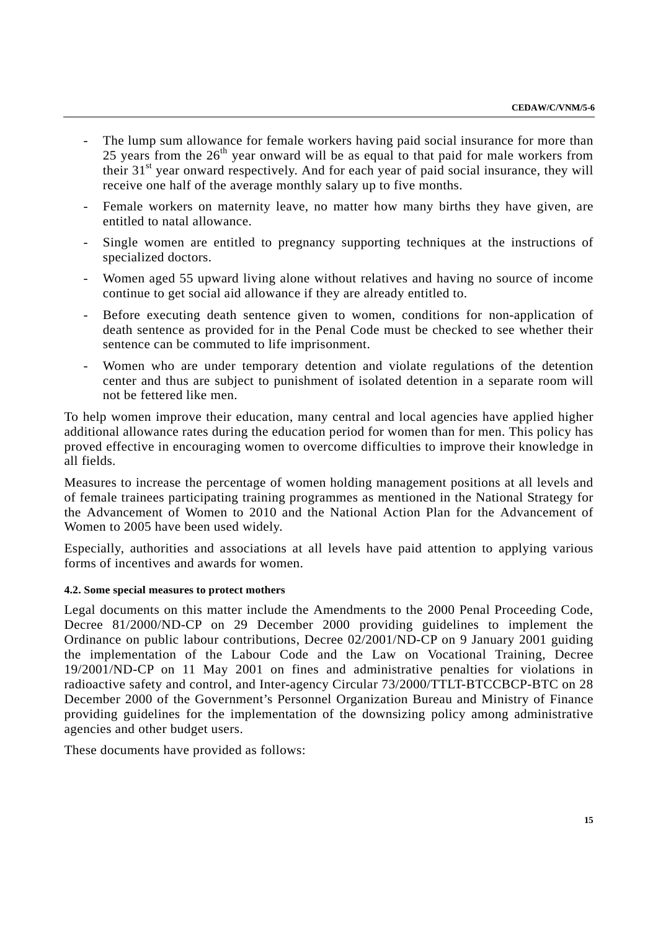- The lump sum allowance for female workers having paid social insurance for more than 25 years from the  $26<sup>th</sup>$  year onward will be as equal to that paid for male workers from their  $31<sup>st</sup>$  year onward respectively. And for each year of paid social insurance, they will receive one half of the average monthly salary up to five months.
- Female workers on maternity leave, no matter how many births they have given, are entitled to natal allowance.
- Single women are entitled to pregnancy supporting techniques at the instructions of specialized doctors.
- Women aged 55 upward living alone without relatives and having no source of income continue to get social aid allowance if they are already entitled to.
- Before executing death sentence given to women, conditions for non-application of death sentence as provided for in the Penal Code must be checked to see whether their sentence can be commuted to life imprisonment.
- Women who are under temporary detention and violate regulations of the detention center and thus are subject to punishment of isolated detention in a separate room will not be fettered like men.

To help women improve their education, many central and local agencies have applied higher additional allowance rates during the education period for women than for men. This policy has proved effective in encouraging women to overcome difficulties to improve their knowledge in all fields.

Measures to increase the percentage of women holding management positions at all levels and of female trainees participating training programmes as mentioned in the National Strategy for the Advancement of Women to 2010 and the National Action Plan for the Advancement of Women to 2005 have been used widely.

Especially, authorities and associations at all levels have paid attention to applying various forms of incentives and awards for women.

## **4.2. Some special measures to protect mothers**

Legal documents on this matter include the Amendments to the 2000 Penal Proceeding Code, Decree 81/2000/ND-CP on 29 December 2000 providing guidelines to implement the Ordinance on public labour contributions, Decree 02/2001/ND-CP on 9 January 2001 guiding the implementation of the Labour Code and the Law on Vocational Training, Decree 19/2001/ND-CP on 11 May 2001 on fines and administrative penalties for violations in radioactive safety and control, and Inter-agency Circular 73/2000/TTLT-BTCCBCP-BTC on 28 December 2000 of the Government's Personnel Organization Bureau and Ministry of Finance providing guidelines for the implementation of the downsizing policy among administrative agencies and other budget users.

These documents have provided as follows: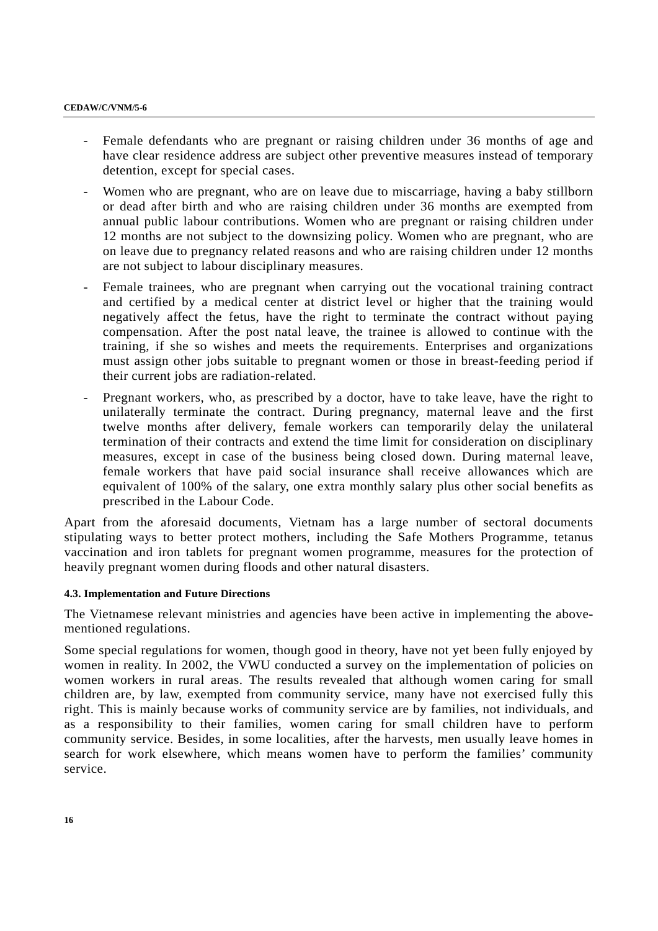- Female defendants who are pregnant or raising children under 36 months of age and have clear residence address are subject other preventive measures instead of temporary detention, except for special cases.
- Women who are pregnant, who are on leave due to miscarriage, having a baby stillborn or dead after birth and who are raising children under 36 months are exempted from annual public labour contributions. Women who are pregnant or raising children under 12 months are not subject to the downsizing policy. Women who are pregnant, who are on leave due to pregnancy related reasons and who are raising children under 12 months are not subject to labour disciplinary measures.
- Female trainees, who are pregnant when carrying out the vocational training contract and certified by a medical center at district level or higher that the training would negatively affect the fetus, have the right to terminate the contract without paying compensation. After the post natal leave, the trainee is allowed to continue with the training, if she so wishes and meets the requirements. Enterprises and organizations must assign other jobs suitable to pregnant women or those in breast-feeding period if their current jobs are radiation-related.
- Pregnant workers, who, as prescribed by a doctor, have to take leave, have the right to unilaterally terminate the contract. During pregnancy, maternal leave and the first twelve months after delivery, female workers can temporarily delay the unilateral termination of their contracts and extend the time limit for consideration on disciplinary measures, except in case of the business being closed down. During maternal leave, female workers that have paid social insurance shall receive allowances which are equivalent of 100% of the salary, one extra monthly salary plus other social benefits as prescribed in the Labour Code.

Apart from the aforesaid documents, Vietnam has a large number of sectoral documents stipulating ways to better protect mothers, including the Safe Mothers Programme, tetanus vaccination and iron tablets for pregnant women programme, measures for the protection of heavily pregnant women during floods and other natural disasters.

#### **4.3. Implementation and Future Directions**

The Vietnamese relevant ministries and agencies have been active in implementing the abovementioned regulations.

Some special regulations for women, though good in theory, have not yet been fully enjoyed by women in reality. In 2002, the VWU conducted a survey on the implementation of policies on women workers in rural areas. The results revealed that although women caring for small children are, by law, exempted from community service, many have not exercised fully this right. This is mainly because works of community service are by families, not individuals, and as a responsibility to their families, women caring for small children have to perform community service. Besides, in some localities, after the harvests, men usually leave homes in search for work elsewhere, which means women have to perform the families' community service.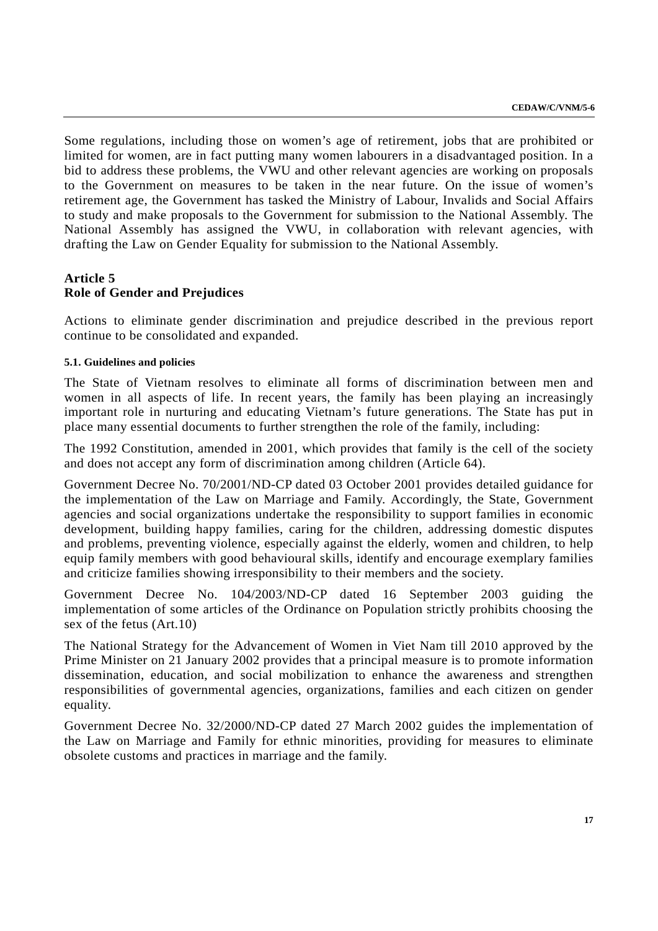Some regulations, including those on women's age of retirement, jobs that are prohibited or limited for women, are in fact putting many women labourers in a disadvantaged position. In a bid to address these problems, the VWU and other relevant agencies are working on proposals to the Government on measures to be taken in the near future. On the issue of women's retirement age, the Government has tasked the Ministry of Labour, Invalids and Social Affairs to study and make proposals to the Government for submission to the National Assembly. The National Assembly has assigned the VWU, in collaboration with relevant agencies, with drafting the Law on Gender Equality for submission to the National Assembly.

# **Article 5 Role of Gender and Prejudices**

Actions to eliminate gender discrimination and prejudice described in the previous report continue to be consolidated and expanded.

## **5.1. Guidelines and policies**

The State of Vietnam resolves to eliminate all forms of discrimination between men and women in all aspects of life. In recent years, the family has been playing an increasingly important role in nurturing and educating Vietnam's future generations. The State has put in place many essential documents to further strengthen the role of the family, including:

The 1992 Constitution, amended in 2001, which provides that family is the cell of the society and does not accept any form of discrimination among children (Article 64).

Government Decree No. 70/2001/ND-CP dated 03 October 2001 provides detailed guidance for the implementation of the Law on Marriage and Family. Accordingly, the State, Government agencies and social organizations undertake the responsibility to support families in economic development, building happy families, caring for the children, addressing domestic disputes and problems, preventing violence, especially against the elderly, women and children, to help equip family members with good behavioural skills, identify and encourage exemplary families and criticize families showing irresponsibility to their members and the society.

Government Decree No. 104/2003/ND-CP dated 16 September 2003 guiding the implementation of some articles of the Ordinance on Population strictly prohibits choosing the sex of the fetus (Art.10)

The National Strategy for the Advancement of Women in Viet Nam till 2010 approved by the Prime Minister on 21 January 2002 provides that a principal measure is to promote information dissemination, education, and social mobilization to enhance the awareness and strengthen responsibilities of governmental agencies, organizations, families and each citizen on gender equality.

Government Decree No. 32/2000/ND-CP dated 27 March 2002 guides the implementation of the Law on Marriage and Family for ethnic minorities, providing for measures to eliminate obsolete customs and practices in marriage and the family.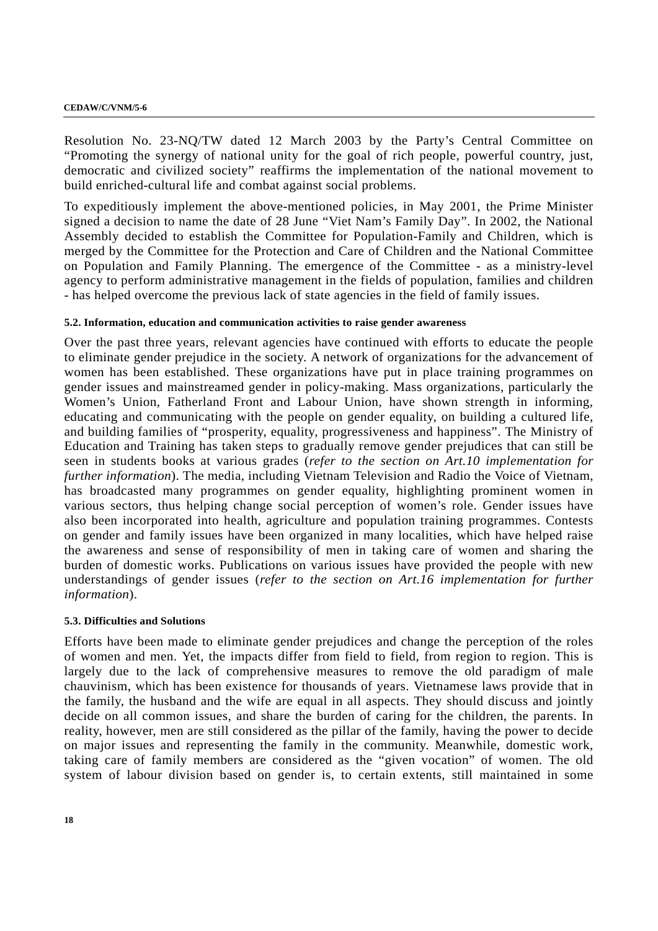Resolution No. 23-NQ/TW dated 12 March 2003 by the Party's Central Committee on "Promoting the synergy of national unity for the goal of rich people, powerful country, just, democratic and civilized society" reaffirms the implementation of the national movement to build enriched-cultural life and combat against social problems.

To expeditiously implement the above-mentioned policies, in May 2001, the Prime Minister signed a decision to name the date of 28 June "Viet Nam's Family Day". In 2002, the National Assembly decided to establish the Committee for Population-Family and Children, which is merged by the Committee for the Protection and Care of Children and the National Committee on Population and Family Planning. The emergence of the Committee - as a ministry-level agency to perform administrative management in the fields of population, families and children - has helped overcome the previous lack of state agencies in the field of family issues.

### **5.2. Information, education and communication activities to raise gender awareness**

Over the past three years, relevant agencies have continued with efforts to educate the people to eliminate gender prejudice in the society. A network of organizations for the advancement of women has been established. These organizations have put in place training programmes on gender issues and mainstreamed gender in policy-making. Mass organizations, particularly the Women's Union, Fatherland Front and Labour Union, have shown strength in informing, educating and communicating with the people on gender equality, on building a cultured life, and building families of "prosperity, equality, progressiveness and happiness". The Ministry of Education and Training has taken steps to gradually remove gender prejudices that can still be seen in students books at various grades (*refer to the section on Art.10 implementation for further information*). The media, including Vietnam Television and Radio the Voice of Vietnam, has broadcasted many programmes on gender equality, highlighting prominent women in various sectors, thus helping change social perception of women's role. Gender issues have also been incorporated into health, agriculture and population training programmes. Contests on gender and family issues have been organized in many localities, which have helped raise the awareness and sense of responsibility of men in taking care of women and sharing the burden of domestic works. Publications on various issues have provided the people with new understandings of gender issues (*refer to the section on Art.16 implementation for further information*).

## **5.3. Difficulties and Solutions**

Efforts have been made to eliminate gender prejudices and change the perception of the roles of women and men. Yet, the impacts differ from field to field, from region to region. This is largely due to the lack of comprehensive measures to remove the old paradigm of male chauvinism, which has been existence for thousands of years. Vietnamese laws provide that in the family, the husband and the wife are equal in all aspects. They should discuss and jointly decide on all common issues, and share the burden of caring for the children, the parents. In reality, however, men are still considered as the pillar of the family, having the power to decide on major issues and representing the family in the community. Meanwhile, domestic work, taking care of family members are considered as the "given vocation" of women. The old system of labour division based on gender is, to certain extents, still maintained in some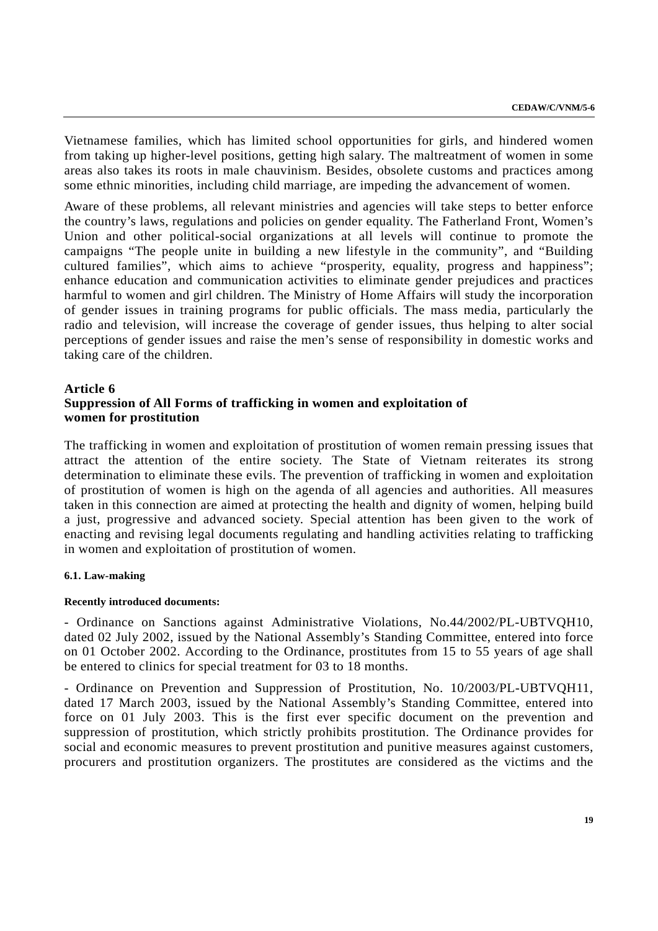Vietnamese families, which has limited school opportunities for girls, and hindered women from taking up higher-level positions, getting high salary. The maltreatment of women in some areas also takes its roots in male chauvinism. Besides, obsolete customs and practices among some ethnic minorities, including child marriage, are impeding the advancement of women.

Aware of these problems, all relevant ministries and agencies will take steps to better enforce the country's laws, regulations and policies on gender equality. The Fatherland Front, Women's Union and other political-social organizations at all levels will continue to promote the campaigns "The people unite in building a new lifestyle in the community", and "Building cultured families", which aims to achieve "prosperity, equality, progress and happiness"; enhance education and communication activities to eliminate gender prejudices and practices harmful to women and girl children. The Ministry of Home Affairs will study the incorporation of gender issues in training programs for public officials. The mass media, particularly the radio and television, will increase the coverage of gender issues, thus helping to alter social perceptions of gender issues and raise the men's sense of responsibility in domestic works and taking care of the children.

## **Article 6**

## **Suppression of All Forms of trafficking in women and exploitation of women for prostitution**

The trafficking in women and exploitation of prostitution of women remain pressing issues that attract the attention of the entire society. The State of Vietnam reiterates its strong determination to eliminate these evils. The prevention of trafficking in women and exploitation of prostitution of women is high on the agenda of all agencies and authorities. All measures taken in this connection are aimed at protecting the health and dignity of women, helping build a just, progressive and advanced society. Special attention has been given to the work of enacting and revising legal documents regulating and handling activities relating to trafficking in women and exploitation of prostitution of women.

#### **6.1. Law-making**

#### **Recently introduced documents:**

- Ordinance on Sanctions against Administrative Violations, No.44/2002/PL-UBTVQH10, dated 02 July 2002, issued by the National Assembly's Standing Committee, entered into force on 01 October 2002. According to the Ordinance, prostitutes from 15 to 55 years of age shall be entered to clinics for special treatment for 03 to 18 months.

- Ordinance on Prevention and Suppression of Prostitution, No. 10/2003/PL-UBTVQH11, dated 17 March 2003, issued by the National Assembly's Standing Committee, entered into force on 01 July 2003. This is the first ever specific document on the prevention and suppression of prostitution, which strictly prohibits prostitution. The Ordinance provides for social and economic measures to prevent prostitution and punitive measures against customers, procurers and prostitution organizers. The prostitutes are considered as the victims and the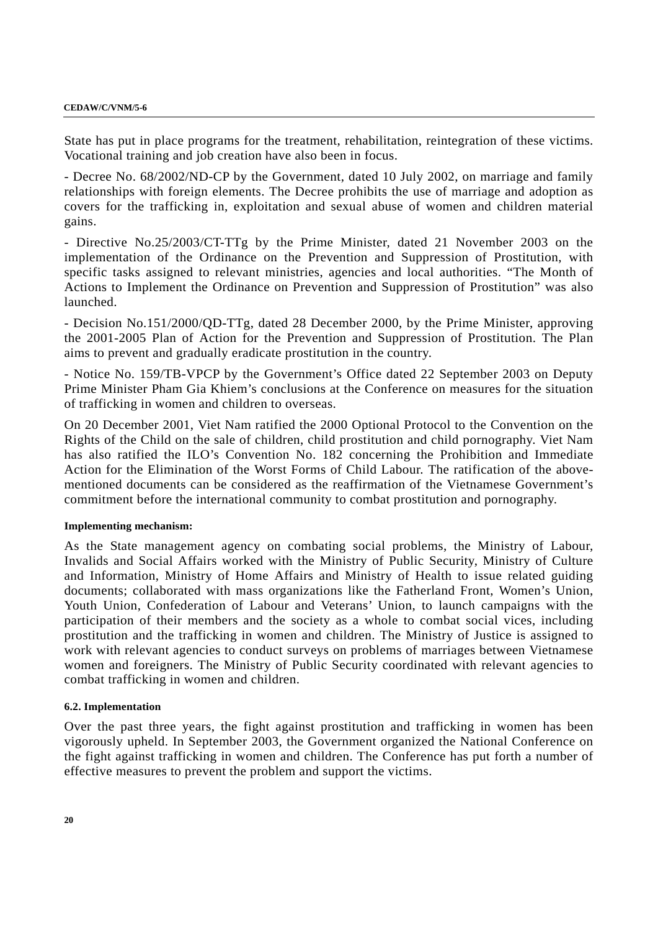State has put in place programs for the treatment, rehabilitation, reintegration of these victims. Vocational training and job creation have also been in focus.

- Decree No. 68/2002/ND-CP by the Government, dated 10 July 2002, on marriage and family relationships with foreign elements. The Decree prohibits the use of marriage and adoption as covers for the trafficking in, exploitation and sexual abuse of women and children material gains.

- Directive No.25/2003/CT-TTg by the Prime Minister, dated 21 November 2003 on the implementation of the Ordinance on the Prevention and Suppression of Prostitution, with specific tasks assigned to relevant ministries, agencies and local authorities. "The Month of Actions to Implement the Ordinance on Prevention and Suppression of Prostitution" was also launched.

- Decision No.151/2000/QD-TTg, dated 28 December 2000, by the Prime Minister, approving the 2001-2005 Plan of Action for the Prevention and Suppression of Prostitution. The Plan aims to prevent and gradually eradicate prostitution in the country.

- Notice No. 159/TB-VPCP by the Government's Office dated 22 September 2003 on Deputy Prime Minister Pham Gia Khiem's conclusions at the Conference on measures for the situation of trafficking in women and children to overseas.

On 20 December 2001, Viet Nam ratified the 2000 Optional Protocol to the Convention on the Rights of the Child on the sale of children, child prostitution and child pornography. Viet Nam has also ratified the ILO's Convention No. 182 concerning the Prohibition and Immediate Action for the Elimination of the Worst Forms of Child Labour. The ratification of the abovementioned documents can be considered as the reaffirmation of the Vietnamese Government's commitment before the international community to combat prostitution and pornography.

#### **Implementing mechanism:**

As the State management agency on combating social problems, the Ministry of Labour, Invalids and Social Affairs worked with the Ministry of Public Security, Ministry of Culture and Information, Ministry of Home Affairs and Ministry of Health to issue related guiding documents; collaborated with mass organizations like the Fatherland Front, Women's Union, Youth Union, Confederation of Labour and Veterans' Union, to launch campaigns with the participation of their members and the society as a whole to combat social vices, including prostitution and the trafficking in women and children. The Ministry of Justice is assigned to work with relevant agencies to conduct surveys on problems of marriages between Vietnamese women and foreigners. The Ministry of Public Security coordinated with relevant agencies to combat trafficking in women and children.

#### **6.2. Implementation**

Over the past three years, the fight against prostitution and trafficking in women has been vigorously upheld. In September 2003, the Government organized the National Conference on the fight against trafficking in women and children. The Conference has put forth a number of effective measures to prevent the problem and support the victims.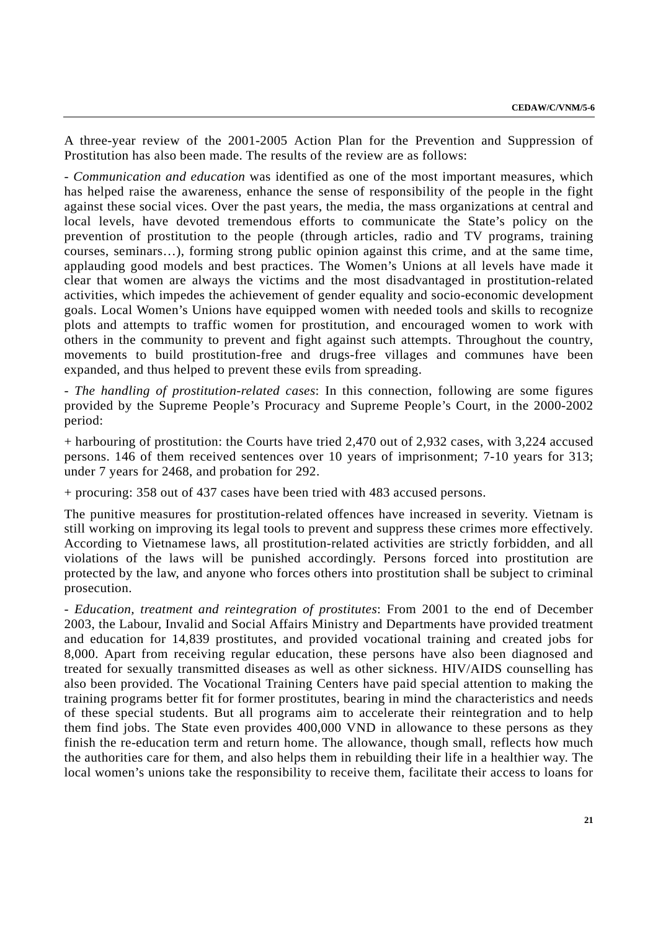A three-year review of the 2001-2005 Action Plan for the Prevention and Suppression of Prostitution has also been made. The results of the review are as follows:

- *Communication and education* was identified as one of the most important measures, which has helped raise the awareness, enhance the sense of responsibility of the people in the fight against these social vices. Over the past years, the media, the mass organizations at central and local levels, have devoted tremendous efforts to communicate the State's policy on the prevention of prostitution to the people (through articles, radio and TV programs, training courses, seminars…), forming strong public opinion against this crime, and at the same time, applauding good models and best practices. The Women's Unions at all levels have made it clear that women are always the victims and the most disadvantaged in prostitution-related activities, which impedes the achievement of gender equality and socio-economic development goals. Local Women's Unions have equipped women with needed tools and skills to recognize plots and attempts to traffic women for prostitution, and encouraged women to work with others in the community to prevent and fight against such attempts. Throughout the country, movements to build prostitution-free and drugs-free villages and communes have been expanded, and thus helped to prevent these evils from spreading.

- *The handling of prostitution-related cases*: In this connection, following are some figures provided by the Supreme People's Procuracy and Supreme People's Court, in the 2000-2002 period:

+ harbouring of prostitution: the Courts have tried 2,470 out of 2,932 cases, with 3,224 accused persons. 146 of them received sentences over 10 years of imprisonment; 7-10 years for 313; under 7 years for 2468, and probation for 292.

+ procuring: 358 out of 437 cases have been tried with 483 accused persons.

The punitive measures for prostitution-related offences have increased in severity. Vietnam is still working on improving its legal tools to prevent and suppress these crimes more effectively. According to Vietnamese laws, all prostitution-related activities are strictly forbidden, and all violations of the laws will be punished accordingly. Persons forced into prostitution are protected by the law, and anyone who forces others into prostitution shall be subject to criminal prosecution.

- *Education, treatment and reintegration of prostitutes*: From 2001 to the end of December 2003, the Labour, Invalid and Social Affairs Ministry and Departments have provided treatment and education for 14,839 prostitutes, and provided vocational training and created jobs for 8,000. Apart from receiving regular education, these persons have also been diagnosed and treated for sexually transmitted diseases as well as other sickness. HIV/AIDS counselling has also been provided. The Vocational Training Centers have paid special attention to making the training programs better fit for former prostitutes, bearing in mind the characteristics and needs of these special students. But all programs aim to accelerate their reintegration and to help them find jobs. The State even provides 400,000 VND in allowance to these persons as they finish the re-education term and return home. The allowance, though small, reflects how much the authorities care for them, and also helps them in rebuilding their life in a healthier way. The local women's unions take the responsibility to receive them, facilitate their access to loans for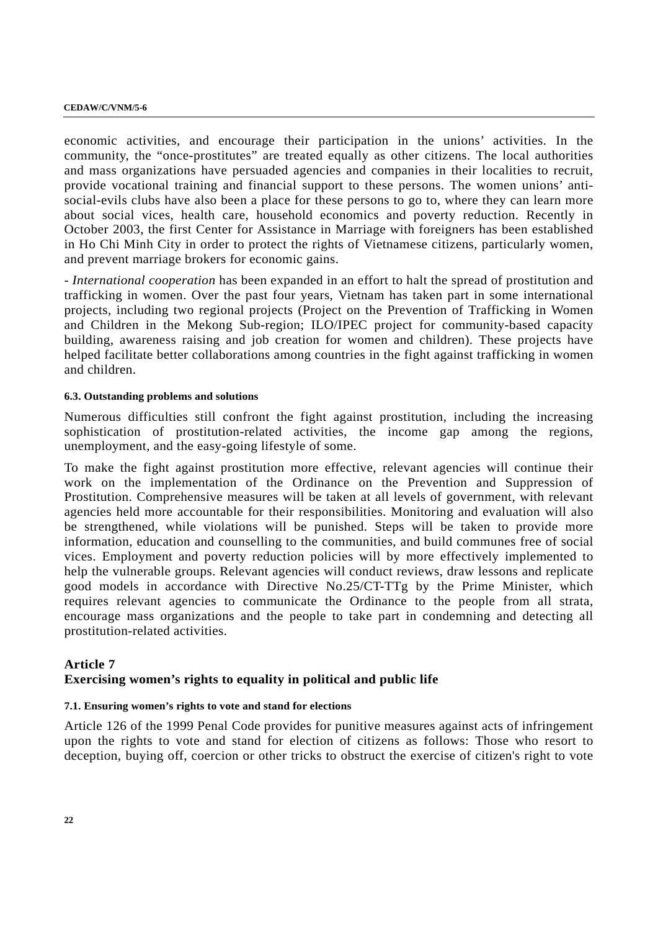economic activities, and encourage their participation in the unions' activities. In the community, the "once-prostitutes" are treated equally as other citizens. The local authorities and mass organizations have persuaded agencies and companies in their localities to recruit, provide vocational training and financial support to these persons. The women unions' antisocial-evils clubs have also been a place for these persons to go to, where they can learn more about social vices, health care, household economics and poverty reduction. Recently in October 2003, the first Center for Assistance in Marriage with foreigners has been established in Ho Chi Minh City in order to protect the rights of Vietnamese citizens, particularly women, and prevent marriage brokers for economic gains.

- *International cooperation* has been expanded in an effort to halt the spread of prostitution and trafficking in women. Over the past four years, Vietnam has taken part in some international projects, including two regional projects (Project on the Prevention of Trafficking in Women and Children in the Mekong Sub-region; ILO/IPEC project for community-based capacity building, awareness raising and job creation for women and children). These projects have helped facilitate better collaborations among countries in the fight against trafficking in women and children.

## **6.3. Outstanding problems and solutions**

Numerous difficulties still confront the fight against prostitution, including the increasing sophistication of prostitution-related activities, the income gap among the regions, unemployment, and the easy-going lifestyle of some.

To make the fight against prostitution more effective, relevant agencies will continue their work on the implementation of the Ordinance on the Prevention and Suppression of Prostitution. Comprehensive measures will be taken at all levels of government, with relevant agencies held more accountable for their responsibilities. Monitoring and evaluation will also be strengthened, while violations will be punished. Steps will be taken to provide more information, education and counselling to the communities, and build communes free of social vices. Employment and poverty reduction policies will by more effectively implemented to help the vulnerable groups. Relevant agencies will conduct reviews, draw lessons and replicate good models in accordance with Directive No.25/CT-TTg by the Prime Minister, which requires relevant agencies to communicate the Ordinance to the people from all strata, encourage mass organizations and the people to take part in condemning and detecting all prostitution-related activities.

## **Article 7**

## **Exercising women's rights to equality in political and public life**

## **7.1. Ensuring women's rights to vote and stand for elections**

Article 126 of the 1999 Penal Code provides for punitive measures against acts of infringement upon the rights to vote and stand for election of citizens as follows: Those who resort to deception, buying off, coercion or other tricks to obstruct the exercise of citizen's right to vote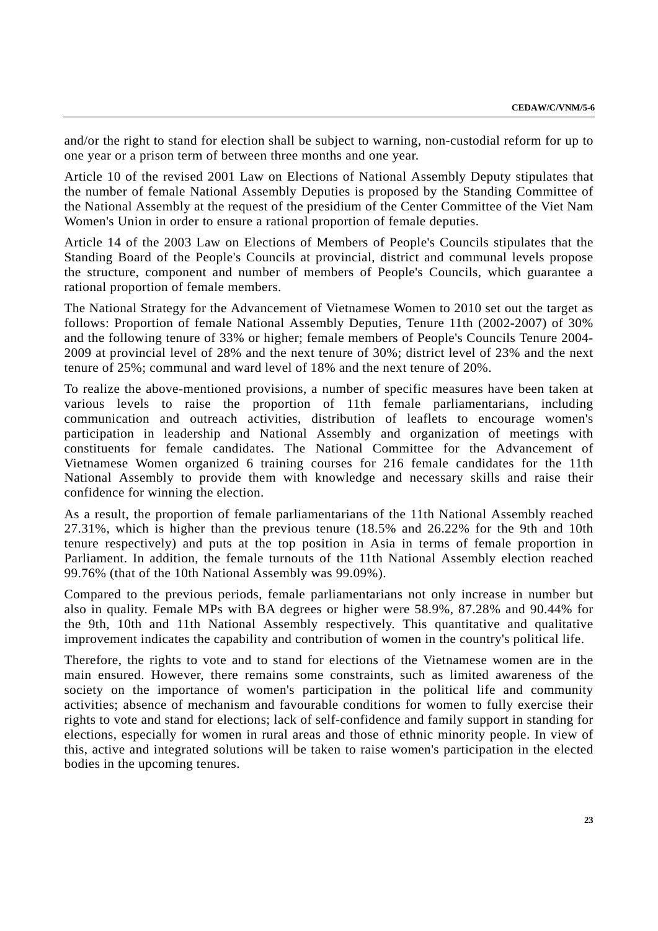and/or the right to stand for election shall be subject to warning, non-custodial reform for up to one year or a prison term of between three months and one year.

Article 10 of the revised 2001 Law on Elections of National Assembly Deputy stipulates that the number of female National Assembly Deputies is proposed by the Standing Committee of the National Assembly at the request of the presidium of the Center Committee of the Viet Nam Women's Union in order to ensure a rational proportion of female deputies.

Article 14 of the 2003 Law on Elections of Members of People's Councils stipulates that the Standing Board of the People's Councils at provincial, district and communal levels propose the structure, component and number of members of People's Councils, which guarantee a rational proportion of female members.

The National Strategy for the Advancement of Vietnamese Women to 2010 set out the target as follows: Proportion of female National Assembly Deputies, Tenure 11th (2002-2007) of 30% and the following tenure of 33% or higher; female members of People's Councils Tenure 2004- 2009 at provincial level of 28% and the next tenure of 30%; district level of 23% and the next tenure of 25%; communal and ward level of 18% and the next tenure of 20%.

To realize the above-mentioned provisions, a number of specific measures have been taken at various levels to raise the proportion of 11th female parliamentarians, including communication and outreach activities, distribution of leaflets to encourage women's participation in leadership and National Assembly and organization of meetings with constituents for female candidates. The National Committee for the Advancement of Vietnamese Women organized 6 training courses for 216 female candidates for the 11th National Assembly to provide them with knowledge and necessary skills and raise their confidence for winning the election.

As a result, the proportion of female parliamentarians of the 11th National Assembly reached 27.31%, which is higher than the previous tenure (18.5% and 26.22% for the 9th and 10th tenure respectively) and puts at the top position in Asia in terms of female proportion in Parliament. In addition, the female turnouts of the 11th National Assembly election reached 99.76% (that of the 10th National Assembly was 99.09%).

Compared to the previous periods, female parliamentarians not only increase in number but also in quality. Female MPs with BA degrees or higher were 58.9%, 87.28% and 90.44% for the 9th, 10th and 11th National Assembly respectively. This quantitative and qualitative improvement indicates the capability and contribution of women in the country's political life.

Therefore, the rights to vote and to stand for elections of the Vietnamese women are in the main ensured. However, there remains some constraints, such as limited awareness of the society on the importance of women's participation in the political life and community activities; absence of mechanism and favourable conditions for women to fully exercise their rights to vote and stand for elections; lack of self-confidence and family support in standing for elections, especially for women in rural areas and those of ethnic minority people. In view of this, active and integrated solutions will be taken to raise women's participation in the elected bodies in the upcoming tenures.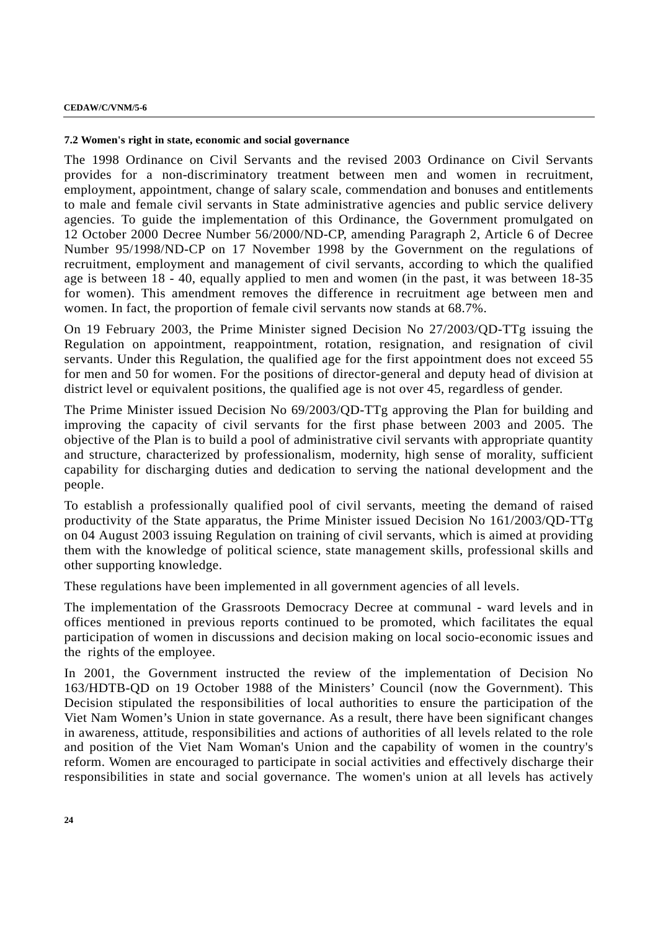### **7.2 Women's right in state, economic and social governance**

The 1998 Ordinance on Civil Servants and the revised 2003 Ordinance on Civil Servants provides for a non-discriminatory treatment between men and women in recruitment, employment, appointment, change of salary scale, commendation and bonuses and entitlements to male and female civil servants in State administrative agencies and public service delivery agencies. To guide the implementation of this Ordinance, the Government promulgated on 12 October 2000 Decree Number 56/2000/ND-CP, amending Paragraph 2, Article 6 of Decree Number 95/1998/ND-CP on 17 November 1998 by the Government on the regulations of recruitment, employment and management of civil servants, according to which the qualified age is between 18 - 40, equally applied to men and women (in the past, it was between 18-35 for women). This amendment removes the difference in recruitment age between men and women. In fact, the proportion of female civil servants now stands at 68.7%.

On 19 February 2003, the Prime Minister signed Decision No 27/2003/QD-TTg issuing the Regulation on appointment, reappointment, rotation, resignation, and resignation of civil servants. Under this Regulation, the qualified age for the first appointment does not exceed 55 for men and 50 for women. For the positions of director-general and deputy head of division at district level or equivalent positions, the qualified age is not over 45, regardless of gender.

The Prime Minister issued Decision No 69/2003/QD-TTg approving the Plan for building and improving the capacity of civil servants for the first phase between 2003 and 2005. The objective of the Plan is to build a pool of administrative civil servants with appropriate quantity and structure, characterized by professionalism, modernity, high sense of morality, sufficient capability for discharging duties and dedication to serving the national development and the people.

To establish a professionally qualified pool of civil servants, meeting the demand of raised productivity of the State apparatus, the Prime Minister issued Decision No 161/2003/QD-TTg on 04 August 2003 issuing Regulation on training of civil servants, which is aimed at providing them with the knowledge of political science, state management skills, professional skills and other supporting knowledge.

These regulations have been implemented in all government agencies of all levels.

The implementation of the Grassroots Democracy Decree at communal - ward levels and in offices mentioned in previous reports continued to be promoted, which facilitates the equal participation of women in discussions and decision making on local socio-economic issues and the rights of the employee.

In 2001, the Government instructed the review of the implementation of Decision No 163/HDTB-QD on 19 October 1988 of the Ministers' Council (now the Government). This Decision stipulated the responsibilities of local authorities to ensure the participation of the Viet Nam Women's Union in state governance. As a result, there have been significant changes in awareness, attitude, responsibilities and actions of authorities of all levels related to the role and position of the Viet Nam Woman's Union and the capability of women in the country's reform. Women are encouraged to participate in social activities and effectively discharge their responsibilities in state and social governance. The women's union at all levels has actively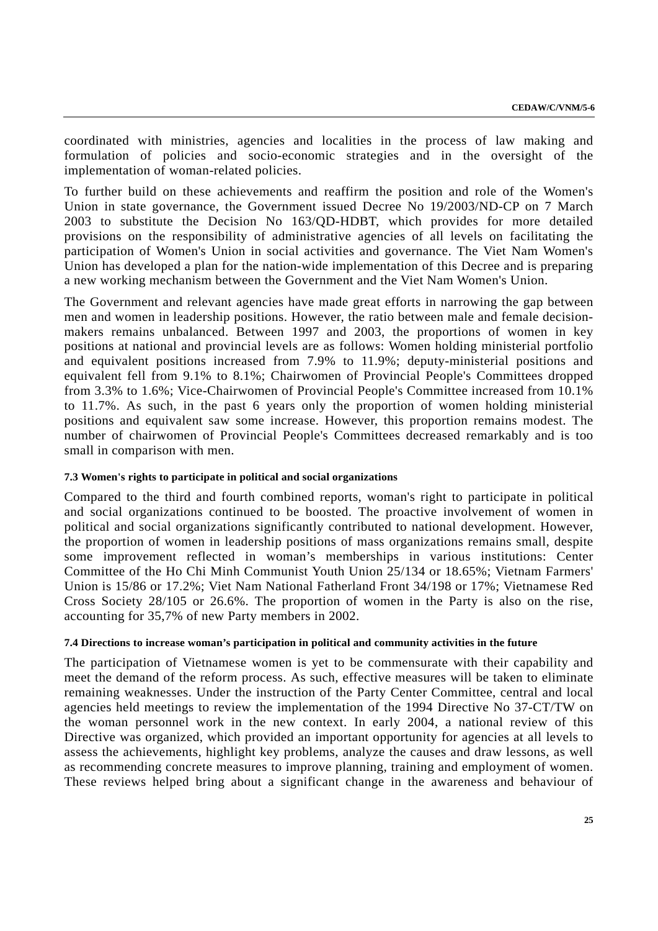coordinated with ministries, agencies and localities in the process of law making and formulation of policies and socio-economic strategies and in the oversight of the implementation of woman-related policies.

To further build on these achievements and reaffirm the position and role of the Women's Union in state governance, the Government issued Decree No 19/2003/ND-CP on 7 March 2003 to substitute the Decision No 163/QD-HDBT, which provides for more detailed provisions on the responsibility of administrative agencies of all levels on facilitating the participation of Women's Union in social activities and governance. The Viet Nam Women's Union has developed a plan for the nation-wide implementation of this Decree and is preparing a new working mechanism between the Government and the Viet Nam Women's Union.

The Government and relevant agencies have made great efforts in narrowing the gap between men and women in leadership positions. However, the ratio between male and female decisionmakers remains unbalanced. Between 1997 and 2003, the proportions of women in key positions at national and provincial levels are as follows: Women holding ministerial portfolio and equivalent positions increased from 7.9% to 11.9%; deputy-ministerial positions and equivalent fell from 9.1% to 8.1%; Chairwomen of Provincial People's Committees dropped from 3.3% to 1.6%; Vice-Chairwomen of Provincial People's Committee increased from 10.1% to 11.7%. As such, in the past 6 years only the proportion of women holding ministerial positions and equivalent saw some increase. However, this proportion remains modest. The number of chairwomen of Provincial People's Committees decreased remarkably and is too small in comparison with men.

## **7.3 Women's rights to participate in political and social organizations**

Compared to the third and fourth combined reports, woman's right to participate in political and social organizations continued to be boosted. The proactive involvement of women in political and social organizations significantly contributed to national development. However, the proportion of women in leadership positions of mass organizations remains small, despite some improvement reflected in woman's memberships in various institutions: Center Committee of the Ho Chi Minh Communist Youth Union 25/134 or 18.65%; Vietnam Farmers' Union is 15/86 or 17.2%; Viet Nam National Fatherland Front 34/198 or 17%; Vietnamese Red Cross Society 28/105 or 26.6%. The proportion of women in the Party is also on the rise, accounting for 35,7% of new Party members in 2002.

#### **7.4 Directions to increase woman's participation in political and community activities in the future**

The participation of Vietnamese women is yet to be commensurate with their capability and meet the demand of the reform process. As such, effective measures will be taken to eliminate remaining weaknesses. Under the instruction of the Party Center Committee, central and local agencies held meetings to review the implementation of the 1994 Directive No 37-CT/TW on the woman personnel work in the new context. In early 2004, a national review of this Directive was organized, which provided an important opportunity for agencies at all levels to assess the achievements, highlight key problems, analyze the causes and draw lessons, as well as recommending concrete measures to improve planning, training and employment of women. These reviews helped bring about a significant change in the awareness and behaviour of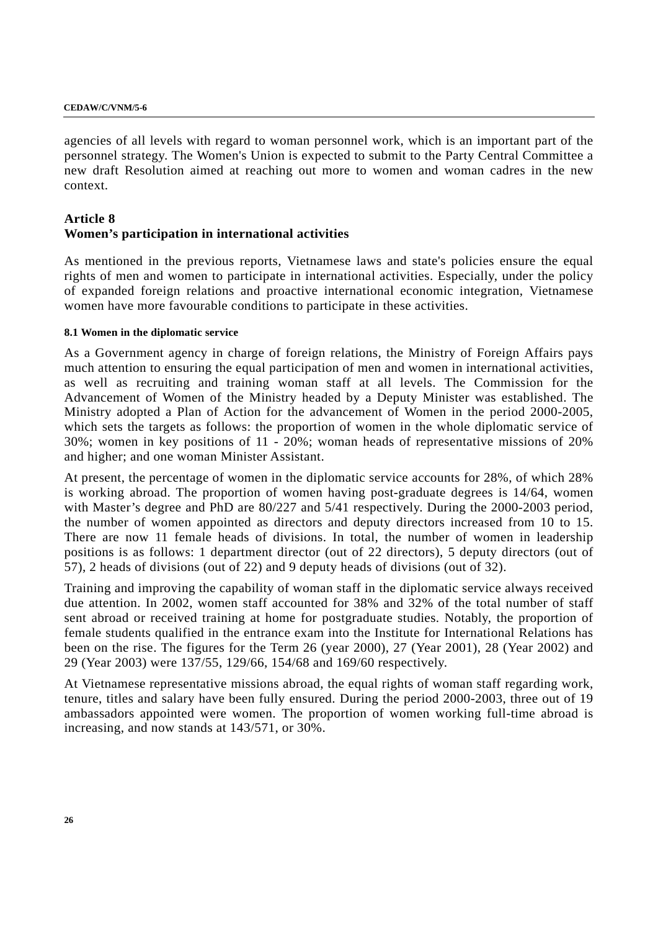agencies of all levels with regard to woman personnel work, which is an important part of the personnel strategy. The Women's Union is expected to submit to the Party Central Committee a new draft Resolution aimed at reaching out more to women and woman cadres in the new context.

## **Article 8 Women's participation in international activities**

As mentioned in the previous reports, Vietnamese laws and state's policies ensure the equal rights of men and women to participate in international activities. Especially, under the policy of expanded foreign relations and proactive international economic integration, Vietnamese women have more favourable conditions to participate in these activities.

## **8.1 Women in the diplomatic service**

As a Government agency in charge of foreign relations, the Ministry of Foreign Affairs pays much attention to ensuring the equal participation of men and women in international activities, as well as recruiting and training woman staff at all levels. The Commission for the Advancement of Women of the Ministry headed by a Deputy Minister was established. The Ministry adopted a Plan of Action for the advancement of Women in the period 2000-2005, which sets the targets as follows: the proportion of women in the whole diplomatic service of 30%; women in key positions of 11 - 20%; woman heads of representative missions of 20% and higher; and one woman Minister Assistant.

At present, the percentage of women in the diplomatic service accounts for 28%, of which 28% is working abroad. The proportion of women having post-graduate degrees is 14/64, women with Master's degree and PhD are 80/227 and 5/41 respectively. During the 2000-2003 period, the number of women appointed as directors and deputy directors increased from 10 to 15. There are now 11 female heads of divisions. In total, the number of women in leadership positions is as follows: 1 department director (out of 22 directors), 5 deputy directors (out of 57), 2 heads of divisions (out of 22) and 9 deputy heads of divisions (out of 32).

Training and improving the capability of woman staff in the diplomatic service always received due attention. In 2002, women staff accounted for 38% and 32% of the total number of staff sent abroad or received training at home for postgraduate studies. Notably, the proportion of female students qualified in the entrance exam into the Institute for International Relations has been on the rise. The figures for the Term 26 (year 2000), 27 (Year 2001), 28 (Year 2002) and 29 (Year 2003) were 137/55, 129/66, 154/68 and 169/60 respectively.

At Vietnamese representative missions abroad, the equal rights of woman staff regarding work, tenure, titles and salary have been fully ensured. During the period 2000-2003, three out of 19 ambassadors appointed were women. The proportion of women working full-time abroad is increasing, and now stands at 143/571, or 30%.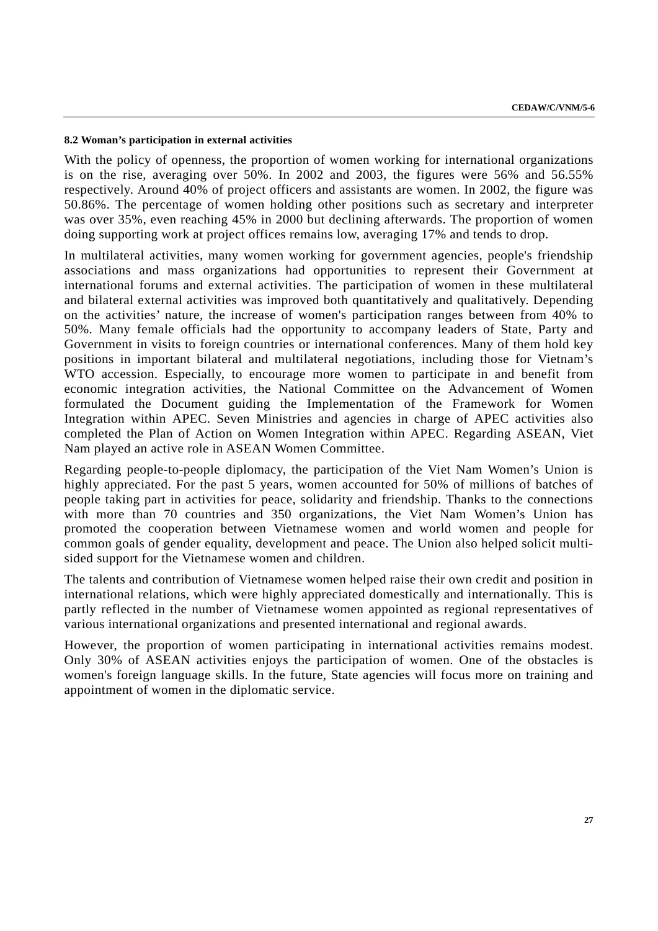#### **8.2 Woman's participation in external activities**

With the policy of openness, the proportion of women working for international organizations is on the rise, averaging over 50%. In 2002 and 2003, the figures were 56% and 56.55% respectively. Around 40% of project officers and assistants are women. In 2002, the figure was 50.86%. The percentage of women holding other positions such as secretary and interpreter was over 35%, even reaching 45% in 2000 but declining afterwards. The proportion of women doing supporting work at project offices remains low, averaging 17% and tends to drop.

In multilateral activities, many women working for government agencies, people's friendship associations and mass organizations had opportunities to represent their Government at international forums and external activities. The participation of women in these multilateral and bilateral external activities was improved both quantitatively and qualitatively. Depending on the activities' nature, the increase of women's participation ranges between from 40% to 50%. Many female officials had the opportunity to accompany leaders of State, Party and Government in visits to foreign countries or international conferences. Many of them hold key positions in important bilateral and multilateral negotiations, including those for Vietnam's WTO accession. Especially, to encourage more women to participate in and benefit from economic integration activities, the National Committee on the Advancement of Women formulated the Document guiding the Implementation of the Framework for Women Integration within APEC. Seven Ministries and agencies in charge of APEC activities also completed the Plan of Action on Women Integration within APEC. Regarding ASEAN, Viet Nam played an active role in ASEAN Women Committee.

Regarding people-to-people diplomacy, the participation of the Viet Nam Women's Union is highly appreciated. For the past 5 years, women accounted for 50% of millions of batches of people taking part in activities for peace, solidarity and friendship. Thanks to the connections with more than 70 countries and 350 organizations, the Viet Nam Women's Union has promoted the cooperation between Vietnamese women and world women and people for common goals of gender equality, development and peace. The Union also helped solicit multisided support for the Vietnamese women and children.

The talents and contribution of Vietnamese women helped raise their own credit and position in international relations, which were highly appreciated domestically and internationally. This is partly reflected in the number of Vietnamese women appointed as regional representatives of various international organizations and presented international and regional awards.

However, the proportion of women participating in international activities remains modest. Only 30% of ASEAN activities enjoys the participation of women. One of the obstacles is women's foreign language skills. In the future, State agencies will focus more on training and appointment of women in the diplomatic service.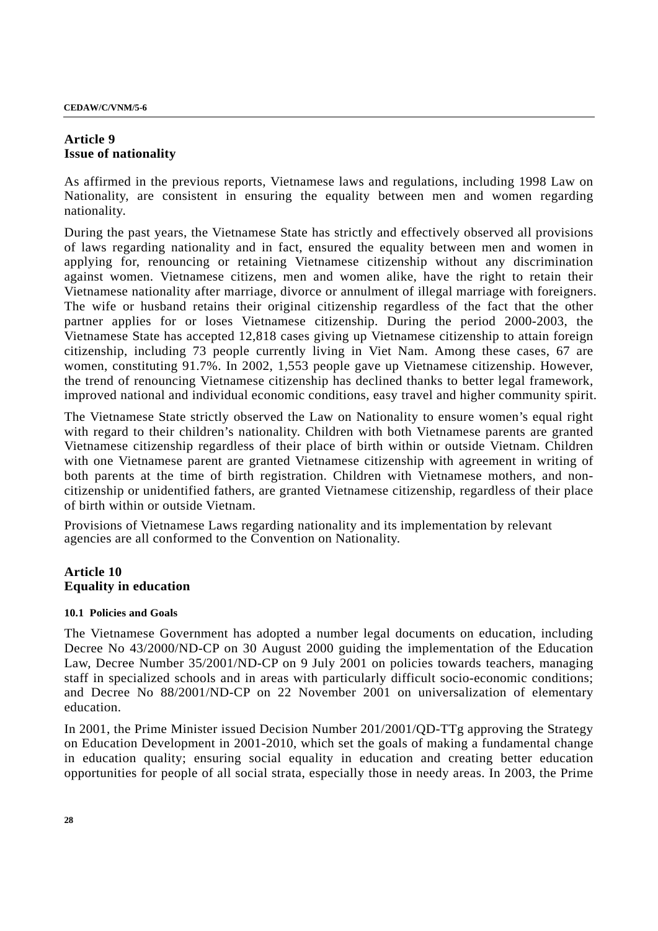## **Article 9 Issue of nationality**

As affirmed in the previous reports, Vietnamese laws and regulations, including 1998 Law on Nationality, are consistent in ensuring the equality between men and women regarding nationality.

During the past years, the Vietnamese State has strictly and effectively observed all provisions of laws regarding nationality and in fact, ensured the equality between men and women in applying for, renouncing or retaining Vietnamese citizenship without any discrimination against women. Vietnamese citizens, men and women alike, have the right to retain their Vietnamese nationality after marriage, divorce or annulment of illegal marriage with foreigners. The wife or husband retains their original citizenship regardless of the fact that the other partner applies for or loses Vietnamese citizenship. During the period 2000-2003, the Vietnamese State has accepted 12,818 cases giving up Vietnamese citizenship to attain foreign citizenship, including 73 people currently living in Viet Nam. Among these cases, 67 are women, constituting 91.7%. In 2002, 1,553 people gave up Vietnamese citizenship. However, the trend of renouncing Vietnamese citizenship has declined thanks to better legal framework, improved national and individual economic conditions, easy travel and higher community spirit.

The Vietnamese State strictly observed the Law on Nationality to ensure women's equal right with regard to their children's nationality. Children with both Vietnamese parents are granted Vietnamese citizenship regardless of their place of birth within or outside Vietnam. Children with one Vietnamese parent are granted Vietnamese citizenship with agreement in writing of both parents at the time of birth registration. Children with Vietnamese mothers, and noncitizenship or unidentified fathers, are granted Vietnamese citizenship, regardless of their place of birth within or outside Vietnam.

Provisions of Vietnamese Laws regarding nationality and its implementation by relevant agencies are all conformed to the Convention on Nationality.

## **Article 10 Equality in education**

## **10.1 Policies and Goals**

The Vietnamese Government has adopted a number legal documents on education, including Decree No 43/2000/ND-CP on 30 August 2000 guiding the implementation of the Education Law, Decree Number 35/2001/ND-CP on 9 July 2001 on policies towards teachers, managing staff in specialized schools and in areas with particularly difficult socio-economic conditions; and Decree No 88/2001/ND-CP on 22 November 2001 on universalization of elementary education.

In 2001, the Prime Minister issued Decision Number 201/2001/QD-TTg approving the Strategy on Education Development in 2001-2010, which set the goals of making a fundamental change in education quality; ensuring social equality in education and creating better education opportunities for people of all social strata, especially those in needy areas. In 2003, the Prime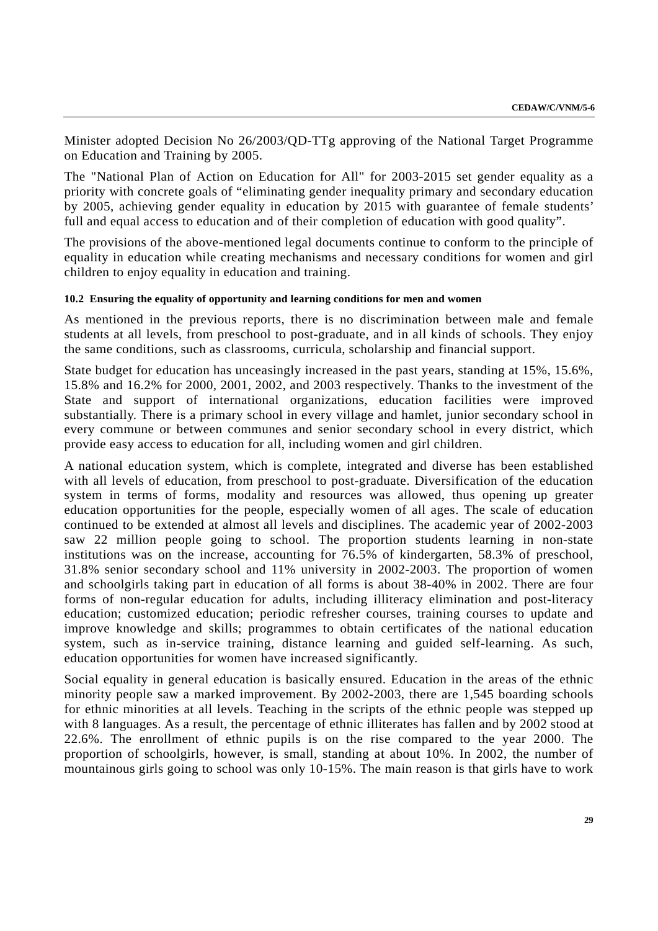Minister adopted Decision No 26/2003/QD-TTg approving of the National Target Programme on Education and Training by 2005.

The "National Plan of Action on Education for All" for 2003-2015 set gender equality as a priority with concrete goals of "eliminating gender inequality primary and secondary education by 2005, achieving gender equality in education by 2015 with guarantee of female students' full and equal access to education and of their completion of education with good quality".

The provisions of the above-mentioned legal documents continue to conform to the principle of equality in education while creating mechanisms and necessary conditions for women and girl children to enjoy equality in education and training.

### **10.2 Ensuring the equality of opportunity and learning conditions for men and women**

As mentioned in the previous reports, there is no discrimination between male and female students at all levels, from preschool to post-graduate, and in all kinds of schools. They enjoy the same conditions, such as classrooms, curricula, scholarship and financial support.

State budget for education has unceasingly increased in the past years, standing at 15%, 15.6%, 15.8% and 16.2% for 2000, 2001, 2002, and 2003 respectively. Thanks to the investment of the State and support of international organizations, education facilities were improved substantially. There is a primary school in every village and hamlet, junior secondary school in every commune or between communes and senior secondary school in every district, which provide easy access to education for all, including women and girl children.

A national education system, which is complete, integrated and diverse has been established with all levels of education, from preschool to post-graduate. Diversification of the education system in terms of forms, modality and resources was allowed, thus opening up greater education opportunities for the people, especially women of all ages. The scale of education continued to be extended at almost all levels and disciplines. The academic year of 2002-2003 saw 22 million people going to school. The proportion students learning in non-state institutions was on the increase, accounting for 76.5% of kindergarten, 58.3% of preschool, 31.8% senior secondary school and 11% university in 2002-2003. The proportion of women and schoolgirls taking part in education of all forms is about 38-40% in 2002. There are four forms of non-regular education for adults, including illiteracy elimination and post-literacy education; customized education; periodic refresher courses, training courses to update and improve knowledge and skills; programmes to obtain certificates of the national education system, such as in-service training, distance learning and guided self-learning. As such, education opportunities for women have increased significantly.

Social equality in general education is basically ensured. Education in the areas of the ethnic minority people saw a marked improvement. By 2002-2003, there are 1,545 boarding schools for ethnic minorities at all levels. Teaching in the scripts of the ethnic people was stepped up with 8 languages. As a result, the percentage of ethnic illiterates has fallen and by 2002 stood at 22.6%. The enrollment of ethnic pupils is on the rise compared to the year 2000. The proportion of schoolgirls, however, is small, standing at about 10%. In 2002, the number of mountainous girls going to school was only 10-15%. The main reason is that girls have to work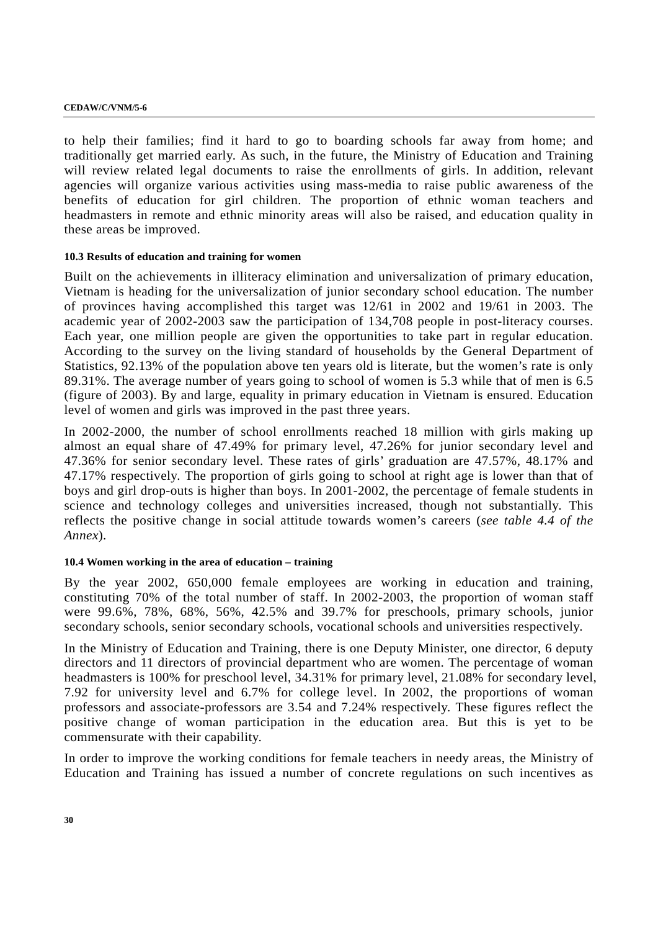to help their families; find it hard to go to boarding schools far away from home; and traditionally get married early. As such, in the future, the Ministry of Education and Training will review related legal documents to raise the enrollments of girls. In addition, relevant agencies will organize various activities using mass-media to raise public awareness of the benefits of education for girl children. The proportion of ethnic woman teachers and headmasters in remote and ethnic minority areas will also be raised, and education quality in these areas be improved.

### **10.3 Results of education and training for women**

Built on the achievements in illiteracy elimination and universalization of primary education, Vietnam is heading for the universalization of junior secondary school education. The number of provinces having accomplished this target was 12/61 in 2002 and 19/61 in 2003. The academic year of 2002-2003 saw the participation of 134,708 people in post-literacy courses. Each year, one million people are given the opportunities to take part in regular education. According to the survey on the living standard of households by the General Department of Statistics, 92.13% of the population above ten years old is literate, but the women's rate is only 89.31%. The average number of years going to school of women is 5.3 while that of men is 6.5 (figure of 2003). By and large, equality in primary education in Vietnam is ensured. Education level of women and girls was improved in the past three years.

In 2002-2000, the number of school enrollments reached 18 million with girls making up almost an equal share of 47.49% for primary level, 47.26% for junior secondary level and 47.36% for senior secondary level. These rates of girls' graduation are 47.57%, 48.17% and 47.17% respectively. The proportion of girls going to school at right age is lower than that of boys and girl drop-outs is higher than boys. In 2001-2002, the percentage of female students in science and technology colleges and universities increased, though not substantially. This reflects the positive change in social attitude towards women's careers (*see table 4.4 of the Annex*).

## **10.4 Women working in the area of education – training**

By the year 2002, 650,000 female employees are working in education and training, constituting 70% of the total number of staff. In 2002-2003, the proportion of woman staff were 99.6%, 78%, 68%, 56%, 42.5% and 39.7% for preschools, primary schools, junior secondary schools, senior secondary schools, vocational schools and universities respectively.

In the Ministry of Education and Training, there is one Deputy Minister, one director, 6 deputy directors and 11 directors of provincial department who are women. The percentage of woman headmasters is 100% for preschool level, 34.31% for primary level, 21.08% for secondary level, 7.92 for university level and 6.7% for college level. In 2002, the proportions of woman professors and associate-professors are 3.54 and 7.24% respectively. These figures reflect the positive change of woman participation in the education area. But this is yet to be commensurate with their capability.

In order to improve the working conditions for female teachers in needy areas, the Ministry of Education and Training has issued a number of concrete regulations on such incentives as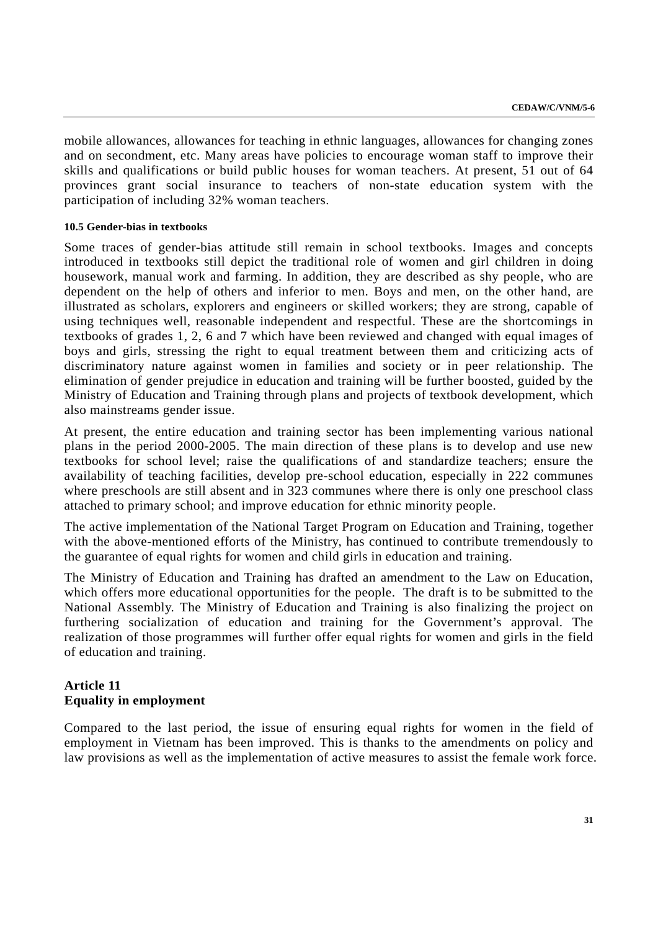mobile allowances, allowances for teaching in ethnic languages, allowances for changing zones and on secondment, etc. Many areas have policies to encourage woman staff to improve their skills and qualifications or build public houses for woman teachers. At present, 51 out of 64 provinces grant social insurance to teachers of non-state education system with the participation of including 32% woman teachers.

#### **10.5 Gender-bias in textbooks**

Some traces of gender-bias attitude still remain in school textbooks. Images and concepts introduced in textbooks still depict the traditional role of women and girl children in doing housework, manual work and farming. In addition, they are described as shy people, who are dependent on the help of others and inferior to men. Boys and men, on the other hand, are illustrated as scholars, explorers and engineers or skilled workers; they are strong, capable of using techniques well, reasonable independent and respectful. These are the shortcomings in textbooks of grades 1, 2, 6 and 7 which have been reviewed and changed with equal images of boys and girls, stressing the right to equal treatment between them and criticizing acts of discriminatory nature against women in families and society or in peer relationship. The elimination of gender prejudice in education and training will be further boosted, guided by the Ministry of Education and Training through plans and projects of textbook development, which also mainstreams gender issue.

At present, the entire education and training sector has been implementing various national plans in the period 2000-2005. The main direction of these plans is to develop and use new textbooks for school level; raise the qualifications of and standardize teachers; ensure the availability of teaching facilities, develop pre-school education, especially in 222 communes where preschools are still absent and in 323 communes where there is only one preschool class attached to primary school; and improve education for ethnic minority people.

The active implementation of the National Target Program on Education and Training, together with the above-mentioned efforts of the Ministry, has continued to contribute tremendously to the guarantee of equal rights for women and child girls in education and training.

The Ministry of Education and Training has drafted an amendment to the Law on Education, which offers more educational opportunities for the people. The draft is to be submitted to the National Assembly. The Ministry of Education and Training is also finalizing the project on furthering socialization of education and training for the Government's approval. The realization of those programmes will further offer equal rights for women and girls in the field of education and training.

# **Article 11 Equality in employment**

Compared to the last period, the issue of ensuring equal rights for women in the field of employment in Vietnam has been improved. This is thanks to the amendments on policy and law provisions as well as the implementation of active measures to assist the female work force.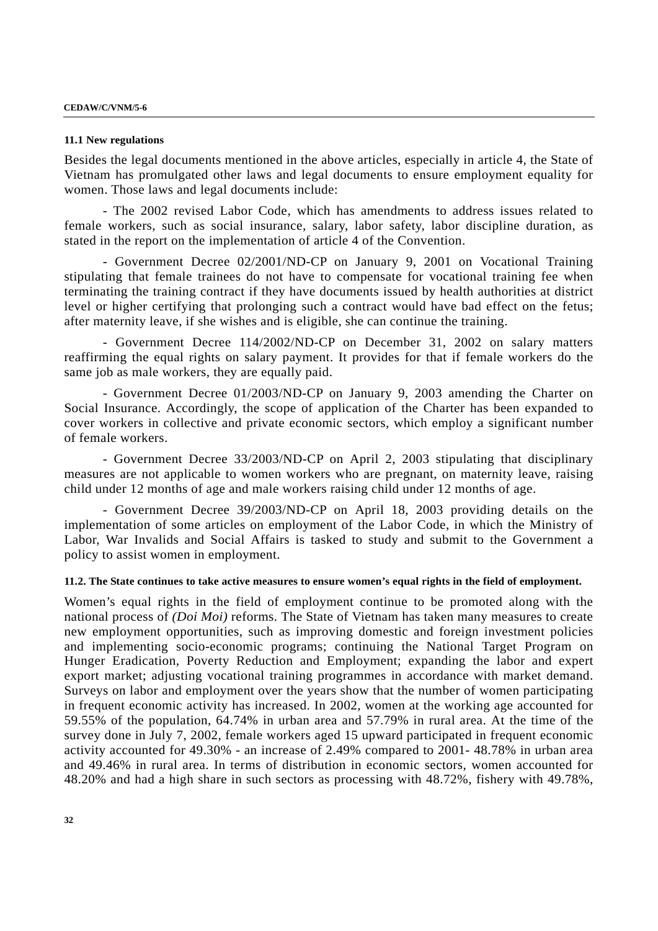#### **11.1 New regulations**

Besides the legal documents mentioned in the above articles, especially in article 4, the State of Vietnam has promulgated other laws and legal documents to ensure employment equality for women. Those laws and legal documents include:

- The 2002 revised Labor Code, which has amendments to address issues related to female workers, such as social insurance, salary, labor safety, labor discipline duration, as stated in the report on the implementation of article 4 of the Convention.

- Government Decree 02/2001/ND-CP on January 9, 2001 on Vocational Training stipulating that female trainees do not have to compensate for vocational training fee when terminating the training contract if they have documents issued by health authorities at district level or higher certifying that prolonging such a contract would have bad effect on the fetus; after maternity leave, if she wishes and is eligible, she can continue the training.

- Government Decree 114/2002/ND-CP on December 31, 2002 on salary matters reaffirming the equal rights on salary payment. It provides for that if female workers do the same job as male workers, they are equally paid.

- Government Decree 01/2003/ND-CP on January 9, 2003 amending the Charter on Social Insurance. Accordingly, the scope of application of the Charter has been expanded to cover workers in collective and private economic sectors, which employ a significant number of female workers.

- Government Decree 33/2003/ND-CP on April 2, 2003 stipulating that disciplinary measures are not applicable to women workers who are pregnant, on maternity leave, raising child under 12 months of age and male workers raising child under 12 months of age.

- Government Decree 39/2003/ND-CP on April 18, 2003 providing details on the implementation of some articles on employment of the Labor Code, in which the Ministry of Labor, War Invalids and Social Affairs is tasked to study and submit to the Government a policy to assist women in employment.

#### **11.2. The State continues to take active measures to ensure women's equal rights in the field of employment.**

Women's equal rights in the field of employment continue to be promoted along with the national process of *(Doi Moi)* reforms. The State of Vietnam has taken many measures to create new employment opportunities, such as improving domestic and foreign investment policies and implementing socio-economic programs; continuing the National Target Program on Hunger Eradication, Poverty Reduction and Employment; expanding the labor and expert export market; adjusting vocational training programmes in accordance with market demand. Surveys on labor and employment over the years show that the number of women participating in frequent economic activity has increased. In 2002, women at the working age accounted for 59.55% of the population, 64.74% in urban area and 57.79% in rural area. At the time of the survey done in July 7, 2002, female workers aged 15 upward participated in frequent economic activity accounted for 49.30% - an increase of 2.49% compared to 2001- 48.78% in urban area and 49.46% in rural area. In terms of distribution in economic sectors, women accounted for 48.20% and had a high share in such sectors as processing with 48.72%, fishery with 49.78%,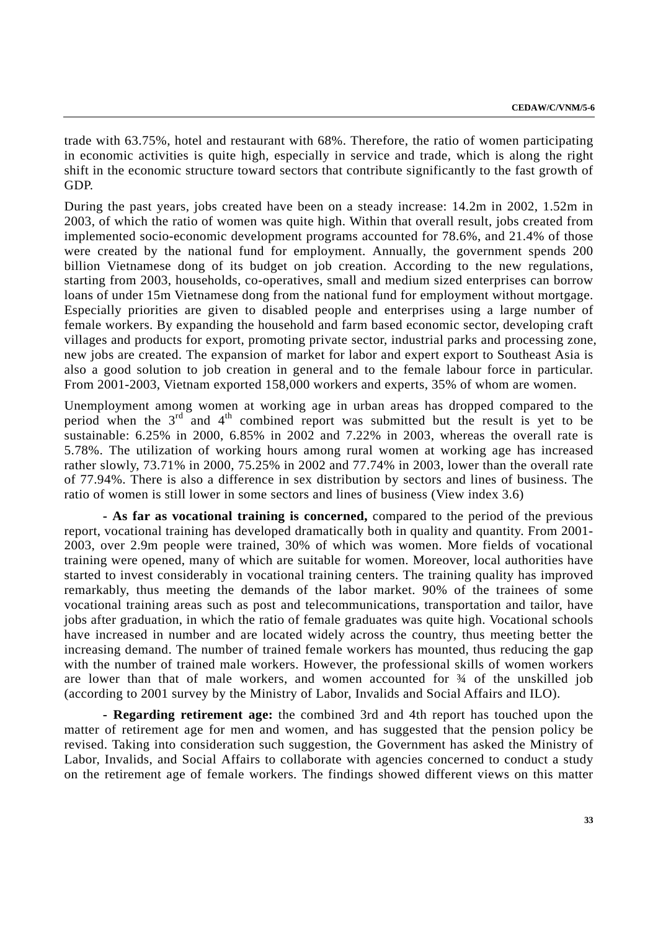trade with 63.75%, hotel and restaurant with 68%. Therefore, the ratio of women participating in economic activities is quite high, especially in service and trade, which is along the right shift in the economic structure toward sectors that contribute significantly to the fast growth of GDP.

During the past years, jobs created have been on a steady increase: 14.2m in 2002, 1.52m in 2003, of which the ratio of women was quite high. Within that overall result, jobs created from implemented socio-economic development programs accounted for 78.6%, and 21.4% of those were created by the national fund for employment. Annually, the government spends 200 billion Vietnamese dong of its budget on job creation. According to the new regulations, starting from 2003, households, co-operatives, small and medium sized enterprises can borrow loans of under 15m Vietnamese dong from the national fund for employment without mortgage. Especially priorities are given to disabled people and enterprises using a large number of female workers. By expanding the household and farm based economic sector, developing craft villages and products for export, promoting private sector, industrial parks and processing zone, new jobs are created. The expansion of market for labor and expert export to Southeast Asia is also a good solution to job creation in general and to the female labour force in particular. From 2001-2003, Vietnam exported 158,000 workers and experts, 35% of whom are women.

Unemployment among women at working age in urban areas has dropped compared to the period when the  $3<sup>rd</sup>$  and  $4<sup>th</sup>$  combined report was submitted but the result is yet to be sustainable: 6.25% in 2000, 6.85% in 2002 and 7.22% in 2003, whereas the overall rate is 5.78%. The utilization of working hours among rural women at working age has increased rather slowly, 73.71% in 2000, 75.25% in 2002 and 77.74% in 2003, lower than the overall rate of 77.94%. There is also a difference in sex distribution by sectors and lines of business. The ratio of women is still lower in some sectors and lines of business (View index 3.6)

**- As far as vocational training is concerned,** compared to the period of the previous report, vocational training has developed dramatically both in quality and quantity. From 2001- 2003, over 2.9m people were trained, 30% of which was women. More fields of vocational training were opened, many of which are suitable for women. Moreover, local authorities have started to invest considerably in vocational training centers. The training quality has improved remarkably, thus meeting the demands of the labor market. 90% of the trainees of some vocational training areas such as post and telecommunications, transportation and tailor, have jobs after graduation, in which the ratio of female graduates was quite high. Vocational schools have increased in number and are located widely across the country, thus meeting better the increasing demand. The number of trained female workers has mounted, thus reducing the gap with the number of trained male workers. However, the professional skills of women workers are lower than that of male workers, and women accounted for ¾ of the unskilled job (according to 2001 survey by the Ministry of Labor, Invalids and Social Affairs and ILO).

**- Regarding retirement age:** the combined 3rd and 4th report has touched upon the matter of retirement age for men and women, and has suggested that the pension policy be revised. Taking into consideration such suggestion, the Government has asked the Ministry of Labor, Invalids, and Social Affairs to collaborate with agencies concerned to conduct a study on the retirement age of female workers. The findings showed different views on this matter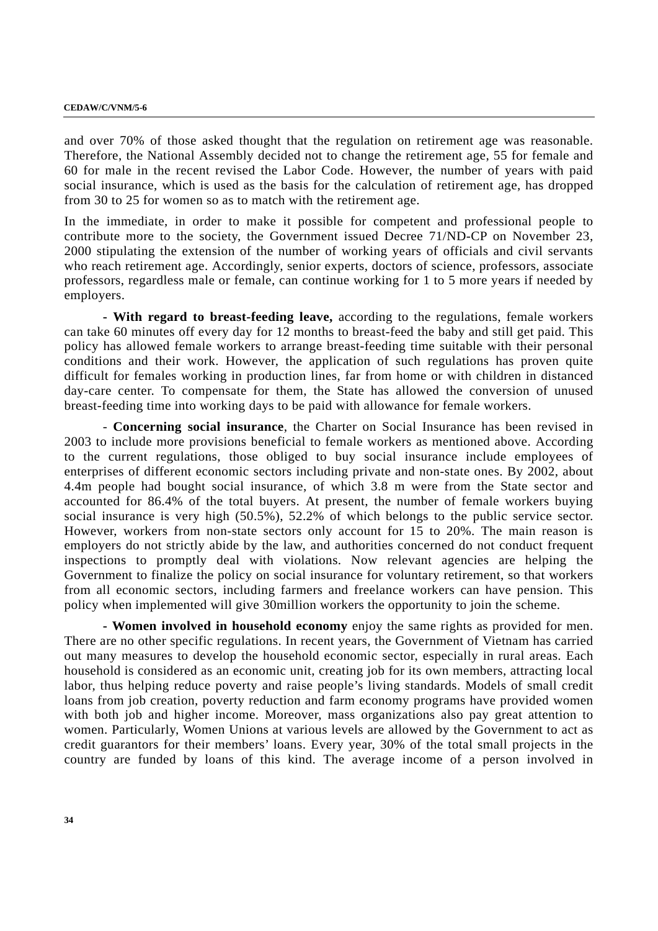and over 70% of those asked thought that the regulation on retirement age was reasonable. Therefore, the National Assembly decided not to change the retirement age, 55 for female and 60 for male in the recent revised the Labor Code. However, the number of years with paid social insurance, which is used as the basis for the calculation of retirement age, has dropped from 30 to 25 for women so as to match with the retirement age.

In the immediate, in order to make it possible for competent and professional people to contribute more to the society, the Government issued Decree 71/ND-CP on November 23, 2000 stipulating the extension of the number of working years of officials and civil servants who reach retirement age. Accordingly, senior experts, doctors of science, professors, associate professors, regardless male or female, can continue working for 1 to 5 more years if needed by employers.

**- With regard to breast-feeding leave,** according to the regulations, female workers can take 60 minutes off every day for 12 months to breast-feed the baby and still get paid. This policy has allowed female workers to arrange breast-feeding time suitable with their personal conditions and their work. However, the application of such regulations has proven quite difficult for females working in production lines, far from home or with children in distanced day-care center. To compensate for them, the State has allowed the conversion of unused breast-feeding time into working days to be paid with allowance for female workers.

- **Concerning social insurance**, the Charter on Social Insurance has been revised in 2003 to include more provisions beneficial to female workers as mentioned above. According to the current regulations, those obliged to buy social insurance include employees of enterprises of different economic sectors including private and non-state ones. By 2002, about 4.4m people had bought social insurance, of which 3.8 m were from the State sector and accounted for 86.4% of the total buyers. At present, the number of female workers buying social insurance is very high (50.5%), 52.2% of which belongs to the public service sector. However, workers from non-state sectors only account for 15 to 20%. The main reason is employers do not strictly abide by the law, and authorities concerned do not conduct frequent inspections to promptly deal with violations. Now relevant agencies are helping the Government to finalize the policy on social insurance for voluntary retirement, so that workers from all economic sectors, including farmers and freelance workers can have pension. This policy when implemented will give 30million workers the opportunity to join the scheme.

**- Women involved in household economy** enjoy the same rights as provided for men. There are no other specific regulations. In recent years, the Government of Vietnam has carried out many measures to develop the household economic sector, especially in rural areas. Each household is considered as an economic unit, creating job for its own members, attracting local labor, thus helping reduce poverty and raise people's living standards. Models of small credit loans from job creation, poverty reduction and farm economy programs have provided women with both job and higher income. Moreover, mass organizations also pay great attention to women. Particularly, Women Unions at various levels are allowed by the Government to act as credit guarantors for their members' loans. Every year, 30% of the total small projects in the country are funded by loans of this kind. The average income of a person involved in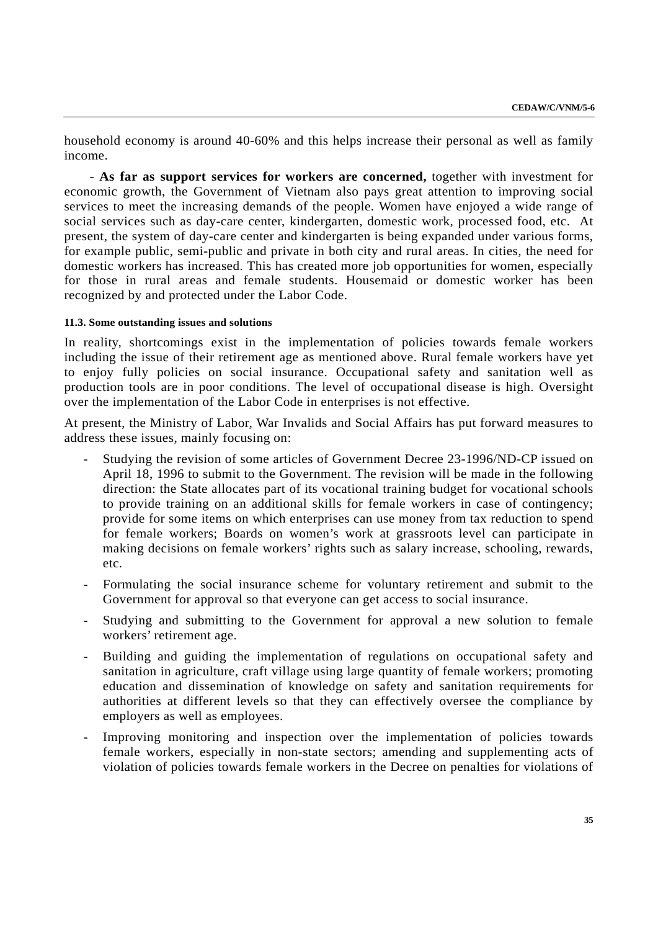household economy is around 40-60% and this helps increase their personal as well as family income.

 - **As far as support services for workers are concerned,** together with investment for economic growth, the Government of Vietnam also pays great attention to improving social services to meet the increasing demands of the people. Women have enjoyed a wide range of social services such as day-care center, kindergarten, domestic work, processed food, etc. At present, the system of day-care center and kindergarten is being expanded under various forms, for example public, semi-public and private in both city and rural areas. In cities, the need for domestic workers has increased. This has created more job opportunities for women, especially for those in rural areas and female students. Housemaid or domestic worker has been recognized by and protected under the Labor Code.

#### **11.3. Some outstanding issues and solutions**

In reality, shortcomings exist in the implementation of policies towards female workers including the issue of their retirement age as mentioned above. Rural female workers have yet to enjoy fully policies on social insurance. Occupational safety and sanitation well as production tools are in poor conditions. The level of occupational disease is high. Oversight over the implementation of the Labor Code in enterprises is not effective.

At present, the Ministry of Labor, War Invalids and Social Affairs has put forward measures to address these issues, mainly focusing on:

- Studying the revision of some articles of Government Decree 23-1996/ND-CP issued on April 18, 1996 to submit to the Government. The revision will be made in the following direction: the State allocates part of its vocational training budget for vocational schools to provide training on an additional skills for female workers in case of contingency; provide for some items on which enterprises can use money from tax reduction to spend for female workers; Boards on women's work at grassroots level can participate in making decisions on female workers' rights such as salary increase, schooling, rewards, etc.
- Formulating the social insurance scheme for voluntary retirement and submit to the Government for approval so that everyone can get access to social insurance.
- Studying and submitting to the Government for approval a new solution to female workers' retirement age.
- Building and guiding the implementation of regulations on occupational safety and sanitation in agriculture, craft village using large quantity of female workers; promoting education and dissemination of knowledge on safety and sanitation requirements for authorities at different levels so that they can effectively oversee the compliance by employers as well as employees.
- Improving monitoring and inspection over the implementation of policies towards female workers, especially in non-state sectors; amending and supplementing acts of violation of policies towards female workers in the Decree on penalties for violations of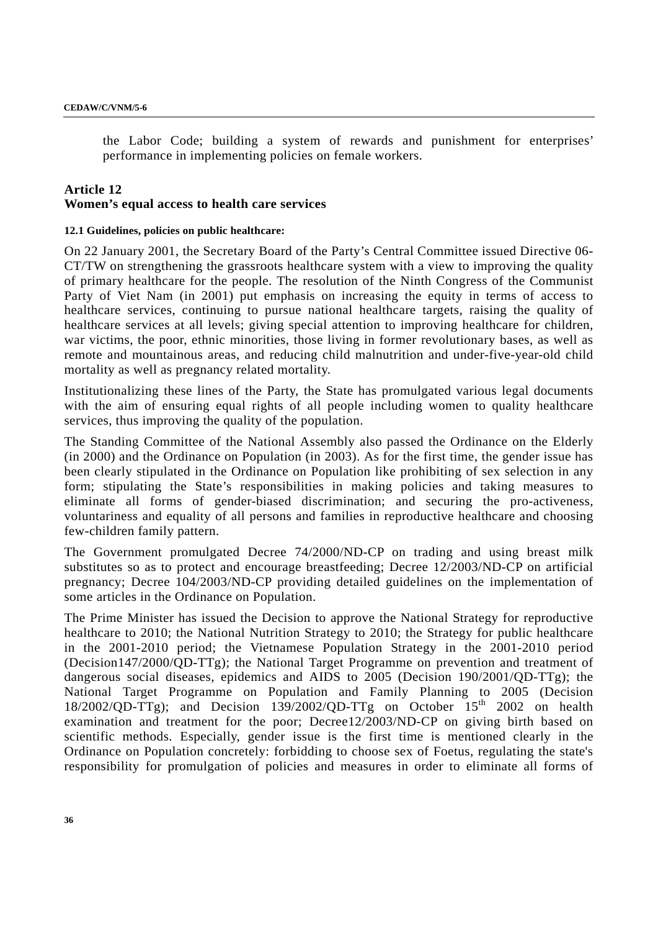the Labor Code; building a system of rewards and punishment for enterprises' performance in implementing policies on female workers.

## **Article 12 Women's equal access to health care services**

### **12.1 Guidelines, policies on public healthcare:**

On 22 January 2001, the Secretary Board of the Party's Central Committee issued Directive 06- CT/TW on strengthening the grassroots healthcare system with a view to improving the quality of primary healthcare for the people. The resolution of the Ninth Congress of the Communist Party of Viet Nam (in 2001) put emphasis on increasing the equity in terms of access to healthcare services, continuing to pursue national healthcare targets, raising the quality of healthcare services at all levels; giving special attention to improving healthcare for children, war victims, the poor, ethnic minorities, those living in former revolutionary bases, as well as remote and mountainous areas, and reducing child malnutrition and under-five-year-old child mortality as well as pregnancy related mortality.

Institutionalizing these lines of the Party, the State has promulgated various legal documents with the aim of ensuring equal rights of all people including women to quality healthcare services, thus improving the quality of the population.

The Standing Committee of the National Assembly also passed the Ordinance on the Elderly (in 2000) and the Ordinance on Population (in 2003). As for the first time, the gender issue has been clearly stipulated in the Ordinance on Population like prohibiting of sex selection in any form; stipulating the State's responsibilities in making policies and taking measures to eliminate all forms of gender-biased discrimination; and securing the pro-activeness, voluntariness and equality of all persons and families in reproductive healthcare and choosing few-children family pattern.

The Government promulgated Decree 74/2000/ND-CP on trading and using breast milk substitutes so as to protect and encourage breastfeeding; Decree 12/2003/ND-CP on artificial pregnancy; Decree 104/2003/ND-CP providing detailed guidelines on the implementation of some articles in the Ordinance on Population.

The Prime Minister has issued the Decision to approve the National Strategy for reproductive healthcare to 2010; the National Nutrition Strategy to 2010; the Strategy for public healthcare in the 2001-2010 period; the Vietnamese Population Strategy in the 2001-2010 period (Decision147/2000/QD-TTg); the National Target Programme on prevention and treatment of dangerous social diseases, epidemics and AIDS to 2005 (Decision 190/2001/QD-TTg); the National Target Programme on Population and Family Planning to 2005 (Decision  $18/2002/QD-TTg$ ; and Decision  $139/2002/QD-TTg$  on October  $15<sup>th</sup>$  2002 on health examination and treatment for the poor; Decree12/2003/ND-CP on giving birth based on scientific methods. Especially, gender issue is the first time is mentioned clearly in the Ordinance on Population concretely: forbidding to choose sex of Foetus, regulating the state's responsibility for promulgation of policies and measures in order to eliminate all forms of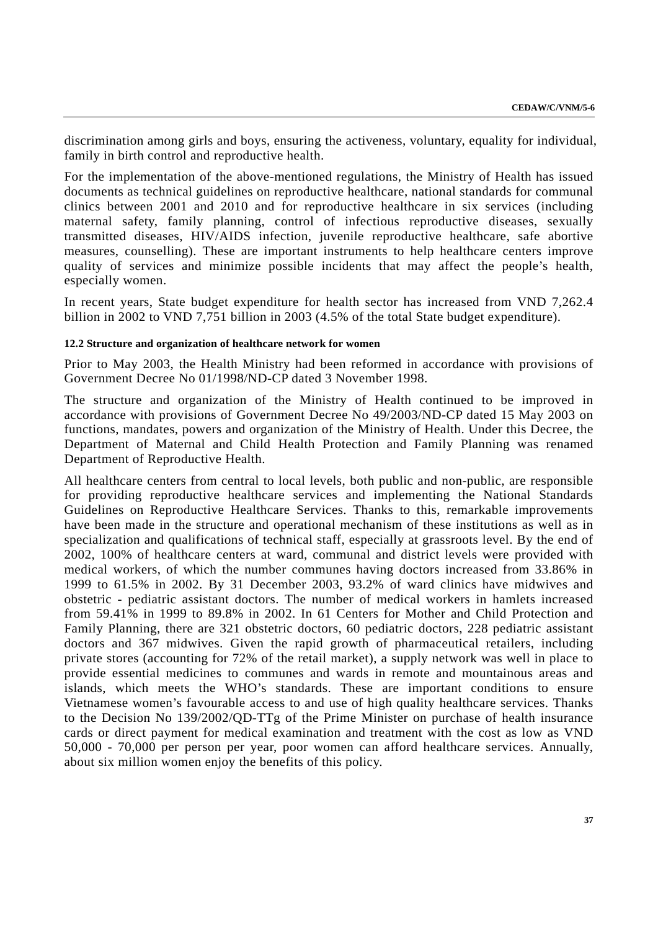discrimination among girls and boys, ensuring the activeness, voluntary, equality for individual, family in birth control and reproductive health.

For the implementation of the above-mentioned regulations, the Ministry of Health has issued documents as technical guidelines on reproductive healthcare, national standards for communal clinics between 2001 and 2010 and for reproductive healthcare in six services (including maternal safety, family planning, control of infectious reproductive diseases, sexually transmitted diseases, HIV/AIDS infection, juvenile reproductive healthcare, safe abortive measures, counselling). These are important instruments to help healthcare centers improve quality of services and minimize possible incidents that may affect the people's health, especially women.

In recent years, State budget expenditure for health sector has increased from VND 7,262.4 billion in 2002 to VND 7,751 billion in 2003 (4.5% of the total State budget expenditure).

### **12.2 Structure and organization of healthcare network for women**

Prior to May 2003, the Health Ministry had been reformed in accordance with provisions of Government Decree No 01/1998/ND-CP dated 3 November 1998.

The structure and organization of the Ministry of Health continued to be improved in accordance with provisions of Government Decree No 49/2003/ND-CP dated 15 May 2003 on functions, mandates, powers and organization of the Ministry of Health. Under this Decree, the Department of Maternal and Child Health Protection and Family Planning was renamed Department of Reproductive Health.

All healthcare centers from central to local levels, both public and non-public, are responsible for providing reproductive healthcare services and implementing the National Standards Guidelines on Reproductive Healthcare Services. Thanks to this, remarkable improvements have been made in the structure and operational mechanism of these institutions as well as in specialization and qualifications of technical staff, especially at grassroots level. By the end of 2002, 100% of healthcare centers at ward, communal and district levels were provided with medical workers, of which the number communes having doctors increased from 33.86% in 1999 to 61.5% in 2002. By 31 December 2003, 93.2% of ward clinics have midwives and obstetric - pediatric assistant doctors. The number of medical workers in hamlets increased from 59.41% in 1999 to 89.8% in 2002. In 61 Centers for Mother and Child Protection and Family Planning, there are 321 obstetric doctors, 60 pediatric doctors, 228 pediatric assistant doctors and 367 midwives. Given the rapid growth of pharmaceutical retailers, including private stores (accounting for 72% of the retail market), a supply network was well in place to provide essential medicines to communes and wards in remote and mountainous areas and islands, which meets the WHO's standards. These are important conditions to ensure Vietnamese women's favourable access to and use of high quality healthcare services. Thanks to the Decision No 139/2002/QD-TTg of the Prime Minister on purchase of health insurance cards or direct payment for medical examination and treatment with the cost as low as VND 50,000 - 70,000 per person per year, poor women can afford healthcare services. Annually, about six million women enjoy the benefits of this policy.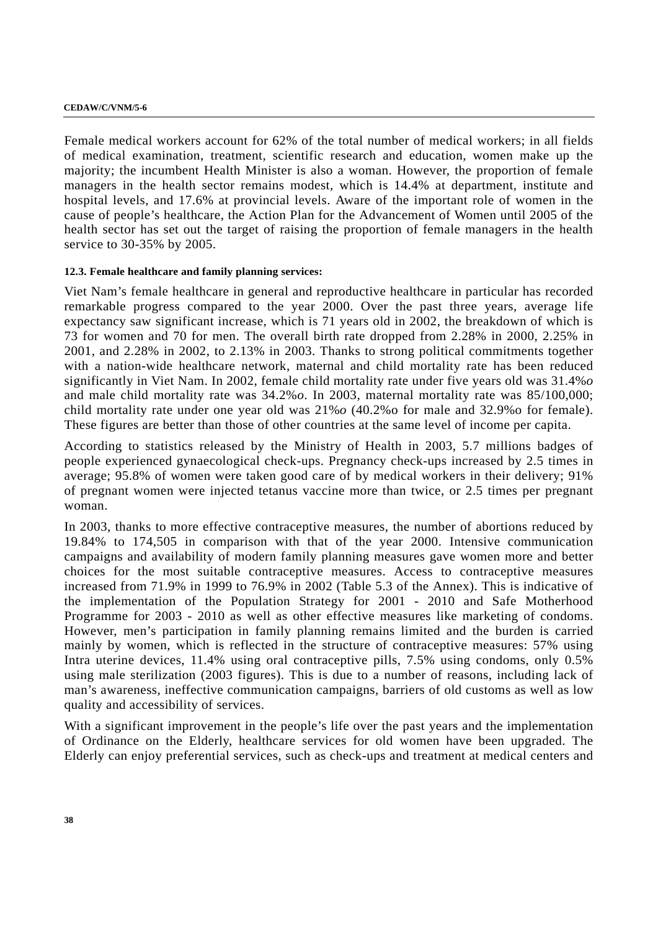#### **CEDAW/C/VNM/5-6**

Female medical workers account for 62% of the total number of medical workers; in all fields of medical examination, treatment, scientific research and education, women make up the majority; the incumbent Health Minister is also a woman. However, the proportion of female managers in the health sector remains modest, which is 14.4% at department, institute and hospital levels, and 17.6% at provincial levels. Aware of the important role of women in the cause of people's healthcare, the Action Plan for the Advancement of Women until 2005 of the health sector has set out the target of raising the proportion of female managers in the health service to 30-35% by 2005.

### **12.3. Female healthcare and family planning services:**

Viet Nam's female healthcare in general and reproductive healthcare in particular has recorded remarkable progress compared to the year 2000. Over the past three years, average life expectancy saw significant increase, which is 71 years old in 2002, the breakdown of which is 73 for women and 70 for men. The overall birth rate dropped from 2.28% in 2000, 2.25% in 2001, and 2.28% in 2002, to 2.13% in 2003. Thanks to strong political commitments together with a nation-wide healthcare network, maternal and child mortality rate has been reduced significantly in Viet Nam. In 2002, female child mortality rate under five years old was 31.4%*o* and male child mortality rate was 34.2%*o*. In 2003, maternal mortality rate was 85/100,000; child mortality rate under one year old was 21%*o* (40.2%o for male and 32.9%o for female). These figures are better than those of other countries at the same level of income per capita.

According to statistics released by the Ministry of Health in 2003, 5.7 millions badges of people experienced gynaecological check-ups. Pregnancy check-ups increased by 2.5 times in average; 95.8% of women were taken good care of by medical workers in their delivery; 91% of pregnant women were injected tetanus vaccine more than twice, or 2.5 times per pregnant woman.

In 2003, thanks to more effective contraceptive measures, the number of abortions reduced by 19.84% to 174,505 in comparison with that of the year 2000. Intensive communication campaigns and availability of modern family planning measures gave women more and better choices for the most suitable contraceptive measures. Access to contraceptive measures increased from 71.9% in 1999 to 76.9% in 2002 (Table 5.3 of the Annex). This is indicative of the implementation of the Population Strategy for 2001 - 2010 and Safe Motherhood Programme for 2003 - 2010 as well as other effective measures like marketing of condoms. However, men's participation in family planning remains limited and the burden is carried mainly by women, which is reflected in the structure of contraceptive measures: 57% using Intra uterine devices, 11.4% using oral contraceptive pills, 7.5% using condoms, only 0.5% using male sterilization (2003 figures). This is due to a number of reasons, including lack of man's awareness, ineffective communication campaigns, barriers of old customs as well as low quality and accessibility of services.

With a significant improvement in the people's life over the past years and the implementation of Ordinance on the Elderly, healthcare services for old women have been upgraded. The Elderly can enjoy preferential services, such as check-ups and treatment at medical centers and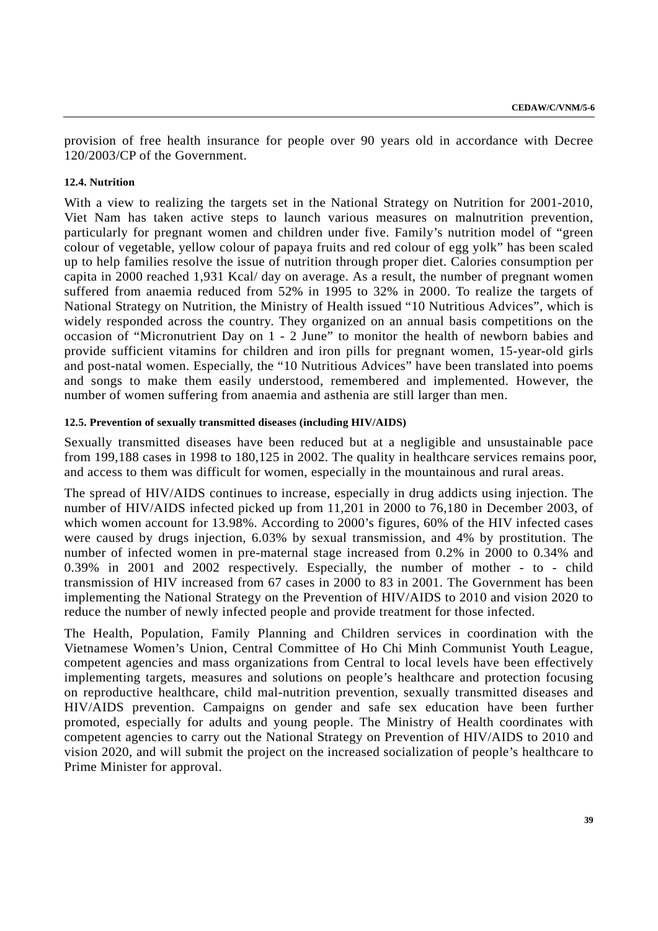provision of free health insurance for people over 90 years old in accordance with Decree 120/2003/CP of the Government.

### **12.4. Nutrition**

With a view to realizing the targets set in the National Strategy on Nutrition for 2001-2010, Viet Nam has taken active steps to launch various measures on malnutrition prevention, particularly for pregnant women and children under five. Family's nutrition model of "green colour of vegetable, yellow colour of papaya fruits and red colour of egg yolk" has been scaled up to help families resolve the issue of nutrition through proper diet. Calories consumption per capita in 2000 reached 1,931 Kcal/ day on average. As a result, the number of pregnant women suffered from anaemia reduced from 52% in 1995 to 32% in 2000. To realize the targets of National Strategy on Nutrition, the Ministry of Health issued "10 Nutritious Advices", which is widely responded across the country. They organized on an annual basis competitions on the occasion of "Micronutrient Day on 1 - 2 June" to monitor the health of newborn babies and provide sufficient vitamins for children and iron pills for pregnant women, 15-year-old girls and post-natal women. Especially, the "10 Nutritious Advices" have been translated into poems and songs to make them easily understood, remembered and implemented. However, the number of women suffering from anaemia and asthenia are still larger than men.

### **12.5. Prevention of sexually transmitted diseases (including HIV/AIDS)**

Sexually transmitted diseases have been reduced but at a negligible and unsustainable pace from 199,188 cases in 1998 to 180,125 in 2002. The quality in healthcare services remains poor, and access to them was difficult for women, especially in the mountainous and rural areas.

The spread of HIV/AIDS continues to increase, especially in drug addicts using injection. The number of HIV/AIDS infected picked up from 11,201 in 2000 to 76,180 in December 2003, of which women account for 13.98%. According to 2000's figures, 60% of the HIV infected cases were caused by drugs injection, 6.03% by sexual transmission, and 4% by prostitution. The number of infected women in pre-maternal stage increased from 0.2% in 2000 to 0.34% and 0.39% in 2001 and 2002 respectively. Especially, the number of mother - to - child transmission of HIV increased from 67 cases in 2000 to 83 in 2001. The Government has been implementing the National Strategy on the Prevention of HIV/AIDS to 2010 and vision 2020 to reduce the number of newly infected people and provide treatment for those infected.

The Health, Population, Family Planning and Children services in coordination with the Vietnamese Women's Union, Central Committee of Ho Chi Minh Communist Youth League, competent agencies and mass organizations from Central to local levels have been effectively implementing targets, measures and solutions on people's healthcare and protection focusing on reproductive healthcare, child mal-nutrition prevention, sexually transmitted diseases and HIV/AIDS prevention. Campaigns on gender and safe sex education have been further promoted, especially for adults and young people. The Ministry of Health coordinates with competent agencies to carry out the National Strategy on Prevention of HIV/AIDS to 2010 and vision 2020, and will submit the project on the increased socialization of people's healthcare to Prime Minister for approval.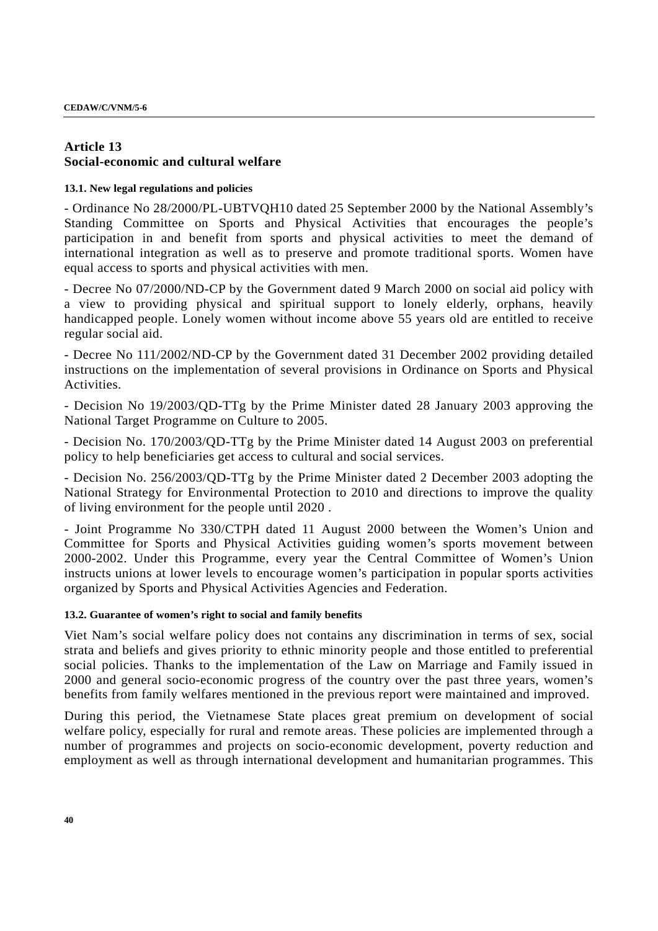### **Article 13 Social-economic and cultural welfare**

### **13.1. New legal regulations and policies**

- Ordinance No 28/2000/PL-UBTVQH10 dated 25 September 2000 by the National Assembly's Standing Committee on Sports and Physical Activities that encourages the people's participation in and benefit from sports and physical activities to meet the demand of international integration as well as to preserve and promote traditional sports. Women have equal access to sports and physical activities with men.

- Decree No 07/2000/ND-CP by the Government dated 9 March 2000 on social aid policy with a view to providing physical and spiritual support to lonely elderly, orphans, heavily handicapped people. Lonely women without income above 55 years old are entitled to receive regular social aid.

- Decree No 111/2002/ND-CP by the Government dated 31 December 2002 providing detailed instructions on the implementation of several provisions in Ordinance on Sports and Physical Activities.

- Decision No 19/2003/QD-TTg by the Prime Minister dated 28 January 2003 approving the National Target Programme on Culture to 2005.

- Decision No. 170/2003/QD-TTg by the Prime Minister dated 14 August 2003 on preferential policy to help beneficiaries get access to cultural and social services.

- Decision No. 256/2003/QD-TTg by the Prime Minister dated 2 December 2003 adopting the National Strategy for Environmental Protection to 2010 and directions to improve the quality of living environment for the people until 2020 .

- Joint Programme No 330/CTPH dated 11 August 2000 between the Women's Union and Committee for Sports and Physical Activities guiding women's sports movement between 2000-2002. Under this Programme, every year the Central Committee of Women's Union instructs unions at lower levels to encourage women's participation in popular sports activities organized by Sports and Physical Activities Agencies and Federation.

### **13.2. Guarantee of women's right to social and family benefits**

Viet Nam's social welfare policy does not contains any discrimination in terms of sex, social strata and beliefs and gives priority to ethnic minority people and those entitled to preferential social policies. Thanks to the implementation of the Law on Marriage and Family issued in 2000 and general socio-economic progress of the country over the past three years, women's benefits from family welfares mentioned in the previous report were maintained and improved.

During this period, the Vietnamese State places great premium on development of social welfare policy, especially for rural and remote areas. These policies are implemented through a number of programmes and projects on socio-economic development, poverty reduction and employment as well as through international development and humanitarian programmes. This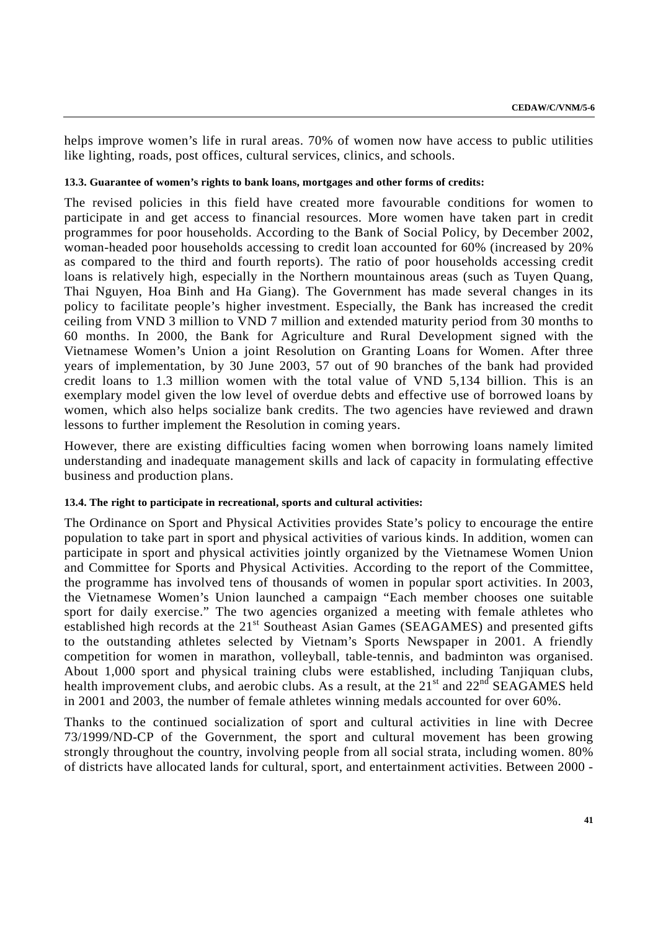helps improve women's life in rural areas. 70% of women now have access to public utilities like lighting, roads, post offices, cultural services, clinics, and schools.

#### **13.3. Guarantee of women's rights to bank loans, mortgages and other forms of credits:**

The revised policies in this field have created more favourable conditions for women to participate in and get access to financial resources. More women have taken part in credit programmes for poor households. According to the Bank of Social Policy, by December 2002, woman-headed poor households accessing to credit loan accounted for 60% (increased by 20% as compared to the third and fourth reports). The ratio of poor households accessing credit loans is relatively high, especially in the Northern mountainous areas (such as Tuyen Quang, Thai Nguyen, Hoa Binh and Ha Giang). The Government has made several changes in its policy to facilitate people's higher investment. Especially, the Bank has increased the credit ceiling from VND 3 million to VND 7 million and extended maturity period from 30 months to 60 months. In 2000, the Bank for Agriculture and Rural Development signed with the Vietnamese Women's Union a joint Resolution on Granting Loans for Women. After three years of implementation, by 30 June 2003, 57 out of 90 branches of the bank had provided credit loans to 1.3 million women with the total value of VND 5,134 billion. This is an exemplary model given the low level of overdue debts and effective use of borrowed loans by women, which also helps socialize bank credits. The two agencies have reviewed and drawn lessons to further implement the Resolution in coming years.

However, there are existing difficulties facing women when borrowing loans namely limited understanding and inadequate management skills and lack of capacity in formulating effective business and production plans.

### **13.4. The right to participate in recreational, sports and cultural activities:**

The Ordinance on Sport and Physical Activities provides State's policy to encourage the entire population to take part in sport and physical activities of various kinds. In addition, women can participate in sport and physical activities jointly organized by the Vietnamese Women Union and Committee for Sports and Physical Activities. According to the report of the Committee, the programme has involved tens of thousands of women in popular sport activities. In 2003, the Vietnamese Women's Union launched a campaign "Each member chooses one suitable sport for daily exercise." The two agencies organized a meeting with female athletes who established high records at the 21<sup>st</sup> Southeast Asian Games (SEAGAMES) and presented gifts to the outstanding athletes selected by Vietnam's Sports Newspaper in 2001. A friendly competition for women in marathon, volleyball, table-tennis, and badminton was organised. About 1,000 sport and physical training clubs were established, including Tanjiquan clubs, health improvement clubs, and aerobic clubs. As a result, at the  $21<sup>st</sup>$  and  $22<sup>nd</sup>$  SEAGAMES held in 2001 and 2003, the number of female athletes winning medals accounted for over 60%.

Thanks to the continued socialization of sport and cultural activities in line with Decree 73/1999/ND-CP of the Government, the sport and cultural movement has been growing strongly throughout the country, involving people from all social strata, including women. 80% of districts have allocated lands for cultural, sport, and entertainment activities. Between 2000 -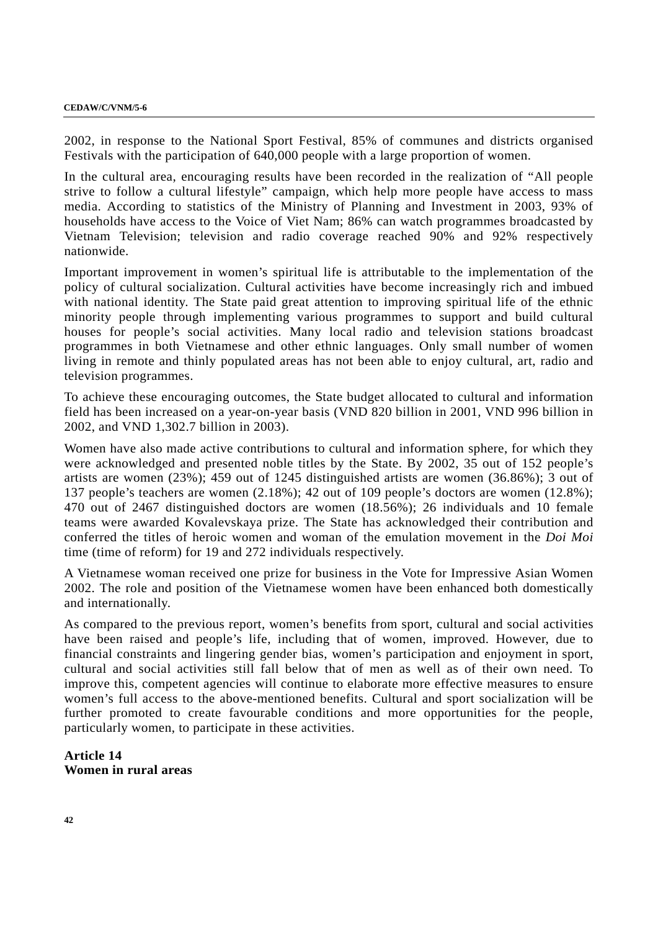#### **CEDAW/C/VNM/5-6**

2002, in response to the National Sport Festival, 85% of communes and districts organised Festivals with the participation of 640,000 people with a large proportion of women.

In the cultural area, encouraging results have been recorded in the realization of "All people strive to follow a cultural lifestyle" campaign, which help more people have access to mass media. According to statistics of the Ministry of Planning and Investment in 2003, 93% of households have access to the Voice of Viet Nam; 86% can watch programmes broadcasted by Vietnam Television; television and radio coverage reached 90% and 92% respectively nationwide.

Important improvement in women's spiritual life is attributable to the implementation of the policy of cultural socialization. Cultural activities have become increasingly rich and imbued with national identity. The State paid great attention to improving spiritual life of the ethnic minority people through implementing various programmes to support and build cultural houses for people's social activities. Many local radio and television stations broadcast programmes in both Vietnamese and other ethnic languages. Only small number of women living in remote and thinly populated areas has not been able to enjoy cultural, art, radio and television programmes.

To achieve these encouraging outcomes, the State budget allocated to cultural and information field has been increased on a year-on-year basis (VND 820 billion in 2001, VND 996 billion in 2002, and VND 1,302.7 billion in 2003).

Women have also made active contributions to cultural and information sphere, for which they were acknowledged and presented noble titles by the State. By 2002, 35 out of 152 people's artists are women (23%); 459 out of 1245 distinguished artists are women (36.86%); 3 out of 137 people's teachers are women (2.18%); 42 out of 109 people's doctors are women (12.8%); 470 out of 2467 distinguished doctors are women (18.56%); 26 individuals and 10 female teams were awarded Kovalevskaya prize. The State has acknowledged their contribution and conferred the titles of heroic women and woman of the emulation movement in the *Doi Moi* time (time of reform) for 19 and 272 individuals respectively.

A Vietnamese woman received one prize for business in the Vote for Impressive Asian Women 2002. The role and position of the Vietnamese women have been enhanced both domestically and internationally.

As compared to the previous report, women's benefits from sport, cultural and social activities have been raised and people's life, including that of women, improved. However, due to financial constraints and lingering gender bias, women's participation and enjoyment in sport, cultural and social activities still fall below that of men as well as of their own need. To improve this, competent agencies will continue to elaborate more effective measures to ensure women's full access to the above-mentioned benefits. Cultural and sport socialization will be further promoted to create favourable conditions and more opportunities for the people, particularly women, to participate in these activities.

**Article 14 Women in rural areas**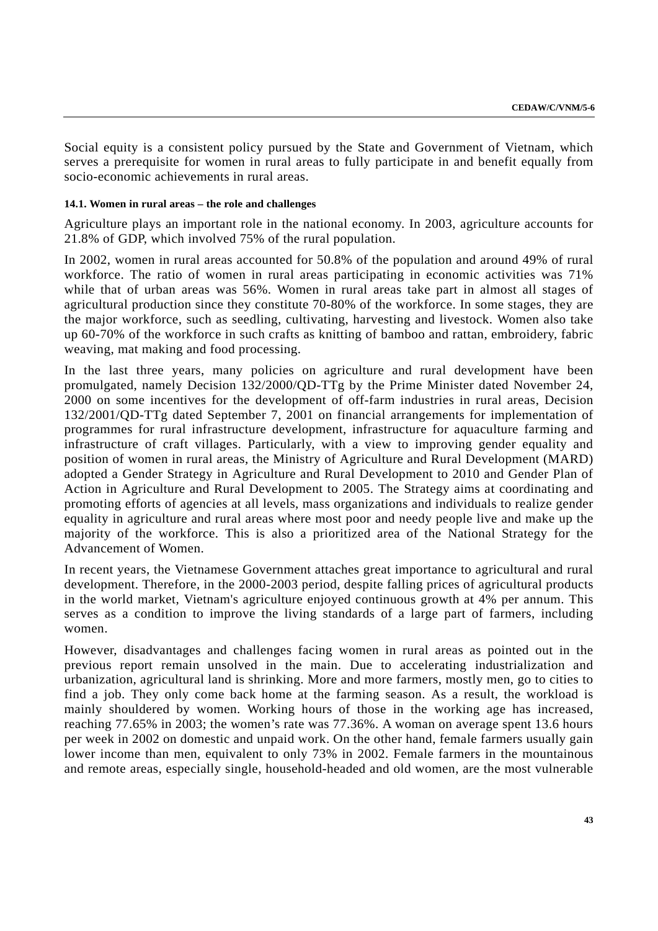Social equity is a consistent policy pursued by the State and Government of Vietnam, which serves a prerequisite for women in rural areas to fully participate in and benefit equally from socio-economic achievements in rural areas.

### **14.1. Women in rural areas – the role and challenges**

Agriculture plays an important role in the national economy. In 2003, agriculture accounts for 21.8% of GDP, which involved 75% of the rural population.

In 2002, women in rural areas accounted for 50.8% of the population and around 49% of rural workforce. The ratio of women in rural areas participating in economic activities was 71% while that of urban areas was 56%. Women in rural areas take part in almost all stages of agricultural production since they constitute 70-80% of the workforce. In some stages, they are the major workforce, such as seedling, cultivating, harvesting and livestock. Women also take up 60-70% of the workforce in such crafts as knitting of bamboo and rattan, embroidery, fabric weaving, mat making and food processing.

In the last three years, many policies on agriculture and rural development have been promulgated, namely Decision 132/2000/QD-TTg by the Prime Minister dated November 24, 2000 on some incentives for the development of off-farm industries in rural areas, Decision 132/2001/QD-TTg dated September 7, 2001 on financial arrangements for implementation of programmes for rural infrastructure development, infrastructure for aquaculture farming and infrastructure of craft villages. Particularly, with a view to improving gender equality and position of women in rural areas, the Ministry of Agriculture and Rural Development (MARD) adopted a Gender Strategy in Agriculture and Rural Development to 2010 and Gender Plan of Action in Agriculture and Rural Development to 2005. The Strategy aims at coordinating and promoting efforts of agencies at all levels, mass organizations and individuals to realize gender equality in agriculture and rural areas where most poor and needy people live and make up the majority of the workforce. This is also a prioritized area of the National Strategy for the Advancement of Women.

In recent years, the Vietnamese Government attaches great importance to agricultural and rural development. Therefore, in the 2000-2003 period, despite falling prices of agricultural products in the world market, Vietnam's agriculture enjoyed continuous growth at 4% per annum. This serves as a condition to improve the living standards of a large part of farmers, including women.

However, disadvantages and challenges facing women in rural areas as pointed out in the previous report remain unsolved in the main. Due to accelerating industrialization and urbanization, agricultural land is shrinking. More and more farmers, mostly men, go to cities to find a job. They only come back home at the farming season. As a result, the workload is mainly shouldered by women. Working hours of those in the working age has increased, reaching 77.65% in 2003; the women's rate was 77.36%. A woman on average spent 13.6 hours per week in 2002 on domestic and unpaid work. On the other hand, female farmers usually gain lower income than men, equivalent to only 73% in 2002. Female farmers in the mountainous and remote areas, especially single, household-headed and old women, are the most vulnerable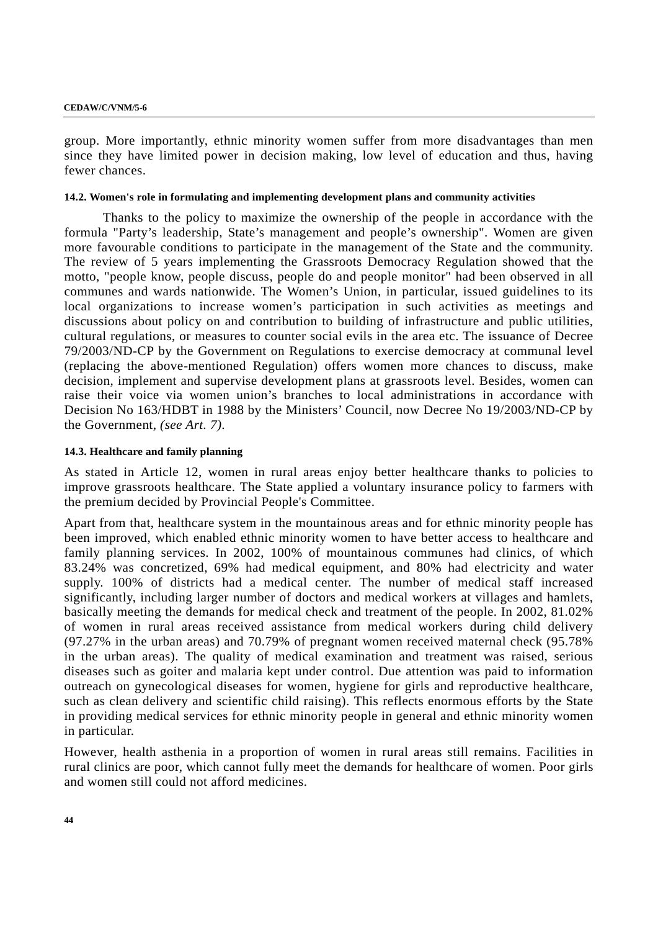#### **CEDAW/C/VNM/5-6**

group. More importantly, ethnic minority women suffer from more disadvantages than men since they have limited power in decision making, low level of education and thus, having fewer chances.

### **14.2. Women's role in formulating and implementing development plans and community activities**

Thanks to the policy to maximize the ownership of the people in accordance with the formula "Party's leadership, State's management and people's ownership". Women are given more favourable conditions to participate in the management of the State and the community. The review of 5 years implementing the Grassroots Democracy Regulation showed that the motto, "people know, people discuss, people do and people monitor" had been observed in all communes and wards nationwide. The Women's Union, in particular, issued guidelines to its local organizations to increase women's participation in such activities as meetings and discussions about policy on and contribution to building of infrastructure and public utilities, cultural regulations, or measures to counter social evils in the area etc. The issuance of Decree 79/2003/ND-CP by the Government on Regulations to exercise democracy at communal level (replacing the above-mentioned Regulation) offers women more chances to discuss, make decision, implement and supervise development plans at grassroots level. Besides, women can raise their voice via women union's branches to local administrations in accordance with Decision No 163/HDBT in 1988 by the Ministers' Council, now Decree No 19/2003/ND-CP by the Government, *(see Art. 7).*

### **14.3. Healthcare and family planning**

As stated in Article 12, women in rural areas enjoy better healthcare thanks to policies to improve grassroots healthcare. The State applied a voluntary insurance policy to farmers with the premium decided by Provincial People's Committee.

Apart from that, healthcare system in the mountainous areas and for ethnic minority people has been improved, which enabled ethnic minority women to have better access to healthcare and family planning services. In 2002, 100% of mountainous communes had clinics, of which 83.24% was concretized, 69% had medical equipment, and 80% had electricity and water supply. 100% of districts had a medical center. The number of medical staff increased significantly, including larger number of doctors and medical workers at villages and hamlets, basically meeting the demands for medical check and treatment of the people. In 2002, 81.02% of women in rural areas received assistance from medical workers during child delivery (97.27% in the urban areas) and 70.79% of pregnant women received maternal check (95.78% in the urban areas). The quality of medical examination and treatment was raised, serious diseases such as goiter and malaria kept under control. Due attention was paid to information outreach on gynecological diseases for women, hygiene for girls and reproductive healthcare, such as clean delivery and scientific child raising). This reflects enormous efforts by the State in providing medical services for ethnic minority people in general and ethnic minority women in particular.

However, health asthenia in a proportion of women in rural areas still remains. Facilities in rural clinics are poor, which cannot fully meet the demands for healthcare of women. Poor girls and women still could not afford medicines.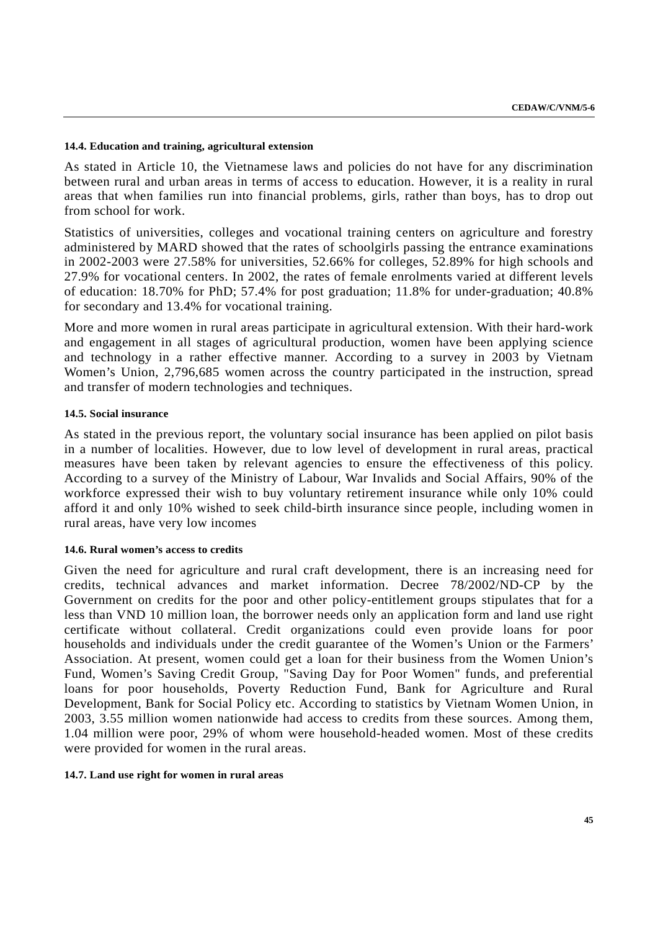### **14.4. Education and training, agricultural extension**

As stated in Article 10, the Vietnamese laws and policies do not have for any discrimination between rural and urban areas in terms of access to education. However, it is a reality in rural areas that when families run into financial problems, girls, rather than boys, has to drop out from school for work.

Statistics of universities, colleges and vocational training centers on agriculture and forestry administered by MARD showed that the rates of schoolgirls passing the entrance examinations in 2002-2003 were 27.58% for universities, 52.66% for colleges, 52.89% for high schools and 27.9% for vocational centers. In 2002, the rates of female enrolments varied at different levels of education: 18.70% for PhD; 57.4% for post graduation; 11.8% for under-graduation; 40.8% for secondary and 13.4% for vocational training.

More and more women in rural areas participate in agricultural extension. With their hard-work and engagement in all stages of agricultural production, women have been applying science and technology in a rather effective manner. According to a survey in 2003 by Vietnam Women's Union, 2,796,685 women across the country participated in the instruction, spread and transfer of modern technologies and techniques.

### **14.5. Social insurance**

As stated in the previous report, the voluntary social insurance has been applied on pilot basis in a number of localities. However, due to low level of development in rural areas, practical measures have been taken by relevant agencies to ensure the effectiveness of this policy. According to a survey of the Ministry of Labour, War Invalids and Social Affairs, 90% of the workforce expressed their wish to buy voluntary retirement insurance while only 10% could afford it and only 10% wished to seek child-birth insurance since people, including women in rural areas, have very low incomes

#### **14.6. Rural women's access to credits**

Given the need for agriculture and rural craft development, there is an increasing need for credits, technical advances and market information. Decree 78/2002/ND-CP by the Government on credits for the poor and other policy-entitlement groups stipulates that for a less than VND 10 million loan, the borrower needs only an application form and land use right certificate without collateral. Credit organizations could even provide loans for poor households and individuals under the credit guarantee of the Women's Union or the Farmers' Association. At present, women could get a loan for their business from the Women Union's Fund, Women's Saving Credit Group, "Saving Day for Poor Women" funds, and preferential loans for poor households, Poverty Reduction Fund, Bank for Agriculture and Rural Development, Bank for Social Policy etc. According to statistics by Vietnam Women Union, in 2003, 3.55 million women nationwide had access to credits from these sources. Among them, 1.04 million were poor, 29% of whom were household-headed women. Most of these credits were provided for women in the rural areas.

#### **14.7. Land use right for women in rural areas**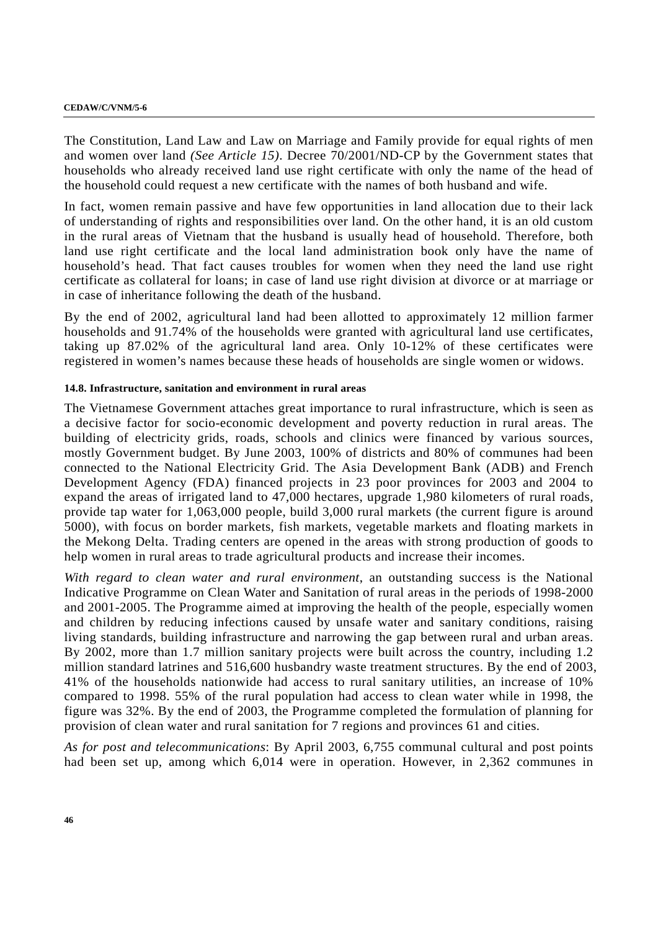#### **CEDAW/C/VNM/5-6**

The Constitution, Land Law and Law on Marriage and Family provide for equal rights of men and women over land *(See Article 15)*. Decree 70/2001/ND-CP by the Government states that households who already received land use right certificate with only the name of the head of the household could request a new certificate with the names of both husband and wife.

In fact, women remain passive and have few opportunities in land allocation due to their lack of understanding of rights and responsibilities over land. On the other hand, it is an old custom in the rural areas of Vietnam that the husband is usually head of household. Therefore, both land use right certificate and the local land administration book only have the name of household's head. That fact causes troubles for women when they need the land use right certificate as collateral for loans; in case of land use right division at divorce or at marriage or in case of inheritance following the death of the husband.

By the end of 2002, agricultural land had been allotted to approximately 12 million farmer households and 91.74% of the households were granted with agricultural land use certificates, taking up 87.02% of the agricultural land area. Only 10-12% of these certificates were registered in women's names because these heads of households are single women or widows.

### **14.8. Infrastructure, sanitation and environment in rural areas**

The Vietnamese Government attaches great importance to rural infrastructure, which is seen as a decisive factor for socio-economic development and poverty reduction in rural areas. The building of electricity grids, roads, schools and clinics were financed by various sources, mostly Government budget. By June 2003, 100% of districts and 80% of communes had been connected to the National Electricity Grid. The Asia Development Bank (ADB) and French Development Agency (FDA) financed projects in 23 poor provinces for 2003 and 2004 to expand the areas of irrigated land to 47,000 hectares, upgrade 1,980 kilometers of rural roads, provide tap water for 1,063,000 people, build 3,000 rural markets (the current figure is around 5000), with focus on border markets, fish markets, vegetable markets and floating markets in the Mekong Delta. Trading centers are opened in the areas with strong production of goods to help women in rural areas to trade agricultural products and increase their incomes.

*With regard to clean water and rural environment*, an outstanding success is the National Indicative Programme on Clean Water and Sanitation of rural areas in the periods of 1998-2000 and 2001-2005. The Programme aimed at improving the health of the people, especially women and children by reducing infections caused by unsafe water and sanitary conditions, raising living standards, building infrastructure and narrowing the gap between rural and urban areas. By 2002, more than 1.7 million sanitary projects were built across the country, including 1.2 million standard latrines and 516,600 husbandry waste treatment structures. By the end of 2003, 41% of the households nationwide had access to rural sanitary utilities, an increase of 10% compared to 1998. 55% of the rural population had access to clean water while in 1998, the figure was 32%. By the end of 2003, the Programme completed the formulation of planning for provision of clean water and rural sanitation for 7 regions and provinces 61 and cities.

*As for post and telecommunications*: By April 2003, 6,755 communal cultural and post points had been set up, among which 6,014 were in operation. However, in 2,362 communes in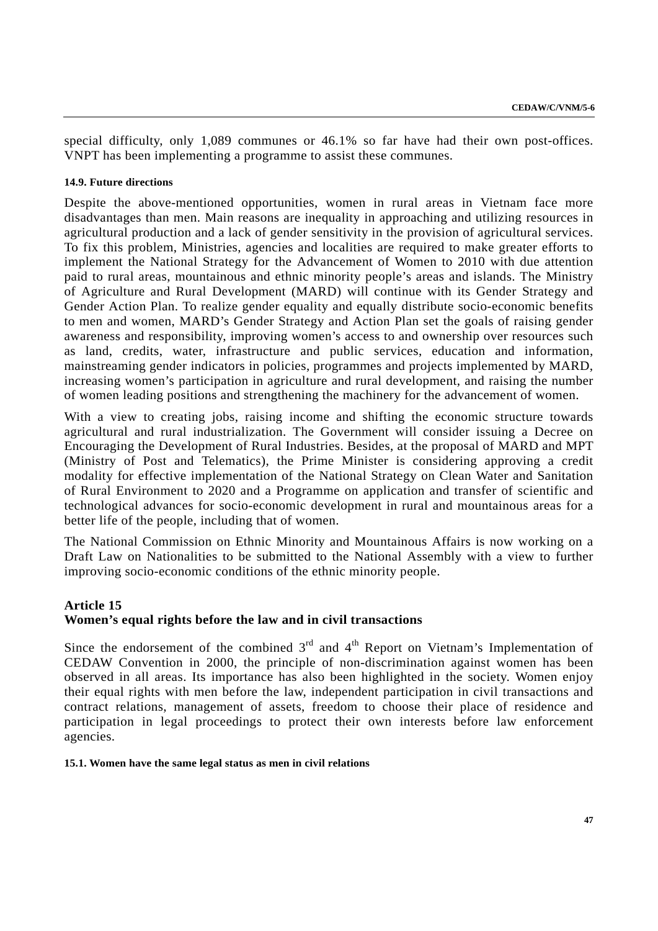special difficulty, only 1,089 communes or 46.1% so far have had their own post-offices. VNPT has been implementing a programme to assist these communes.

### **14.9. Future directions**

Despite the above-mentioned opportunities, women in rural areas in Vietnam face more disadvantages than men. Main reasons are inequality in approaching and utilizing resources in agricultural production and a lack of gender sensitivity in the provision of agricultural services. To fix this problem, Ministries, agencies and localities are required to make greater efforts to implement the National Strategy for the Advancement of Women to 2010 with due attention paid to rural areas, mountainous and ethnic minority people's areas and islands. The Ministry of Agriculture and Rural Development (MARD) will continue with its Gender Strategy and Gender Action Plan. To realize gender equality and equally distribute socio-economic benefits to men and women, MARD's Gender Strategy and Action Plan set the goals of raising gender awareness and responsibility, improving women's access to and ownership over resources such as land, credits, water, infrastructure and public services, education and information, mainstreaming gender indicators in policies, programmes and projects implemented by MARD, increasing women's participation in agriculture and rural development, and raising the number of women leading positions and strengthening the machinery for the advancement of women.

With a view to creating jobs, raising income and shifting the economic structure towards agricultural and rural industrialization. The Government will consider issuing a Decree on Encouraging the Development of Rural Industries. Besides, at the proposal of MARD and MPT (Ministry of Post and Telematics), the Prime Minister is considering approving a credit modality for effective implementation of the National Strategy on Clean Water and Sanitation of Rural Environment to 2020 and a Programme on application and transfer of scientific and technological advances for socio-economic development in rural and mountainous areas for a better life of the people, including that of women.

The National Commission on Ethnic Minority and Mountainous Affairs is now working on a Draft Law on Nationalities to be submitted to the National Assembly with a view to further improving socio-economic conditions of the ethnic minority people.

### **Article 15 Women's equal rights before the law and in civil transactions**

Since the endorsement of the combined  $3<sup>rd</sup>$  and  $4<sup>th</sup>$  Report on Vietnam's Implementation of CEDAW Convention in 2000, the principle of non-discrimination against women has been observed in all areas. Its importance has also been highlighted in the society. Women enjoy their equal rights with men before the law, independent participation in civil transactions and contract relations, management of assets, freedom to choose their place of residence and participation in legal proceedings to protect their own interests before law enforcement agencies.

**15.1. Women have the same legal status as men in civil relations**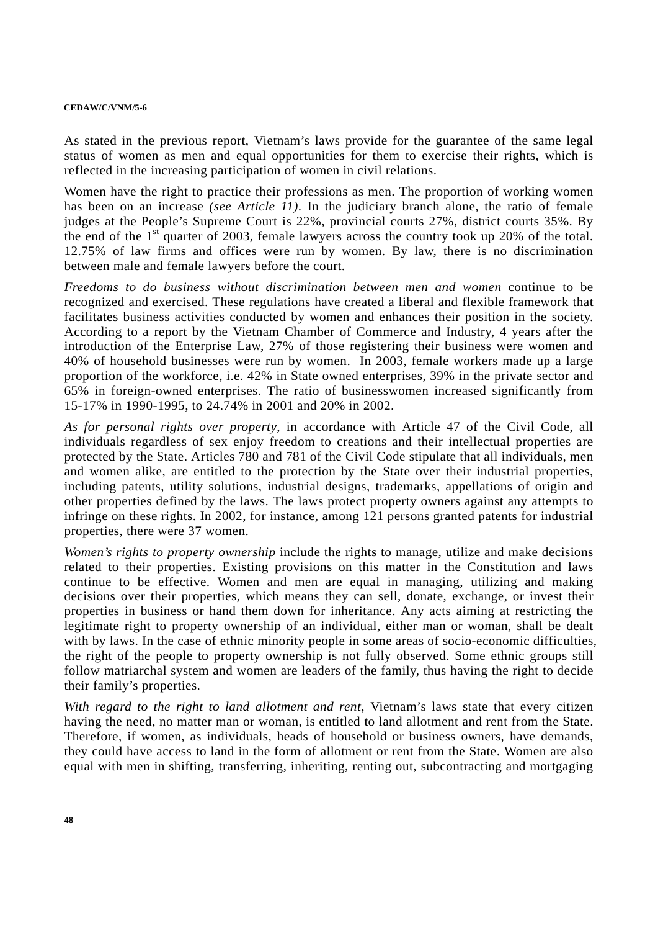#### **CEDAW/C/VNM/5-6**

As stated in the previous report, Vietnam's laws provide for the guarantee of the same legal status of women as men and equal opportunities for them to exercise their rights, which is reflected in the increasing participation of women in civil relations.

Women have the right to practice their professions as men. The proportion of working women has been on an increase *(see Article 11)*. In the judiciary branch alone, the ratio of female judges at the People's Supreme Court is 22%, provincial courts 27%, district courts 35%. By the end of the  $1<sup>st</sup>$  quarter of 2003, female lawyers across the country took up 20% of the total. 12.75% of law firms and offices were run by women. By law, there is no discrimination between male and female lawyers before the court.

*Freedoms to do business without discrimination between men and women* continue to be recognized and exercised. These regulations have created a liberal and flexible framework that facilitates business activities conducted by women and enhances their position in the society. According to a report by the Vietnam Chamber of Commerce and Industry, 4 years after the introduction of the Enterprise Law, 27% of those registering their business were women and 40% of household businesses were run by women. In 2003, female workers made up a large proportion of the workforce, i.e. 42% in State owned enterprises, 39% in the private sector and 65% in foreign-owned enterprises. The ratio of businesswomen increased significantly from 15-17% in 1990-1995, to 24.74% in 2001 and 20% in 2002.

*As for personal rights over property*, in accordance with Article 47 of the Civil Code, all individuals regardless of sex enjoy freedom to creations and their intellectual properties are protected by the State. Articles 780 and 781 of the Civil Code stipulate that all individuals, men and women alike, are entitled to the protection by the State over their industrial properties, including patents, utility solutions, industrial designs, trademarks, appellations of origin and other properties defined by the laws. The laws protect property owners against any attempts to infringe on these rights. In 2002, for instance, among 121 persons granted patents for industrial properties, there were 37 women.

*Women's rights to property ownership* include the rights to manage, utilize and make decisions related to their properties. Existing provisions on this matter in the Constitution and laws continue to be effective. Women and men are equal in managing, utilizing and making decisions over their properties, which means they can sell, donate, exchange, or invest their properties in business or hand them down for inheritance. Any acts aiming at restricting the legitimate right to property ownership of an individual, either man or woman, shall be dealt with by laws. In the case of ethnic minority people in some areas of socio-economic difficulties, the right of the people to property ownership is not fully observed. Some ethnic groups still follow matriarchal system and women are leaders of the family, thus having the right to decide their family's properties.

*With regard to the right to land allotment and rent*, Vietnam's laws state that every citizen having the need, no matter man or woman, is entitled to land allotment and rent from the State. Therefore, if women, as individuals, heads of household or business owners, have demands, they could have access to land in the form of allotment or rent from the State. Women are also equal with men in shifting, transferring, inheriting, renting out, subcontracting and mortgaging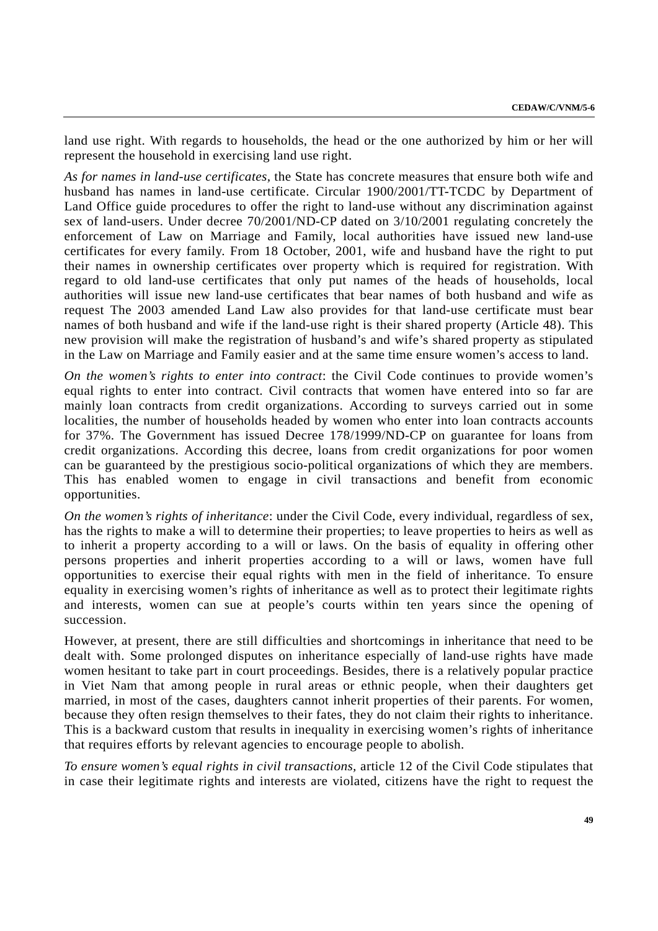land use right. With regards to households, the head or the one authorized by him or her will represent the household in exercising land use right.

*As for names in land-use certificates,* the State has concrete measures that ensure both wife and husband has names in land-use certificate. Circular 1900/2001/TT-TCDC by Department of Land Office guide procedures to offer the right to land-use without any discrimination against sex of land-users. Under decree 70/2001/ND-CP dated on 3/10/2001 regulating concretely the enforcement of Law on Marriage and Family, local authorities have issued new land-use certificates for every family. From 18 October, 2001, wife and husband have the right to put their names in ownership certificates over property which is required for registration. With regard to old land-use certificates that only put names of the heads of households, local authorities will issue new land-use certificates that bear names of both husband and wife as request The 2003 amended Land Law also provides for that land-use certificate must bear names of both husband and wife if the land-use right is their shared property (Article 48). This new provision will make the registration of husband's and wife's shared property as stipulated in the Law on Marriage and Family easier and at the same time ensure women's access to land.

*On the women's rights to enter into contract*: the Civil Code continues to provide women's equal rights to enter into contract. Civil contracts that women have entered into so far are mainly loan contracts from credit organizations. According to surveys carried out in some localities, the number of households headed by women who enter into loan contracts accounts for 37%. The Government has issued Decree 178/1999/ND-CP on guarantee for loans from credit organizations. According this decree, loans from credit organizations for poor women can be guaranteed by the prestigious socio-political organizations of which they are members. This has enabled women to engage in civil transactions and benefit from economic opportunities.

*On the women's rights of inheritance*: under the Civil Code, every individual, regardless of sex, has the rights to make a will to determine their properties; to leave properties to heirs as well as to inherit a property according to a will or laws. On the basis of equality in offering other persons properties and inherit properties according to a will or laws, women have full opportunities to exercise their equal rights with men in the field of inheritance. To ensure equality in exercising women's rights of inheritance as well as to protect their legitimate rights and interests, women can sue at people's courts within ten years since the opening of succession.

However, at present, there are still difficulties and shortcomings in inheritance that need to be dealt with. Some prolonged disputes on inheritance especially of land-use rights have made women hesitant to take part in court proceedings. Besides, there is a relatively popular practice in Viet Nam that among people in rural areas or ethnic people, when their daughters get married, in most of the cases, daughters cannot inherit properties of their parents. For women, because they often resign themselves to their fates, they do not claim their rights to inheritance. This is a backward custom that results in inequality in exercising women's rights of inheritance that requires efforts by relevant agencies to encourage people to abolish.

*To ensure women's equal rights in civil transactions,* article 12 of the Civil Code stipulates that in case their legitimate rights and interests are violated, citizens have the right to request the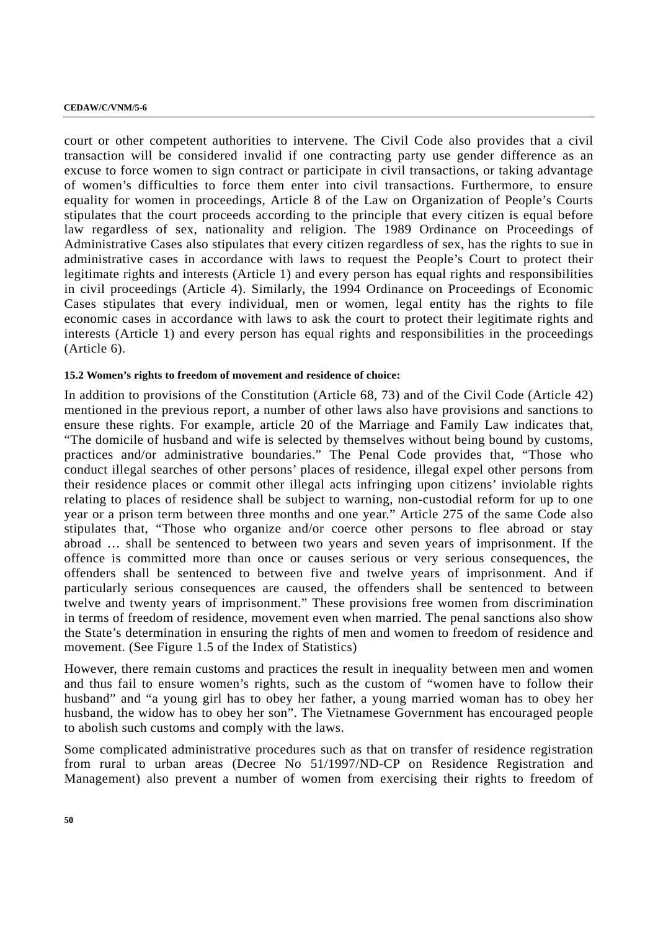#### **CEDAW/C/VNM/5-6**

court or other competent authorities to intervene. The Civil Code also provides that a civil transaction will be considered invalid if one contracting party use gender difference as an excuse to force women to sign contract or participate in civil transactions, or taking advantage of women's difficulties to force them enter into civil transactions. Furthermore, to ensure equality for women in proceedings, Article 8 of the Law on Organization of People's Courts stipulates that the court proceeds according to the principle that every citizen is equal before law regardless of sex, nationality and religion. The 1989 Ordinance on Proceedings of Administrative Cases also stipulates that every citizen regardless of sex, has the rights to sue in administrative cases in accordance with laws to request the People's Court to protect their legitimate rights and interests (Article 1) and every person has equal rights and responsibilities in civil proceedings (Article 4). Similarly, the 1994 Ordinance on Proceedings of Economic Cases stipulates that every individual, men or women, legal entity has the rights to file economic cases in accordance with laws to ask the court to protect their legitimate rights and interests (Article 1) and every person has equal rights and responsibilities in the proceedings (Article 6).

### **15.2 Women's rights to freedom of movement and residence of choice:**

In addition to provisions of the Constitution (Article 68, 73) and of the Civil Code (Article 42) mentioned in the previous report, a number of other laws also have provisions and sanctions to ensure these rights. For example, article 20 of the Marriage and Family Law indicates that, "The domicile of husband and wife is selected by themselves without being bound by customs, practices and/or administrative boundaries." The Penal Code provides that, "Those who conduct illegal searches of other persons' places of residence, illegal expel other persons from their residence places or commit other illegal acts infringing upon citizens' inviolable rights relating to places of residence shall be subject to warning, non-custodial reform for up to one year or a prison term between three months and one year." Article 275 of the same Code also stipulates that, "Those who organize and/or coerce other persons to flee abroad or stay abroad … shall be sentenced to between two years and seven years of imprisonment. If the offence is committed more than once or causes serious or very serious consequences, the offenders shall be sentenced to between five and twelve years of imprisonment. And if particularly serious consequences are caused, the offenders shall be sentenced to between twelve and twenty years of imprisonment." These provisions free women from discrimination in terms of freedom of residence, movement even when married. The penal sanctions also show the State's determination in ensuring the rights of men and women to freedom of residence and movement. (See Figure 1.5 of the Index of Statistics)

However, there remain customs and practices the result in inequality between men and women and thus fail to ensure women's rights, such as the custom of "women have to follow their husband" and "a young girl has to obey her father, a young married woman has to obey her husband, the widow has to obey her son". The Vietnamese Government has encouraged people to abolish such customs and comply with the laws.

Some complicated administrative procedures such as that on transfer of residence registration from rural to urban areas (Decree No 51/1997/ND-CP on Residence Registration and Management) also prevent a number of women from exercising their rights to freedom of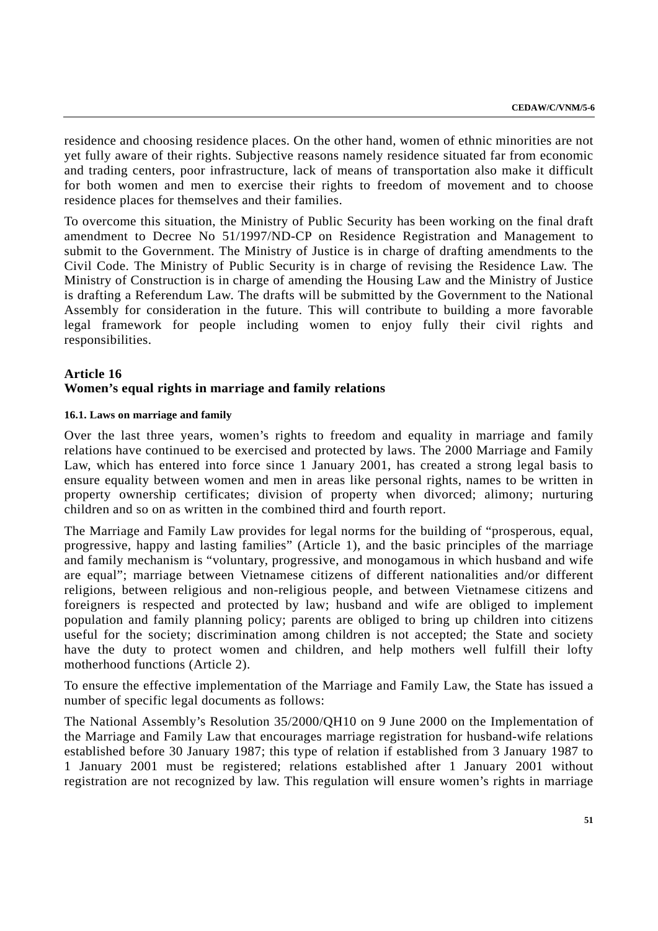residence and choosing residence places. On the other hand, women of ethnic minorities are not yet fully aware of their rights. Subjective reasons namely residence situated far from economic and trading centers, poor infrastructure, lack of means of transportation also make it difficult for both women and men to exercise their rights to freedom of movement and to choose residence places for themselves and their families.

To overcome this situation, the Ministry of Public Security has been working on the final draft amendment to Decree No 51/1997/ND-CP on Residence Registration and Management to submit to the Government. The Ministry of Justice is in charge of drafting amendments to the Civil Code. The Ministry of Public Security is in charge of revising the Residence Law. The Ministry of Construction is in charge of amending the Housing Law and the Ministry of Justice is drafting a Referendum Law. The drafts will be submitted by the Government to the National Assembly for consideration in the future. This will contribute to building a more favorable legal framework for people including women to enjoy fully their civil rights and responsibilities.

### **Article 16**

#### **Women's equal rights in marriage and family relations**

#### **16.1. Laws on marriage and family**

Over the last three years, women's rights to freedom and equality in marriage and family relations have continued to be exercised and protected by laws. The 2000 Marriage and Family Law, which has entered into force since 1 January 2001, has created a strong legal basis to ensure equality between women and men in areas like personal rights, names to be written in property ownership certificates; division of property when divorced; alimony; nurturing children and so on as written in the combined third and fourth report.

The Marriage and Family Law provides for legal norms for the building of "prosperous, equal, progressive, happy and lasting families" (Article 1), and the basic principles of the marriage and family mechanism is "voluntary, progressive, and monogamous in which husband and wife are equal"; marriage between Vietnamese citizens of different nationalities and/or different religions, between religious and non-religious people, and between Vietnamese citizens and foreigners is respected and protected by law; husband and wife are obliged to implement population and family planning policy; parents are obliged to bring up children into citizens useful for the society; discrimination among children is not accepted; the State and society have the duty to protect women and children, and help mothers well fulfill their lofty motherhood functions (Article 2).

To ensure the effective implementation of the Marriage and Family Law, the State has issued a number of specific legal documents as follows:

The National Assembly's Resolution 35/2000/QH10 on 9 June 2000 on the Implementation of the Marriage and Family Law that encourages marriage registration for husband-wife relations established before 30 January 1987; this type of relation if established from 3 January 1987 to 1 January 2001 must be registered; relations established after 1 January 2001 without registration are not recognized by law. This regulation will ensure women's rights in marriage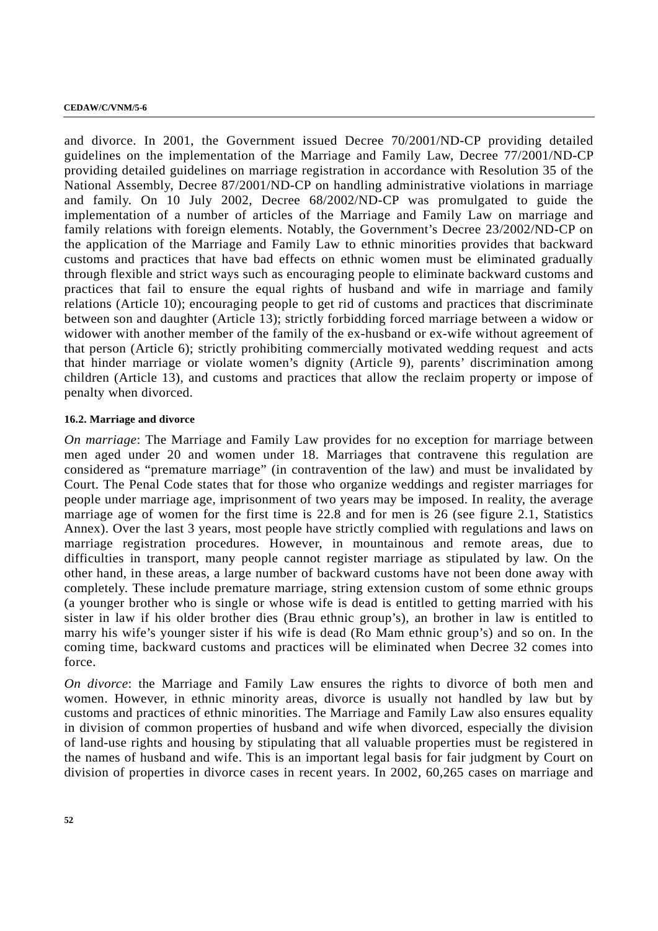and divorce. In 2001, the Government issued Decree 70/2001/ND-CP providing detailed guidelines on the implementation of the Marriage and Family Law, Decree 77/2001/ND-CP providing detailed guidelines on marriage registration in accordance with Resolution 35 of the National Assembly, Decree 87/2001/ND-CP on handling administrative violations in marriage and family. On 10 July 2002, Decree 68/2002/ND-CP was promulgated to guide the implementation of a number of articles of the Marriage and Family Law on marriage and family relations with foreign elements. Notably, the Government's Decree 23/2002/ND-CP on the application of the Marriage and Family Law to ethnic minorities provides that backward customs and practices that have bad effects on ethnic women must be eliminated gradually through flexible and strict ways such as encouraging people to eliminate backward customs and practices that fail to ensure the equal rights of husband and wife in marriage and family relations (Article 10); encouraging people to get rid of customs and practices that discriminate between son and daughter (Article 13); strictly forbidding forced marriage between a widow or widower with another member of the family of the ex-husband or ex-wife without agreement of that person (Article 6); strictly prohibiting commercially motivated wedding request and acts that hinder marriage or violate women's dignity (Article 9), parents' discrimination among children (Article 13), and customs and practices that allow the reclaim property or impose of penalty when divorced.

### **16.2. Marriage and divorce**

*On marriage*: The Marriage and Family Law provides for no exception for marriage between men aged under 20 and women under 18. Marriages that contravene this regulation are considered as "premature marriage" (in contravention of the law) and must be invalidated by Court. The Penal Code states that for those who organize weddings and register marriages for people under marriage age, imprisonment of two years may be imposed. In reality, the average marriage age of women for the first time is 22.8 and for men is 26 (see figure 2.1, Statistics Annex). Over the last 3 years, most people have strictly complied with regulations and laws on marriage registration procedures. However, in mountainous and remote areas, due to difficulties in transport, many people cannot register marriage as stipulated by law. On the other hand, in these areas, a large number of backward customs have not been done away with completely. These include premature marriage, string extension custom of some ethnic groups (a younger brother who is single or whose wife is dead is entitled to getting married with his sister in law if his older brother dies (Brau ethnic group's), an brother in law is entitled to marry his wife's younger sister if his wife is dead (Ro Mam ethnic group's) and so on. In the coming time, backward customs and practices will be eliminated when Decree 32 comes into force.

*On divorce*: the Marriage and Family Law ensures the rights to divorce of both men and women. However, in ethnic minority areas, divorce is usually not handled by law but by customs and practices of ethnic minorities. The Marriage and Family Law also ensures equality in division of common properties of husband and wife when divorced, especially the division of land-use rights and housing by stipulating that all valuable properties must be registered in the names of husband and wife. This is an important legal basis for fair judgment by Court on division of properties in divorce cases in recent years. In 2002, 60,265 cases on marriage and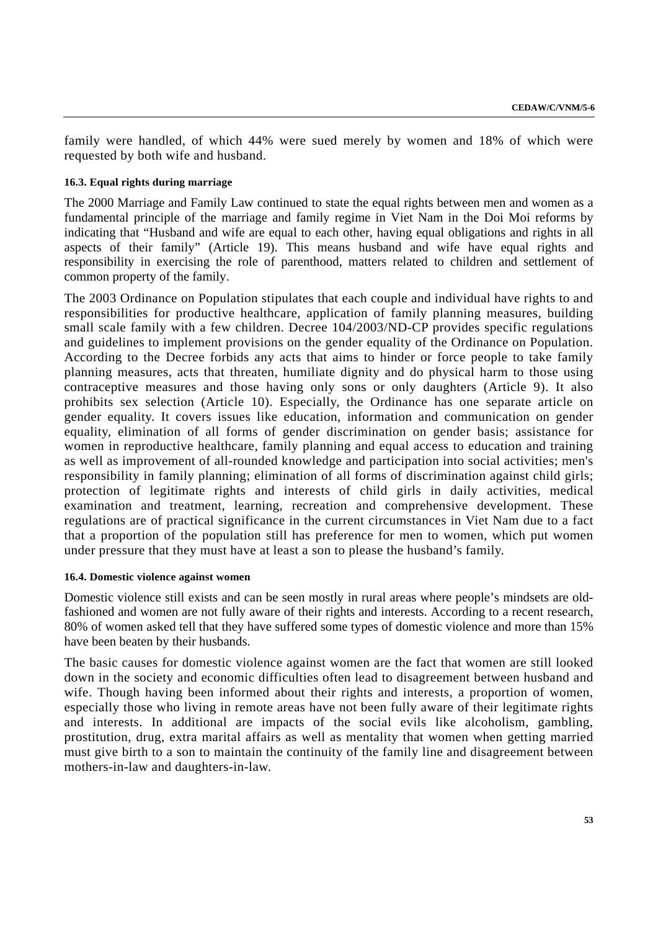family were handled, of which 44% were sued merely by women and 18% of which were requested by both wife and husband.

### **16.3. Equal rights during marriage**

The 2000 Marriage and Family Law continued to state the equal rights between men and women as a fundamental principle of the marriage and family regime in Viet Nam in the Doi Moi reforms by indicating that "Husband and wife are equal to each other, having equal obligations and rights in all aspects of their family" (Article 19). This means husband and wife have equal rights and responsibility in exercising the role of parenthood, matters related to children and settlement of common property of the family.

The 2003 Ordinance on Population stipulates that each couple and individual have rights to and responsibilities for productive healthcare, application of family planning measures, building small scale family with a few children. Decree 104/2003/ND-CP provides specific regulations and guidelines to implement provisions on the gender equality of the Ordinance on Population. According to the Decree forbids any acts that aims to hinder or force people to take family planning measures, acts that threaten, humiliate dignity and do physical harm to those using contraceptive measures and those having only sons or only daughters (Article 9). It also prohibits sex selection (Article 10). Especially, the Ordinance has one separate article on gender equality. It covers issues like education, information and communication on gender equality, elimination of all forms of gender discrimination on gender basis; assistance for women in reproductive healthcare, family planning and equal access to education and training as well as improvement of all-rounded knowledge and participation into social activities; men's responsibility in family planning; elimination of all forms of discrimination against child girls; protection of legitimate rights and interests of child girls in daily activities, medical examination and treatment, learning, recreation and comprehensive development. These regulations are of practical significance in the current circumstances in Viet Nam due to a fact that a proportion of the population still has preference for men to women, which put women under pressure that they must have at least a son to please the husband's family.

#### **16.4. Domestic violence against women**

Domestic violence still exists and can be seen mostly in rural areas where people's mindsets are oldfashioned and women are not fully aware of their rights and interests. According to a recent research, 80% of women asked tell that they have suffered some types of domestic violence and more than 15% have been beaten by their husbands.

The basic causes for domestic violence against women are the fact that women are still looked down in the society and economic difficulties often lead to disagreement between husband and wife. Though having been informed about their rights and interests, a proportion of women, especially those who living in remote areas have not been fully aware of their legitimate rights and interests. In additional are impacts of the social evils like alcoholism, gambling, prostitution, drug, extra marital affairs as well as mentality that women when getting married must give birth to a son to maintain the continuity of the family line and disagreement between mothers-in-law and daughters-in-law.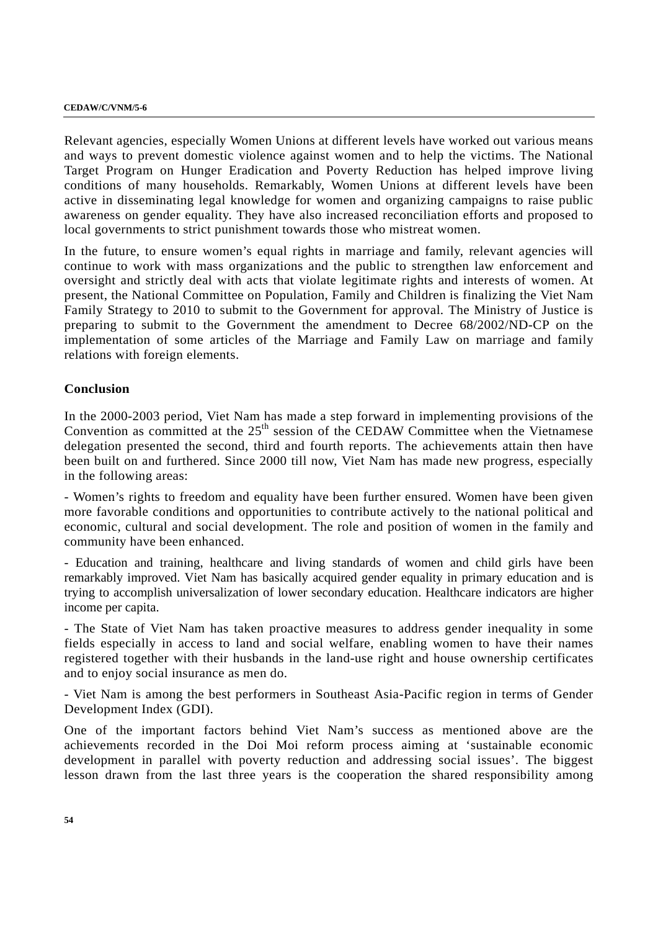#### **CEDAW/C/VNM/5-6**

Relevant agencies, especially Women Unions at different levels have worked out various means and ways to prevent domestic violence against women and to help the victims. The National Target Program on Hunger Eradication and Poverty Reduction has helped improve living conditions of many households. Remarkably, Women Unions at different levels have been active in disseminating legal knowledge for women and organizing campaigns to raise public awareness on gender equality. They have also increased reconciliation efforts and proposed to local governments to strict punishment towards those who mistreat women.

In the future, to ensure women's equal rights in marriage and family, relevant agencies will continue to work with mass organizations and the public to strengthen law enforcement and oversight and strictly deal with acts that violate legitimate rights and interests of women. At present, the National Committee on Population, Family and Children is finalizing the Viet Nam Family Strategy to 2010 to submit to the Government for approval. The Ministry of Justice is preparing to submit to the Government the amendment to Decree 68/2002/ND-CP on the implementation of some articles of the Marriage and Family Law on marriage and family relations with foreign elements.

### **Conclusion**

In the 2000-2003 period, Viet Nam has made a step forward in implementing provisions of the Convention as committed at the 25<sup>th</sup> session of the CEDAW Committee when the Vietnamese delegation presented the second, third and fourth reports. The achievements attain then have been built on and furthered. Since 2000 till now, Viet Nam has made new progress, especially in the following areas:

- Women's rights to freedom and equality have been further ensured. Women have been given more favorable conditions and opportunities to contribute actively to the national political and economic, cultural and social development. The role and position of women in the family and community have been enhanced.

- Education and training, healthcare and living standards of women and child girls have been remarkably improved. Viet Nam has basically acquired gender equality in primary education and is trying to accomplish universalization of lower secondary education. Healthcare indicators are higher income per capita.

- The State of Viet Nam has taken proactive measures to address gender inequality in some fields especially in access to land and social welfare, enabling women to have their names registered together with their husbands in the land-use right and house ownership certificates and to enjoy social insurance as men do.

- Viet Nam is among the best performers in Southeast Asia-Pacific region in terms of Gender Development Index (GDI).

One of the important factors behind Viet Nam's success as mentioned above are the achievements recorded in the Doi Moi reform process aiming at 'sustainable economic development in parallel with poverty reduction and addressing social issues'. The biggest lesson drawn from the last three years is the cooperation the shared responsibility among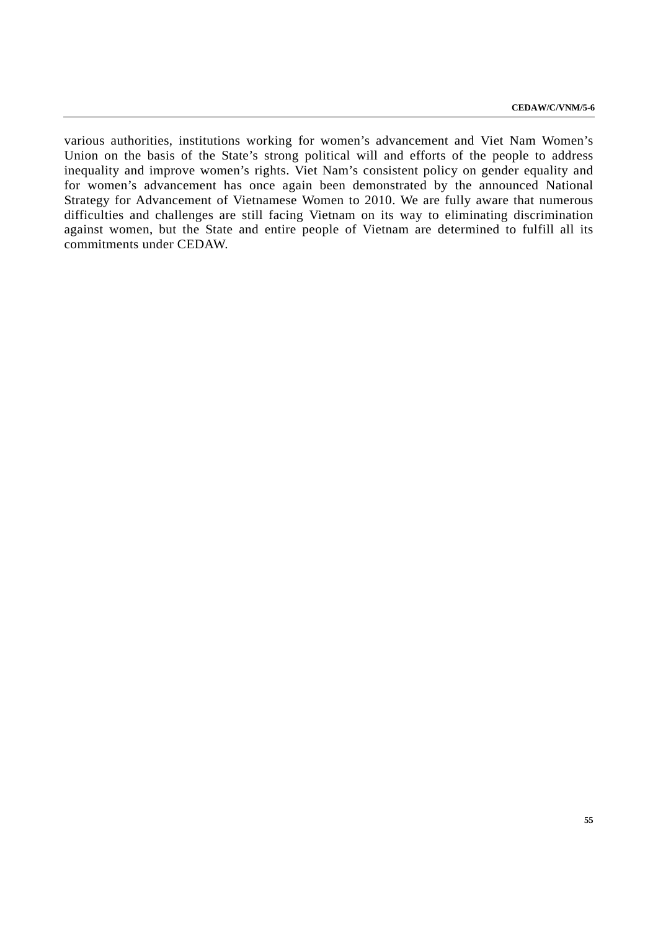various authorities, institutions working for women's advancement and Viet Nam Women's Union on the basis of the State's strong political will and efforts of the people to address inequality and improve women's rights. Viet Nam's consistent policy on gender equality and for women's advancement has once again been demonstrated by the announced National Strategy for Advancement of Vietnamese Women to 2010. We are fully aware that numerous difficulties and challenges are still facing Vietnam on its way to eliminating discrimination against women, but the State and entire people of Vietnam are determined to fulfill all its commitments under CEDAW.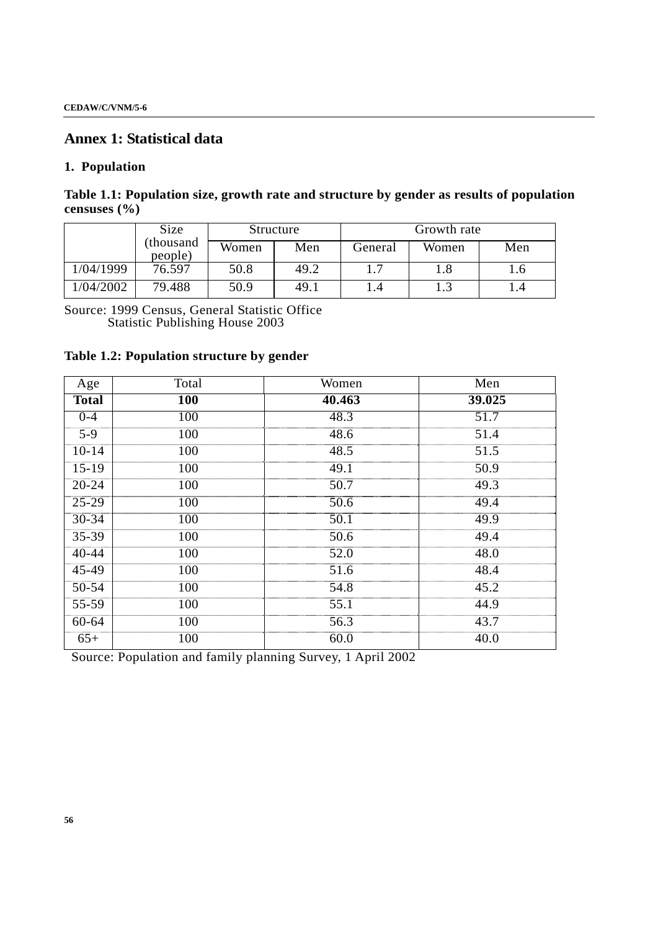## **Annex 1: Statistical data**

## **1. Population**

**Table 1.1: Population size, growth rate and structure by gender as results of population censuses (%)** 

|           | Size                 |       | Structure |         | Growth rate |     |  |
|-----------|----------------------|-------|-----------|---------|-------------|-----|--|
|           | (thousand<br>people) | Women | Men       | General | Women       | Men |  |
| 1/04/1999 | 76.597               | 50.8  | 49.2      |         | 1.8         | 1.0 |  |
| 1/04/2002 | 79.488               | 50.9  | 49.1      |         | 1.3         |     |  |

Source: 1999 Census, General Statistic Office Statistic Publishing House 2003

# **Table 1.2: Population structure by gender**

| Age          | Total      | Women  | Men    |
|--------------|------------|--------|--------|
| <b>Total</b> | <b>100</b> | 40.463 | 39.025 |
| $0 - 4$      | 100        | 48.3   | 51.7   |
| $5-9$        | 100        | 48.6   | 51.4   |
| $10 - 14$    | 100        | 48.5   | 51.5   |
| $15-19$      | 100        | 49.1   | 50.9   |
| $20 - 24$    | 100        | 50.7   | 49.3   |
| $25-29$      | 100        | 50.6   | 49.4   |
| $30 - 34$    | 100        | 50.1   | 49.9   |
| $35 - 39$    | 100        | 50.6   | 49.4   |
| $40 - 44$    | 100        | 52.0   | 48.0   |
| 45-49        | 100        | 51.6   | 48.4   |
| $50 - 54$    | 100        | 54.8   | 45.2   |
| $55 - 59$    | 100        | 55.1   | 44.9   |
| $60 - 64$    | 100        | 56.3   | 43.7   |
| $65+$        | 100        | 60.0   | 40.0   |

Source: Population and family planning Survey, 1 April 2002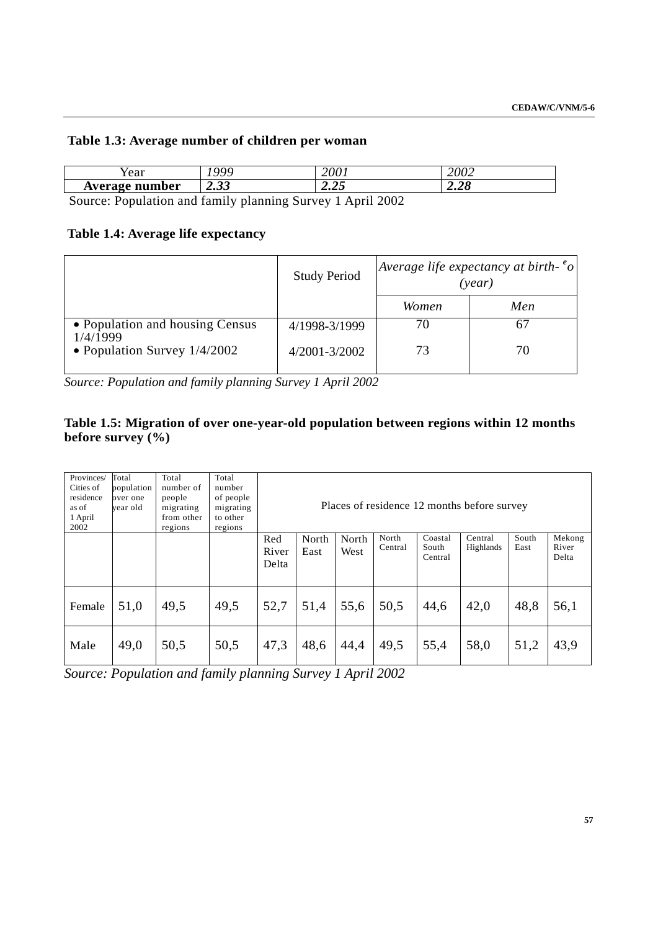| Table 1.3: Average number of children per woman |  |  |  |  |  |  |
|-------------------------------------------------|--|--|--|--|--|--|
|-------------------------------------------------|--|--|--|--|--|--|

| rear           | QQQ               | 200      | 2002 |
|----------------|-------------------|----------|------|
| Average number | $\mathbf{\Omega}$ | $\Omega$ | ٠c   |
|                | 2.0J              | 4.4J     | 4.40 |

Source: Population and family planning Survey 1 April 2002

# **Table 1.4: Average life expectancy**

|                                             | <b>Study Period</b> | Average life expectancy at birth- $^e$ o<br>(year) |     |
|---------------------------------------------|---------------------|----------------------------------------------------|-----|
|                                             |                     | Women                                              | Men |
| • Population and housing Census<br>1/4/1999 | 4/1998-3/1999       | 70                                                 |     |
| • Population Survey $1/4/2002$              | 4/2001-3/2002       | 73                                                 | 70  |

*Source: Population and family planning Survey 1 April 2002* 

# **Table 1.5: Migration of over one-year-old population between regions within 12 months before survey (%)**

| Provinces/<br>Cities of<br>residence<br>as of<br>1 April<br>2002 | Total<br>population<br>over one<br>year old | Total<br>number of<br>people<br>migrating<br>from other<br>regions | Total<br>number<br>of people<br>migrating<br>to other<br>regions |                       |               |               |                  |                             | Places of residence 12 months before survey |               |                          |
|------------------------------------------------------------------|---------------------------------------------|--------------------------------------------------------------------|------------------------------------------------------------------|-----------------------|---------------|---------------|------------------|-----------------------------|---------------------------------------------|---------------|--------------------------|
|                                                                  |                                             |                                                                    |                                                                  | Red<br>River<br>Delta | North<br>East | North<br>West | North<br>Central | Coastal<br>South<br>Central | Central<br>Highlands                        | South<br>East | Mekong<br>River<br>Delta |
| Female                                                           | 51,0                                        | 49,5                                                               | 49,5                                                             | 52,7                  | 51,4          | 55,6          | 50,5             | 44,6                        | 42,0                                        | 48,8          | 56,1                     |
| Male                                                             | 49,0                                        | 50,5                                                               | 50,5                                                             | 47,3                  | 48,6          | 44,4          | 49,5             | 55,4                        | 58,0                                        | 51,2          | 43,9                     |

*Source: Population and family planning Survey 1 April 2002*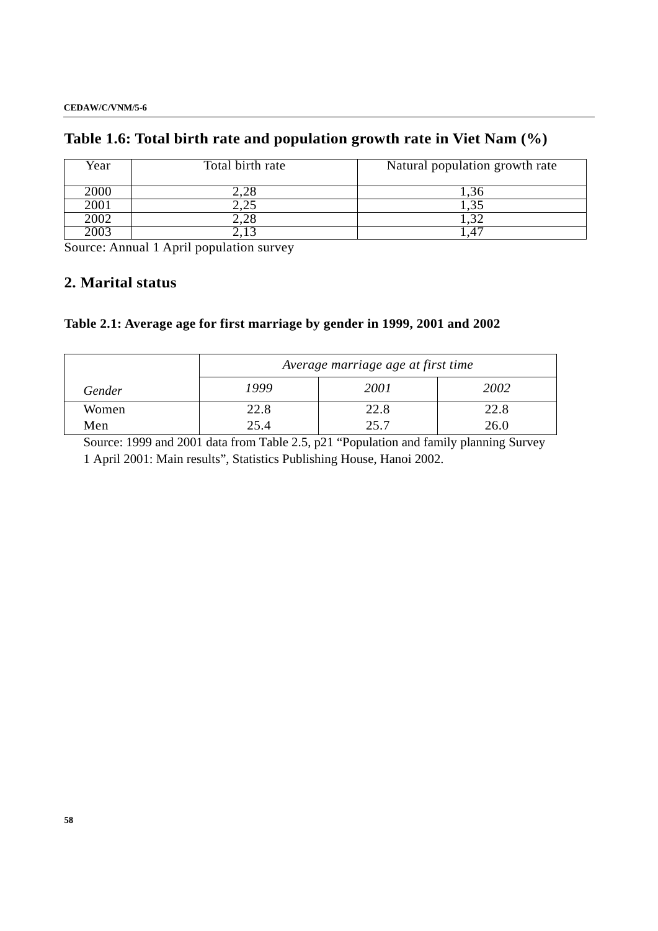# **Table 1.6: Total birth rate and population growth rate in Viet Nam (%)**

| Year | Total birth rate    | Natural population growth rate |
|------|---------------------|--------------------------------|
| 2000 | $\sim$ . $\angle$ O | . 0                            |
| 2001 | — ب∠وت              | ی بی                           |
| 2002 | .∠c                 |                                |
|      |                     |                                |

Source: Annual 1 April population survey

# **2. Marital status**

# **Table 2.1: Average age for first marriage by gender in 1999, 2001 and 2002**

|        | Average marriage age at first time |      |      |  |  |  |  |
|--------|------------------------------------|------|------|--|--|--|--|
| Gender | 1999                               | 2001 | 2002 |  |  |  |  |
| Women  | 22.8                               | 22.8 | 22.8 |  |  |  |  |
| Men    | 25.4                               | 25.7 | 26.0 |  |  |  |  |

Source: 1999 and 2001 data from Table 2.5, p21 "Population and family planning Survey 1 April 2001: Main results", Statistics Publishing House, Hanoi 2002.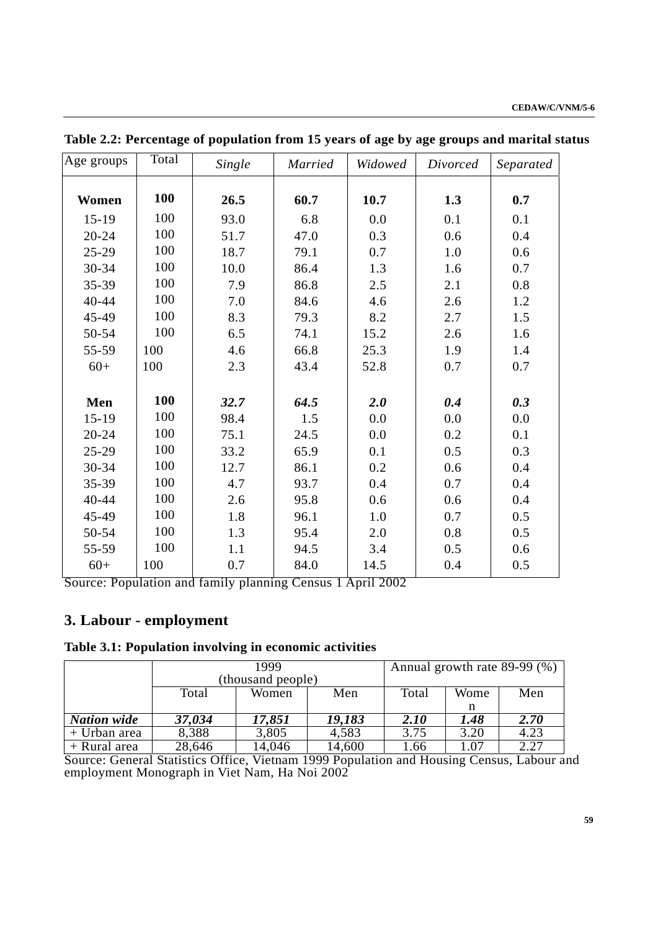| Age groups | Total | Single | <b>Married</b> | Widowed | Divorced | Separated |
|------------|-------|--------|----------------|---------|----------|-----------|
| Women      | 100   | 26.5   | 60.7           | 10.7    | 1.3      | 0.7       |
| $15-19$    | 100   | 93.0   | 6.8            | 0.0     | 0.1      | 0.1       |
| $20 - 24$  | 100   | 51.7   | 47.0           | 0.3     | 0.6      | 0.4       |
| $25-29$    | 100   | 18.7   | 79.1           | 0.7     | 1.0      | 0.6       |
| 30-34      | 100   | 10.0   | 86.4           | 1.3     | 1.6      | 0.7       |
| 35-39      | 100   | 7.9    | 86.8           | 2.5     | 2.1      | 0.8       |
| 40-44      | 100   | 7.0    | 84.6           | 4.6     | 2.6      | 1.2       |
| 45-49      | 100   | 8.3    | 79.3           | 8.2     | 2.7      | 1.5       |
| 50-54      | 100   | 6.5    | 74.1           | 15.2    | 2.6      | 1.6       |
| 55-59      | 100   | 4.6    | 66.8           | 25.3    | 1.9      | 1.4       |
| $60+$      | 100   | 2.3    | 43.4           | 52.8    | 0.7      | 0.7       |
|            |       |        |                |         |          |           |
| Men        | 100   | 32.7   | 64.5           | 2.0     | 0.4      | 0.3       |
| $15-19$    | 100   | 98.4   | 1.5            | 0.0     | 0.0      | 0.0       |
| $20 - 24$  | 100   | 75.1   | 24.5           | 0.0     | 0.2      | 0.1       |
| $25-29$    | 100   | 33.2   | 65.9           | 0.1     | 0.5      | 0.3       |
| 30-34      | 100   | 12.7   | 86.1           | 0.2     | 0.6      | 0.4       |
| 35-39      | 100   | 4.7    | 93.7           | 0.4     | 0.7      | 0.4       |
| 40-44      | 100   | 2.6    | 95.8           | 0.6     | 0.6      | 0.4       |
| 45-49      | 100   | 1.8    | 96.1           | 1.0     | 0.7      | 0.5       |
| 50-54      | 100   | 1.3    | 95.4           | 2.0     | 0.8      | 0.5       |
| 55-59      | 100   | 1.1    | 94.5           | 3.4     | 0.5      | 0.6       |
| $60+$      | 100   | 0.7    | 84.0           | 14.5    | 0.4      | 0.5       |

**Table 2.2: Percentage of population from 15 years of age by age groups and marital status** 

Source: Population and family planning Census 1 April 2002

# **3. Labour - employment**

## **Table 3.1: Population involving in economic activities**

|                    |                   |        |        | Annual growth rate 89-99 (%) |      |      |
|--------------------|-------------------|--------|--------|------------------------------|------|------|
|                    | (thousand people) |        |        |                              |      |      |
|                    | Total             | Women  | Men    | Total                        | Wome | Men  |
|                    |                   |        |        |                              |      |      |
| <b>Nation wide</b> | 37,034            | 17,851 | 19,183 | 2.10                         | 1.48 | 2.70 |
| + Urban area       | 8,388             | 3,805  | 4,583  | 3.75                         | 3.20 | 4.23 |
| + Rural area       | 28,646            | 14,046 | 14,600 | 1.66                         | 1.07 | 2.27 |

Source: General Statistics Office, Vietnam 1999 Population and Housing Census, Labour and employment Monograph in Viet Nam, Ha Noi 2002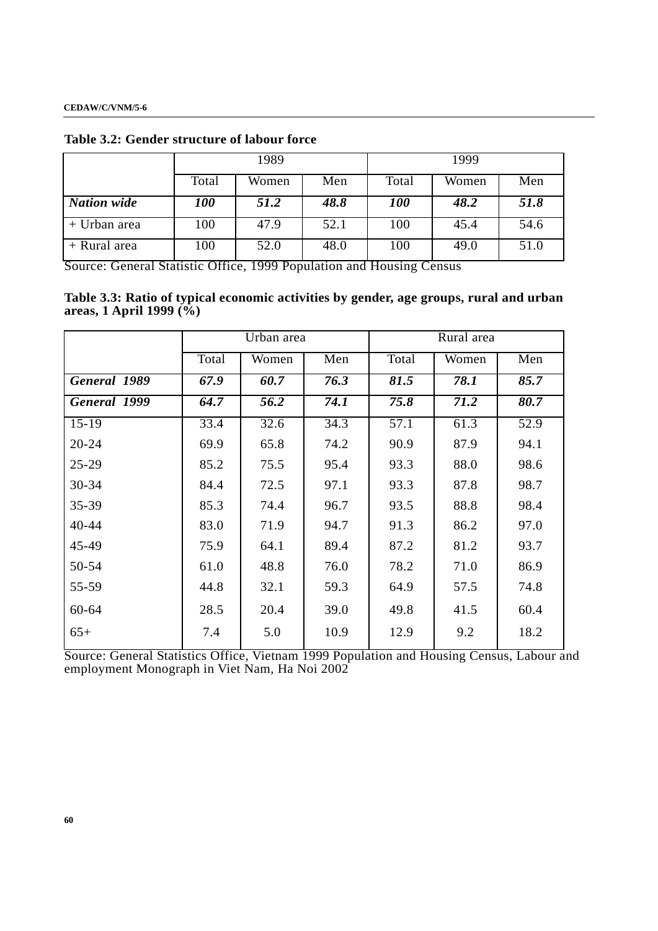|                    | 1989       |       |      | 1999  |       |      |
|--------------------|------------|-------|------|-------|-------|------|
|                    | Total      | Women | Men  | Total | Women | Men  |
| <b>Nation</b> wide | <b>100</b> | 51.2  | 48.8 | 100   | 48.2  | 51.8 |
| + Urban area       | 100        | 47.9  | 52.1 | 100   | 45.4  | 54.6 |
| + Rural area       | 100        | 52.0  | 48.0 | 100   | 49.0  | 51.0 |

**Table 3.2: Gender structure of labour force** 

Source: General Statistic Office, 1999 Population and Housing Census

**Table 3.3: Ratio of typical economic activities by gender, age groups, rural and urban areas, 1 April 1999 (%)** 

|              | Urban area |       |      | Rural area |       |      |
|--------------|------------|-------|------|------------|-------|------|
|              | Total      | Women | Men  | Total      | Women | Men  |
| General 1989 | 67.9       | 60.7  | 76.3 | 81.5       | 78.1  | 85.7 |
| General 1999 | 64.7       | 56.2  | 74.1 | 75.8       | 71.2  | 80.7 |
| $15-19$      | 33.4       | 32.6  | 34.3 | 57.1       | 61.3  | 52.9 |
| $20 - 24$    | 69.9       | 65.8  | 74.2 | 90.9       | 87.9  | 94.1 |
| $25 - 29$    | 85.2       | 75.5  | 95.4 | 93.3       | 88.0  | 98.6 |
| 30-34        | 84.4       | 72.5  | 97.1 | 93.3       | 87.8  | 98.7 |
| 35-39        | 85.3       | 74.4  | 96.7 | 93.5       | 88.8  | 98.4 |
| 40-44        | 83.0       | 71.9  | 94.7 | 91.3       | 86.2  | 97.0 |
| 45-49        | 75.9       | 64.1  | 89.4 | 87.2       | 81.2  | 93.7 |
| 50-54        | 61.0       | 48.8  | 76.0 | 78.2       | 71.0  | 86.9 |
| 55-59        | 44.8       | 32.1  | 59.3 | 64.9       | 57.5  | 74.8 |
| $60 - 64$    | 28.5       | 20.4  | 39.0 | 49.8       | 41.5  | 60.4 |
| $65+$        | 7.4        | 5.0   | 10.9 | 12.9       | 9.2   | 18.2 |

Source: General Statistics Office, Vietnam 1999 Population and Housing Census, Labour and employment Monograph in Viet Nam, Ha Noi 2002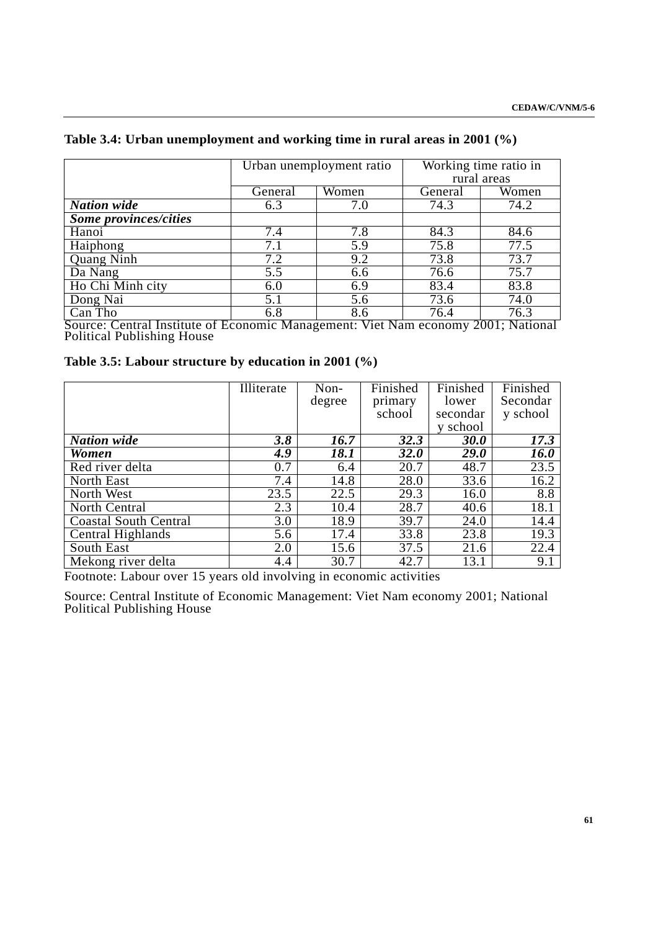|                                     |         | Urban unemployment ratio | Working time ratio in |                                     |  |
|-------------------------------------|---------|--------------------------|-----------------------|-------------------------------------|--|
|                                     |         |                          |                       | rural areas                         |  |
|                                     | General | Women                    | General               | Women                               |  |
| <b>Nation</b> wide                  | 6.3     | 7.0                      | 74.3                  | 74.2                                |  |
| Some provinces/cities               |         |                          |                       |                                     |  |
| Hanoi                               | 7.4     | 7.8                      | 84.3                  | 84.6                                |  |
| Haiphong                            | 7.1     | 5.9                      | 75.8                  | 77.5                                |  |
| <b>Quang Ninh</b>                   | 7.2     | 9.2                      | 73.8                  | 73.7                                |  |
| Da Nang                             | 5.5     | 6.6                      | 76.6                  | 75.7                                |  |
| Ho Chi Minh city                    | 6.0     | 6.9                      | 83.4                  | 83.8                                |  |
| Dong Nai                            | 5.1     | 5.6                      | 73.6                  | 74.0                                |  |
| Can Tho<br>$\sim$<br>. <del>.</del> | 6.8     | 8.6<br><b>TT.</b><br>▾   | 76.4                  | 76.3<br>$\sim$ $\sim$ $\sim$ $\sim$ |  |

## **Table 3.4: Urban unemployment and working time in rural areas in 2001 (%)**

Source: Central Institute of Economic Management: Viet Nam economy 2001; National Political Publishing House

| Table 3.5: Labour structure by education in 2001 (%) |  |  |
|------------------------------------------------------|--|--|
|------------------------------------------------------|--|--|

|                              | Illiterate | Non-   | Finished    | Finished    | Finished           |
|------------------------------|------------|--------|-------------|-------------|--------------------|
|                              |            | degree | primary     | lower       | Secondar           |
|                              |            |        | school      | secondar    | y school           |
|                              |            |        |             | y school    |                    |
| <b>Nation</b> wide           | 3.8        | 16.7   | 32.3        | <b>30.0</b> | 17.3               |
| Women                        | 4.9        | 18.1   | <b>32.0</b> | <b>29.0</b> | <i><b>16.0</b></i> |
| Red river delta              | 0.7        | 6.4    | 20.7        | 48.7        | 23.5               |
| North East                   | 7.4        | 14.8   | 28.0        | 33.6        | 16.2               |
| North West                   | 23.5       | 22.5   | 29.3        | 16.0        | 8.8                |
| North Central                | 2.3        | 10.4   | 28.7        | 40.6        | 18.1               |
| <b>Coastal South Central</b> | 3.0        | 18.9   | 39.7        | 24.0        | 14.4               |
| Central Highlands            | 5.6        | 17.4   | 33.8        | 23.8        | 19.3               |
| South East                   | 2.0        | 15.6   | 37.5        | 21.6        | 22.4               |
| Mekong river delta           | 4.4        | 30.7   | 42.7        | 13.1        | 9.1                |

Footnote: Labour over 15 years old involving in economic activities

Source: Central Institute of Economic Management: Viet Nam economy 2001; National Political Publishing House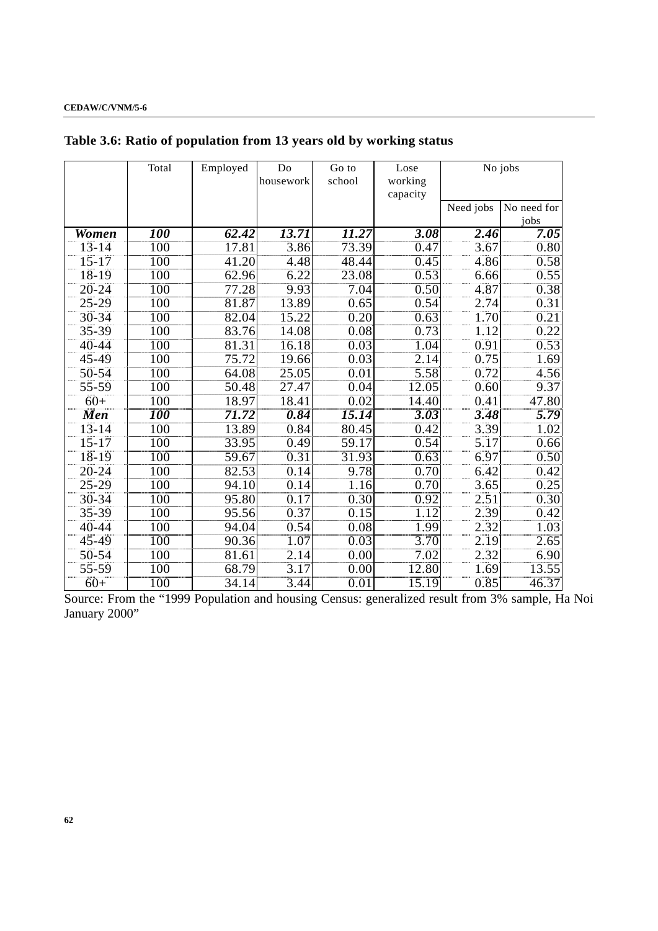|              | Total             | Employed | Do        | Go to             | Lose              |           | No jobs     |
|--------------|-------------------|----------|-----------|-------------------|-------------------|-----------|-------------|
|              |                   |          | housework | school            | working           |           |             |
|              |                   |          |           |                   | capacity          |           |             |
|              |                   |          |           |                   |                   | Need jobs | No need for |
|              |                   |          |           |                   |                   |           | jobs        |
| <b>Women</b> | 100               | 62.42    | 13.71     | 11.27             | 3.08              | 2.46      | 7.05        |
| $13 - 14$    | 100               | 17.81    | 3.86      | 73.39             | 0.47              | 3.67      | 0.80        |
| $15 - 17$    | 100               | 41.20    | 4.48      | 48.44             | 0.45              | 4.86      | 0.58        |
| $18 - 19$    | 100               | 62.96    | 6.22      | 23.08             | 0.53              | 6.66      | 0.55        |
| $20 - 24$    | 100               | 77.28    | 9.93      | 7.04              | 0.50              | 4.87      | 0.38        |
| $25 - 29$    | 100               | 81.87    | 13.89     | 0.65              | 0.54              | 2.74      | 0.31        |
| $30 - 34$    | 100               | 82.04    | 15.22     | 0.20              | 0.63              | 1.70      | 0.21        |
| 35-39        | 100               | 83.76    | 14.08     | 0.08              | 0.73              | 1.12      | 0.22        |
| 40-44        | 100               | 81.31    | 16.18     | 0.03              | 1.04              | 0.91      | 0.53        |
| 45-49        | 100               | 75.72    | 19.66     | 0.03              | 2.14              | 0.75      | 1.69        |
| 50-54        | 100               | 64.08    | 25.05     | 0.01              | 5.58              | 0.72      | 4.56        |
| 55-59        | 100               | 50.48    | 27.47     | 0.04              | 12.05             | 0.60      | 9.37        |
| $60+$        | 100               | 18.97    | 18.41     | 0.02              | 14.40             | 0.41      | 47.80       |
| <b>Men</b>   | <i><b>100</b></i> | 71.72    | 0.84      | 15.14             | $\overline{3.03}$ | 3.48      | 5.79        |
| $13 - 14$    | 100               | 13.89    | 0.84      | 80.45             | 0.42              | 3.39      | 1.02        |
| $15 - 17$    | 100               | 33.95    | 0.49      | 59.17             | 0.54              | 5.17      | 0.66        |
| $18 - 19$    | $\overline{100}$  | 59.67    | 0.31      | 31.93             | 0.63              | 6.97      | 0.50        |
| $20 - 24$    | 100               | 82.53    | 0.14      | 9.78              | 0.70              | 6.42      | 0.42        |
| $25 - 29$    | 100               | 94.10    | 0.14      | 1.16              | 0.70              | 3.65      | 0.25        |
| $30 - 34$    | $\overline{100}$  | 95.80    | 0.17      | $\overline{0.30}$ | $\overline{0.92}$ | 2.51      | 0.30        |
| 35-39        | 100               | 95.56    | 0.37      | 0.15              | 1.12              | 2.39      | 0.42        |
| 40-44        | 100               | 94.04    | 0.54      | 0.08              | 1.99              | 2.32      | 1.03        |
| $45 - 49$    | 100               | 90.36    | 1.07      | 0.03              | $\overline{3.70}$ | 2.19      | 2.65        |
| $50 - 54$    | 100               | 81.61    | 2.14      | 0.00              | 7.02              | 2.32      | 6.90        |
| 55-59        | 100               | 68.79    | 3.17      | 0.00              | 12.80             | 1.69      | 13.55       |
| $60+$        | $\overline{100}$  | 34.14    | 3.44      | $\overline{0.01}$ | 15.19             | 0.85      | 46.37       |

# **Table 3.6: Ratio of population from 13 years old by working status**

Source: From the "1999 Population and housing Census: generalized result from 3% sample, Ha Noi January 2000"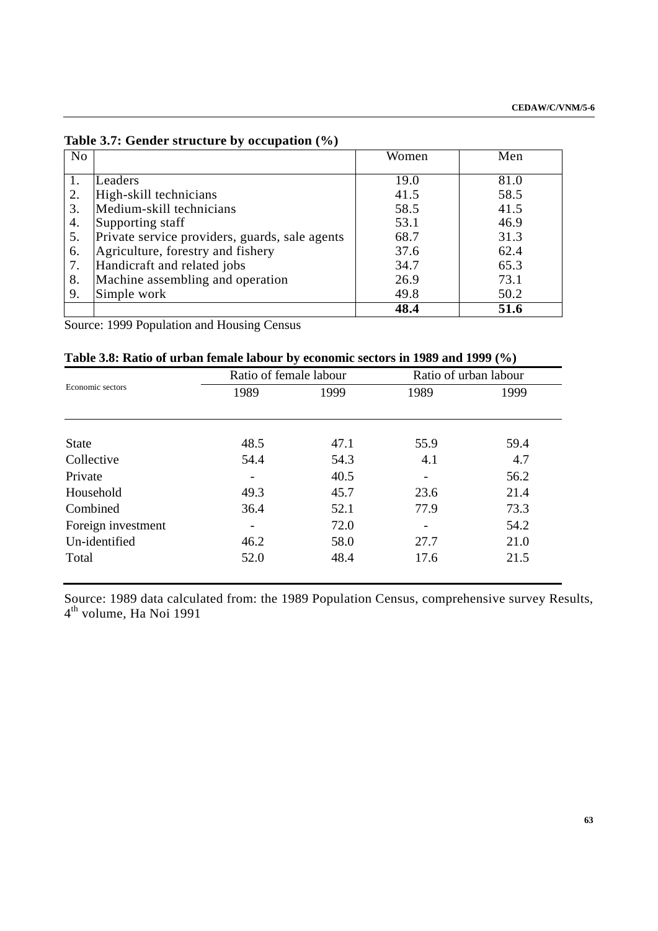|           | Table 5.7: Gender structure by occupation (70) |       |      |
|-----------|------------------------------------------------|-------|------|
| <b>No</b> |                                                | Women | Men  |
|           |                                                |       |      |
| 1.        | Leaders                                        | 19.0  | 81.0 |
| 2.        | High-skill technicians                         | 41.5  | 58.5 |
| 3.        | Medium-skill technicians                       | 58.5  | 41.5 |
| 4.        | Supporting staff                               | 53.1  | 46.9 |
| 5.        | Private service providers, guards, sale agents | 68.7  | 31.3 |
| 6.        | Agriculture, forestry and fishery              | 37.6  | 62.4 |
| 7.        | Handicraft and related jobs                    | 34.7  | 65.3 |
| 8.        | Machine assembling and operation               | 26.9  | 73.1 |
| 9.        | Simple work                                    | 49.8  | 50.2 |
|           |                                                | 48.4  | 51.6 |

**Table 3.7: Gender structure by occupation (%)**

Source: 1999 Population and Housing Census

|  | Table 3.8: Ratio of urban female labour by economic sectors in 1989 and 1999 (%) |  |  |  |
|--|----------------------------------------------------------------------------------|--|--|--|
|--|----------------------------------------------------------------------------------|--|--|--|

|                    | Ratio of female labour |      | Ratio of urban labour |      |
|--------------------|------------------------|------|-----------------------|------|
| Economic sectors   | 1989                   | 1999 | 1989                  | 1999 |
| <b>State</b>       | 48.5                   | 47.1 | 55.9                  | 59.4 |
| Collective         | 54.4                   | 54.3 | 4.1                   | 4.7  |
| Private            |                        | 40.5 |                       | 56.2 |
| Household          | 49.3                   | 45.7 | 23.6                  | 21.4 |
| Combined           | 36.4                   | 52.1 | 77.9                  | 73.3 |
| Foreign investment |                        | 72.0 | -                     | 54.2 |
| Un-identified      | 46.2                   | 58.0 | 27.7                  | 21.0 |
| Total              | 52.0                   | 48.4 | 17.6                  | 21.5 |

Source: 1989 data calculated from: the 1989 Population Census, comprehensive survey Results, 4<sup>th</sup> volume, Ha Noi 1991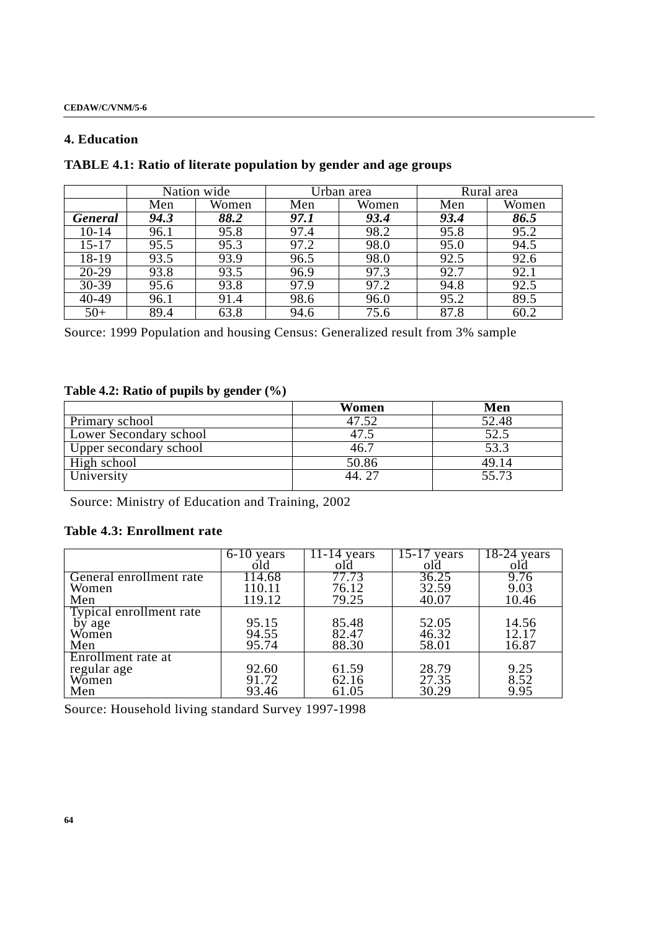## **4. Education**

# **TABLE 4.1: Ratio of literate population by gender and age groups**

|                | Nation wide |       |      | Urban area | Rural area |       |  |
|----------------|-------------|-------|------|------------|------------|-------|--|
|                | Men         | Women | Men  | Women      | Men        | Women |  |
| <b>General</b> | 94.3        | 88.2  | 97.1 | 93.4       | 93.4       | 86.5  |  |
| $10 - 14$      | 96.1        | 95.8  | 97.4 | 98.2       | 95.8       | 95.2  |  |
| $15 - 17$      | 95.5        | 95.3  | 97.2 | 98.0       | 95.0       | 94.5  |  |
| 18-19          | 93.5        | 93.9  | 96.5 | 98.0       | 92.5       | 92.6  |  |
| $20 - 29$      | 93.8        | 93.5  | 96.9 | 97.3       | 92.7       | 92.1  |  |
| 30-39          | 95.6        | 93.8  | 97.9 | 97.2       | 94.8       | 92.5  |  |
| 40-49          | 96.1        | 91.4  | 98.6 | 96.0       | 95.2       | 89.5  |  |
| $50+$          | 89.4        | 63.8  | 94.6 | 75.6       | 87.8       | 60.2  |  |

Source: 1999 Population and housing Census: Generalized result from 3% sample

# **Table 4.2: Ratio of pupils by gender (%)**

|                               | Women  | Men   |
|-------------------------------|--------|-------|
| Primary school                | 47.52  | 52.48 |
| <b>Lower Secondary school</b> |        | 52.5  |
| Upper secondary school        | 46.7   | 53.3  |
| High school                   | 50.86  | 49.14 |
| University                    | 44. 27 | 55.73 |

Source: Ministry of Education and Training, 2002

# **Table 4.3: Enrollment rate**

|                         | 6-10 years          | 11-14 vears        | vears | $18-24$ vears |
|-------------------------|---------------------|--------------------|-------|---------------|
|                         | old                 | old                | old   | old           |
| General enrollment rate | $114.\overline{68}$ | $77.\overline{73}$ | 36.25 | 9.76          |
| Women                   | 110.11              | 76.12              | 32.59 | 9.03          |
| Men                     | 119.12              | 79.25              | 40.07 | 10.46         |
| Typical enrollment rate |                     |                    |       |               |
| by age                  | 95.15               | 85.48              | 52.05 | 14.56         |
| Women                   | 94.55               | 82.47              | 46.32 | 12.17         |
| Men                     | 95.74               | 88.30              | 58.01 | 16.87         |
| Enrollment rate at      |                     |                    |       |               |
| regular age             | 92.60               | 61.59              | 28.79 | 9.25          |
| Women                   | 91.72               | 62.16              | 27.35 | 8.52          |
| Men                     | 93.46               | 61.05              | 30.29 | 9.95          |

Source: Household living standard Survey 1997-1998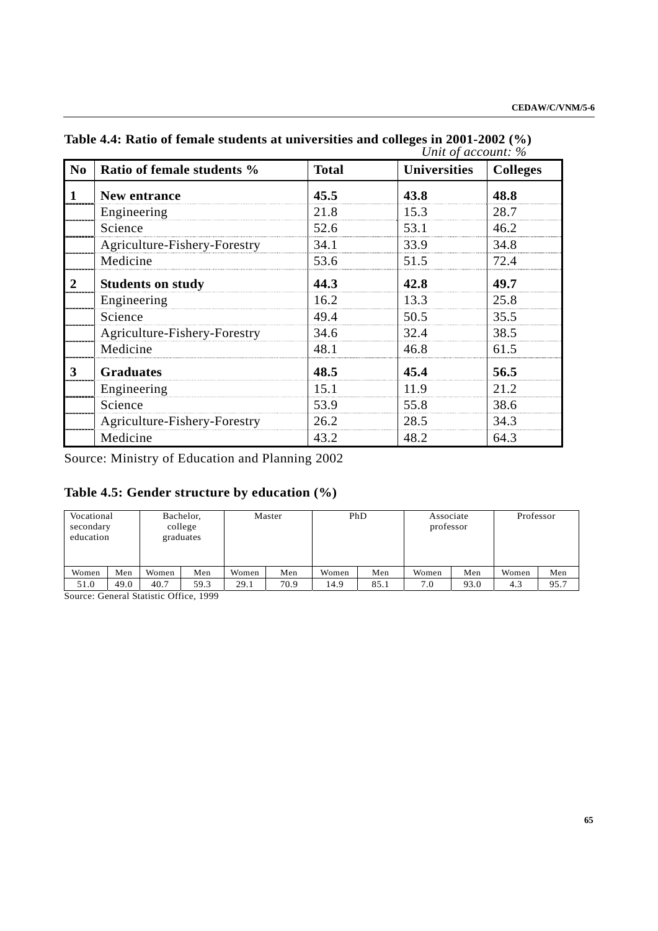|                     |                              |              | Unit of account: %  |                 |
|---------------------|------------------------------|--------------|---------------------|-----------------|
| N <sub>0</sub>      | Ratio of female students %   | <b>Total</b> | <b>Universities</b> | <b>Colleges</b> |
| 1<br>$\overline{2}$ | New entrance                 | 45.5         | 43.8                | 48.8            |
|                     | Engineering                  | 21.8         | 15.3                | 28.7            |
|                     | Science                      | 52.6         | 53.1                | 46.2            |
|                     | Agriculture-Fishery-Forestry | 34.1         | 33.9                | 34.8            |
|                     | Medicine                     | 53.6         | 51.5                | 72.4            |
|                     | <b>Students on study</b>     | 44.3         | 42.8                | 49.7            |
|                     | Engineering                  | 16.2         | 13.3                | 25.8            |
|                     | Science                      | 49.4         | 50.5                | 35.5            |
|                     | Agriculture-Fishery-Forestry | 34.6         | 32.4                | 38.5            |
|                     | Medicine                     | 48.1         | 46.8                | 61.5            |
| 3                   | <b>Graduates</b>             | 48.5         | 45.4                | 56.5            |
|                     | Engineering                  | 15.1         | 11.9                | 21.2            |
|                     | Science                      | 53.9         | 55.8                | 38.6            |
|                     | Agriculture-Fishery-Forestry | 26.2         | 28.5                | 34.3            |
|                     | Medicine                     | 43.2         | 48.2                | 64.3            |

**Table 4.4: Ratio of female students at universities and colleges in 2001-2002 (%)** 

Source: Ministry of Education and Planning 2002

# **Table 4.5: Gender structure by education (%)**

| Vocational<br>secondary<br>education |      |       | Bachelor,<br>college<br>graduates |       | Master | PhD   |      | Associate<br>professor |      | Professor |      |
|--------------------------------------|------|-------|-----------------------------------|-------|--------|-------|------|------------------------|------|-----------|------|
| Women                                | Men  | Women | Men                               | Women | Men    | Women | Men  | Women                  | Men  | Women     | Men  |
| 51.0                                 | 49.0 | 40.7  | 59.3                              | 29.1  | 70.9   | 14.9  | 85.1 | 7.0                    | 93.0 | 4.3       | 95.7 |

Source: General Statistic Office, 1999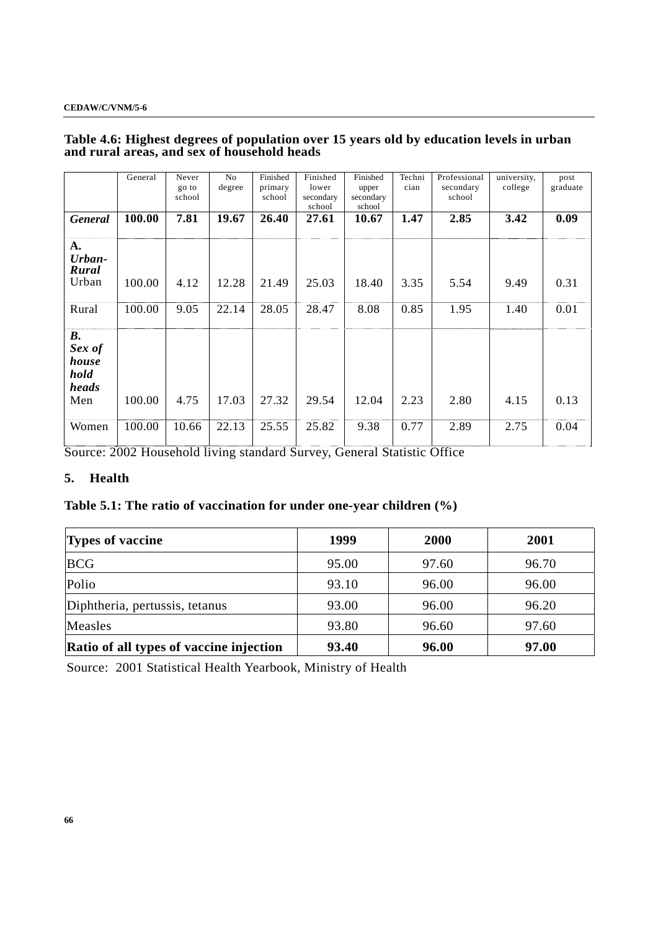## **Table 4.6: Highest degrees of population over 15 years old by education levels in urban and rural areas, and sex of household heads**

|                                                      | General | Never<br>go to<br>school | N <sub>0</sub><br>degree | Finished<br>primary<br>school | Finished<br>lower<br>secondary<br>school | Finished<br>upper<br>secondary<br>school | Techni<br>cian | Professional<br>secondary<br>school | university,<br>college | post<br>graduate |
|------------------------------------------------------|---------|--------------------------|--------------------------|-------------------------------|------------------------------------------|------------------------------------------|----------------|-------------------------------------|------------------------|------------------|
| <b>General</b>                                       | 100.00  | 7.81                     | 19.67                    | 26.40                         | 27.61                                    | 10.67                                    | 1.47           | 2.85                                | 3.42                   | 0.09             |
| A.<br>Urban-<br>Rural<br>Urban                       | 100.00  | 4.12                     | 12.28                    | 21.49                         | 25.03                                    | 18.40                                    | 3.35           | 5.54                                | 9.49                   | 0.31             |
| Rural                                                | 100.00  | 9.05                     | 22.14                    | 28.05                         | 28.47                                    | 8.08                                     | 0.85           | 1.95                                | 1.40                   | 0.01             |
| <b>B.</b><br>Sex of<br>house<br>hold<br>heads<br>Men | 100.00  | 4.75                     | 17.03                    | 27.32                         | 29.54                                    | 12.04                                    | 2.23           | 2.80                                | 4.15                   | 0.13             |
| Women                                                | 100.00  | 10.66                    | 22.13                    | 25.55                         | 25.82                                    | 9.38                                     | 0.77           | 2.89                                | 2.75                   | 0.04             |

Source: 2002 Household living standard Survey, General Statistic Office

## **5. Health**

# **Table 5.1: The ratio of vaccination for under one-year children (%)**

| <b>Types of vaccine</b>                 | 1999  | 2000  | 2001  |
|-----------------------------------------|-------|-------|-------|
| <b>BCG</b>                              | 95.00 | 97.60 | 96.70 |
| Polio                                   | 93.10 | 96.00 | 96.00 |
| Diphtheria, pertussis, tetanus          | 93.00 | 96.00 | 96.20 |
| Measles                                 | 93.80 | 96.60 | 97.60 |
| Ratio of all types of vaccine injection | 93.40 | 96.00 | 97.00 |

Source: 2001 Statistical Health Yearbook, Ministry of Health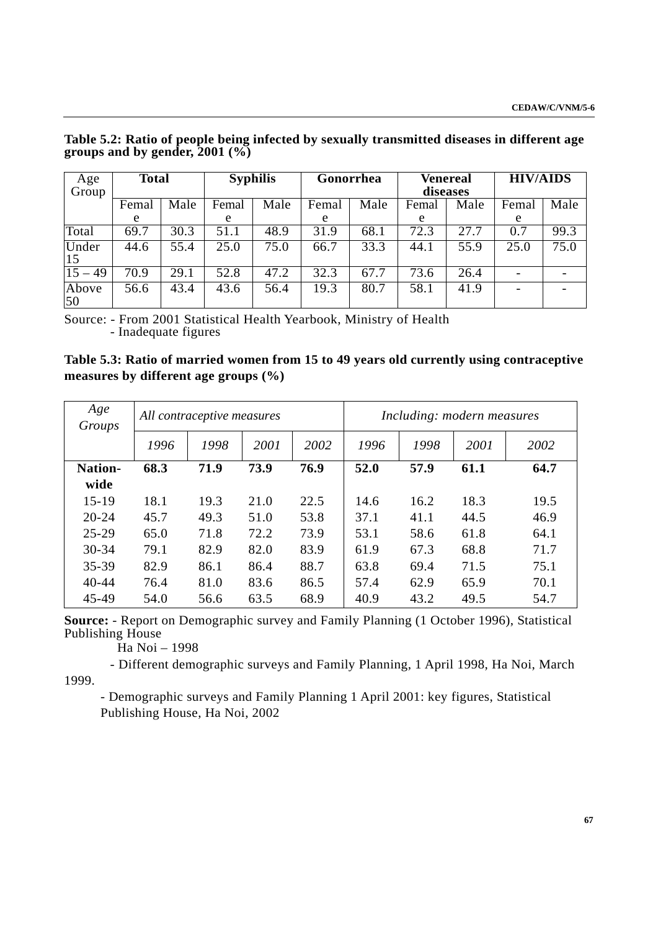| Age<br>Group     | <b>Total</b> |      |       | <b>Syphilis</b> | Gonorrhea |      | diseases | <b>Venereal</b> | <b>HIV/AIDS</b> |      |
|------------------|--------------|------|-------|-----------------|-----------|------|----------|-----------------|-----------------|------|
|                  | Femal        | Male | Femal | Male            | Femal     | Male | Femal    | Male            | Femal           | Male |
|                  | e            |      | e     |                 | e         |      | e        |                 | e               |      |
| Total            | 69.7         | 30.3 | 51.1  | 48.9            | 31.9      | 68.1 | 72.3     | 27.7            | 0.7             | 99.3 |
| Under<br>15      | 44.6         | 55.4 | 25.0  | 75.0            | 66.7      | 33.3 | 44.1     | 55.9            | 25.0            | 75.0 |
| $\sqrt{15} - 49$ | 70.9         | 29.1 | 52.8  | 47.2            | 32.3      | 67.7 | 73.6     | 26.4            |                 |      |
| Above<br>50      | 56.6         | 43.4 | 43.6  | 56.4            | 19.3      | 80.7 | 58.1     | 41.9            |                 |      |

**Table 5.2: Ratio of people being infected by sexually transmitted diseases in different age groups and by gender, 2001 (%)**

Source: - From 2001 Statistical Health Yearbook, Ministry of Health - Inadequate figures

**Table 5.3: Ratio of married women from 15 to 49 years old currently using contraceptive measures by different age groups (%)** 

| Age<br>Groups   | All contraceptive measures |      |      |      | Including: modern measures |      |      |      |
|-----------------|----------------------------|------|------|------|----------------------------|------|------|------|
|                 | 1996                       | 1998 | 2001 | 2002 | 1996                       | 1998 | 2001 | 2002 |
| Nation-<br>wide | 68.3                       | 71.9 | 73.9 | 76.9 | 52.0                       | 57.9 | 61.1 | 64.7 |
| $15 - 19$       | 18.1                       | 19.3 | 21.0 | 22.5 | 14.6                       | 16.2 | 18.3 | 19.5 |
| $20 - 24$       | 45.7                       | 49.3 | 51.0 | 53.8 | 37.1                       | 41.1 | 44.5 | 46.9 |
| $25 - 29$       | 65.0                       | 71.8 | 72.2 | 73.9 | 53.1                       | 58.6 | 61.8 | 64.1 |
| 30-34           | 79.1                       | 82.9 | 82.0 | 83.9 | 61.9                       | 67.3 | 68.8 | 71.7 |
| 35-39           | 82.9                       | 86.1 | 86.4 | 88.7 | 63.8                       | 69.4 | 71.5 | 75.1 |
| $40 - 44$       | 76.4                       | 81.0 | 83.6 | 86.5 | 57.4                       | 62.9 | 65.9 | 70.1 |
| 45-49           | 54.0                       | 56.6 | 63.5 | 68.9 | 40.9                       | 43.2 | 49.5 | 54.7 |

**Source:** - Report on Demographic survey and Family Planning (1 October 1996), Statistical Publishing House

Ha Noi – 1998

 - Different demographic surveys and Family Planning, 1 April 1998, Ha Noi, March 1999.

- Demographic surveys and Family Planning 1 April 2001: key figures, Statistical Publishing House, Ha Noi, 2002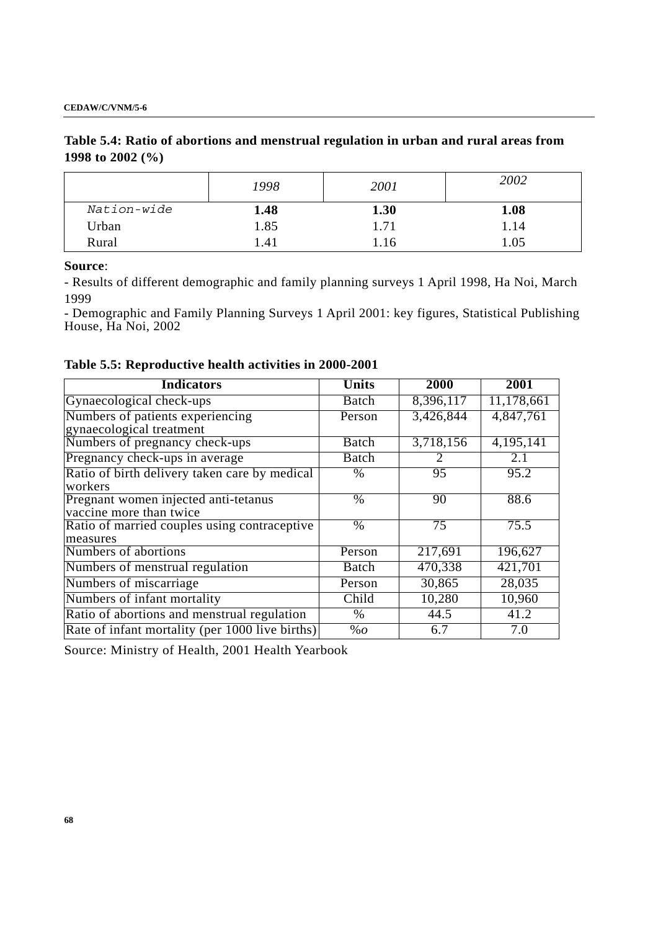# **Table 5.4: Ratio of abortions and menstrual regulation in urban and rural areas from 1998 to 2002 (%)**

|             | 1998       | 2001 | 2002 |
|-------------|------------|------|------|
| Nation-wide | 1.48       | 1.30 | 1.08 |
| Urban       | 1.85       | 1.71 | 1.14 |
| Rural       | $\cdot$ 41 | . 16 | .05  |

**Source**:

- Results of different demographic and family planning surveys 1 April 1998, Ha Noi, March 1999

- Demographic and Family Planning Surveys 1 April 2001: key figures, Statistical Publishing House, Ha Noi, 2002

|  | Table 5.5: Reproductive health activities in 2000-2001 |  |  |  |
|--|--------------------------------------------------------|--|--|--|
|--|--------------------------------------------------------|--|--|--|

| <b>Indicators</b>                                               | <b>Units</b> | 2000      | 2001              |
|-----------------------------------------------------------------|--------------|-----------|-------------------|
| Gynaecological check-ups                                        | Batch        | 8,396,117 | 11,178,661        |
| Numbers of patients experiencing<br>gynaecological treatment    | Person       | 3,426,844 | 4,847,761         |
| Numbers of pregnancy check-ups                                  | Batch        | 3,718,156 | 4,195,141         |
| Pregnancy check-ups in average                                  | Batch        |           | 2.1               |
| Ratio of birth delivery taken care by medical<br>workers        | $\%$         | 95        | 95.2              |
| Pregnant women injected anti-tetanus<br>vaccine more than twice | $\%$         | 90        | 88.6              |
| Ratio of married couples using contraceptive<br>measures        | $\%$         | 75        | 75.5              |
| Numbers of abortions                                            | Person       | 217,691   | 196,627           |
| Numbers of menstrual regulation                                 | Batch        | 470,338   | 421,701           |
| Numbers of miscarriage                                          | Person       | 30,865    | 28,035            |
| Numbers of infant mortality                                     | Child        | 10,280    | 10,960            |
| Ratio of abortions and menstrual regulation                     | $\%$         | 44.5      | $\overline{41}.2$ |
| Rate of infant mortality (per 1000 live births)                 | %            | 6.7       | 7.0               |

Source: Ministry of Health, 2001 Health Yearbook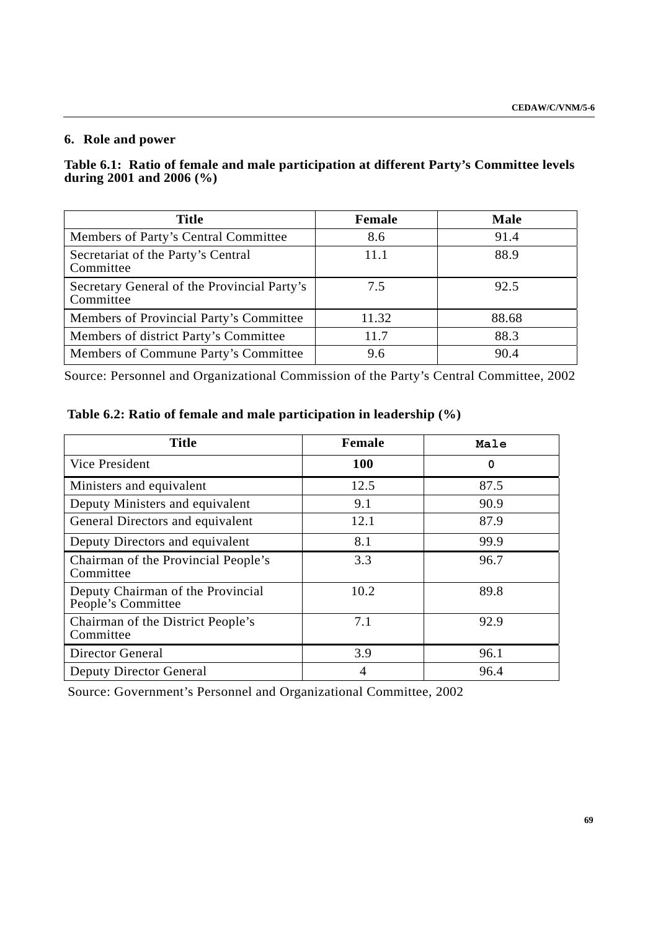# **6. Role and power**

## **Table 6.1: Ratio of female and male participation at different Party's Committee levels during 2001 and 2006 (%)**

| <b>Title</b>                                             | <b>Female</b> | <b>Male</b> |
|----------------------------------------------------------|---------------|-------------|
| Members of Party's Central Committee                     | 8.6           | 91.4        |
| Secretariat of the Party's Central<br>Committee          | 11.1          | 88.9        |
| Secretary General of the Provincial Party's<br>Committee | 7.5           | 92.5        |
| Members of Provincial Party's Committee                  | 11.32         | 88.68       |
| Members of district Party's Committee                    | 11.7          | 88.3        |
| Members of Commune Party's Committee                     | 9.6           | 90.4        |

Source: Personnel and Organizational Commission of the Party's Central Committee, 2002

| <b>Title</b>                                            | Female     | Male |
|---------------------------------------------------------|------------|------|
| Vice President                                          | <b>100</b> | 0    |
| Ministers and equivalent                                | 12.5       | 87.5 |
| Deputy Ministers and equivalent                         | 9.1        | 90.9 |
| General Directors and equivalent                        | 12.1       | 87.9 |
| Deputy Directors and equivalent                         | 8.1        | 99.9 |
| Chairman of the Provincial People's<br>Committee        | 3.3        | 96.7 |
| Deputy Chairman of the Provincial<br>People's Committee | 10.2       | 89.8 |
| Chairman of the District People's<br>Committee          | 7.1        | 92.9 |
| <b>Director General</b>                                 | 3.9        | 96.1 |
| Deputy Director General                                 | 4          | 96.4 |

Source: Government's Personnel and Organizational Committee, 2002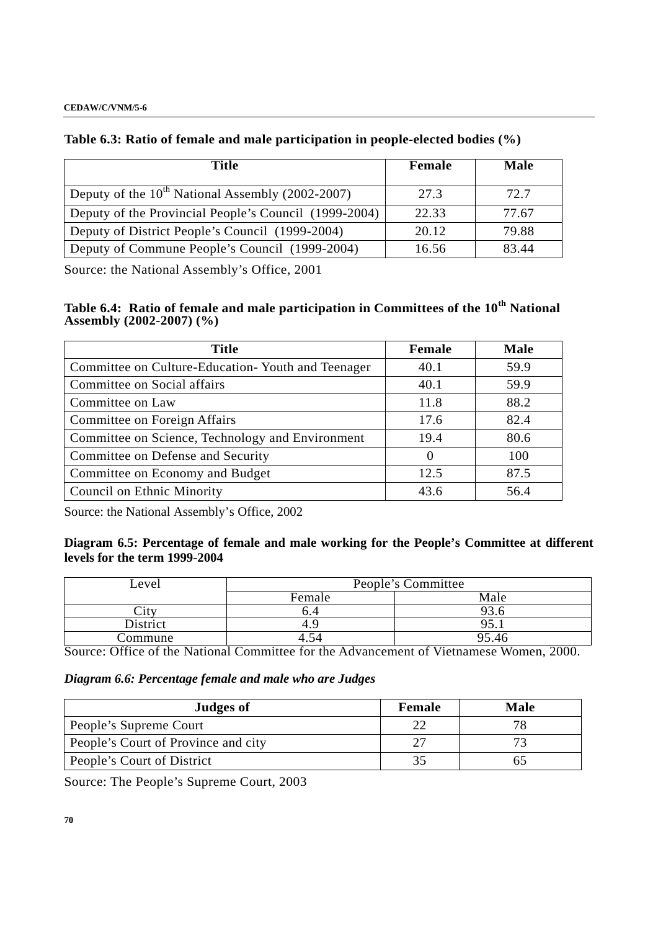## **Table 6.3: Ratio of female and male participation in people-elected bodies (%)**

| Title                                                 | Female | Male  |
|-------------------------------------------------------|--------|-------|
| Deputy of the $10^{th}$ National Assembly (2002-2007) | 27.3   | 72.7  |
| Deputy of the Provincial People's Council (1999-2004) | 22.33  | 77.67 |
| Deputy of District People's Council (1999-2004)       | 20.12  | 79.88 |
| Deputy of Commune People's Council (1999-2004)        | 16.56  | 83.44 |

Source: the National Assembly's Office, 2001

# **Table 6.4: Ratio of female and male participation in Committees of the 10th National Assembly (2002-2007) (%)**

| <b>Title</b>                                      | Female   | <b>Male</b> |
|---------------------------------------------------|----------|-------------|
| Committee on Culture-Education-Youth and Teenager | 40.1     | 59.9        |
| Committee on Social affairs                       | 40.1     | 59.9        |
| Committee on Law                                  | 11.8     | 88.2        |
| Committee on Foreign Affairs                      | 17.6     | 82.4        |
| Committee on Science, Technology and Environment  | 19.4     | 80.6        |
| Committee on Defense and Security                 | $\Omega$ | 100         |
| Committee on Economy and Budget                   | 12.5     | 87.5        |
| Council on Ethnic Minority                        | 43.6     | 56.4        |

Source: the National Assembly's Office, 2002

## **Diagram 6.5: Percentage of female and male working for the People's Committee at different levels for the term 1999-2004**

| Level             | People's Committee |       |  |  |  |  |  |
|-------------------|--------------------|-------|--|--|--|--|--|
|                   | Female             | Male  |  |  |  |  |  |
| $\mathcal{L}1$ tv |                    | フノ・し  |  |  |  |  |  |
| District          | 4.                 |       |  |  |  |  |  |
| Commune           | 4.J4               | 95.46 |  |  |  |  |  |

Source: Office of the National Committee for the Advancement of Vietnamese Women, 2000.

*Diagram 6.6: Percentage female and male who are Judges* 

| Judges of                           | Female | Male |
|-------------------------------------|--------|------|
| People's Supreme Court              |        |      |
| People's Court of Province and city |        |      |
| People's Court of District          |        |      |

Source: The People's Supreme Court, 2003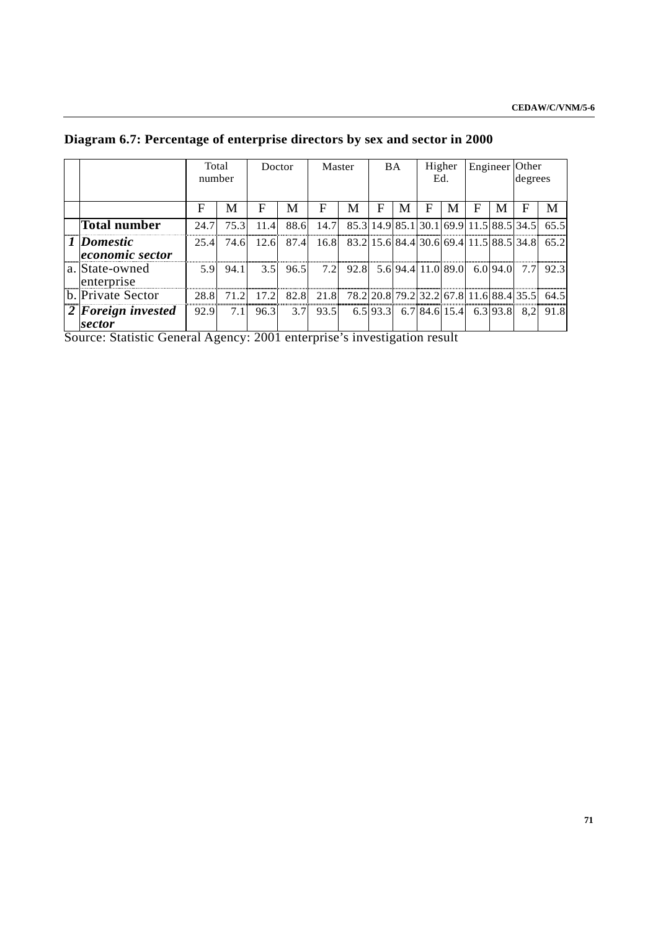|                                       | Total<br>number | Doctor   |      | Master |      | <b>BA</b>                               |   | Higher<br>Ed. |                                 | Engineer Other |  | degrees  |     |                                              |
|---------------------------------------|-----------------|----------|------|--------|------|-----------------------------------------|---|---------------|---------------------------------|----------------|--|----------|-----|----------------------------------------------|
|                                       | F               | M        | F    | М      | F    | M                                       | F | M             | F                               | М              |  | M        | F   |                                              |
| <b>Total number</b>                   | 24.7            | 75.3     | 11.4 | 88.6   | 14.7 | 85.3 14.9 85.1 30.1 69.9 11.5 88.5 34.5 |   |               |                                 |                |  |          |     | 65.5                                         |
| 1 Domestic<br><i>economic sector</i>  | 25.4            | 74.6     | 12.6 | 87.4   | 16.8 |                                         |   |               |                                 |                |  |          |     | 83.2 15.6 84.4 30.6 69.4 11.5 88.5 34.8 65.2 |
| a. State-owned<br>enterprise          |                 | 5.9 94.1 | 3.5  | 96.5   | 7.2  | 92.8 5.6 94.4 11.0 89.0                 |   |               |                                 |                |  | 6.0 94.0 | 7.7 | 92.3                                         |
| b. Private Sector                     | 28.8            | 71 2.I   | 17.2 | 82.8   | 21.8 |                                         |   |               |                                 |                |  |          |     | 78.2 20.8 79.2 32.2 67.8 11.6 88.4 35.5 64.5 |
| $2$ <i>Foreign invested</i><br>sector | 92.9            | 7.11     | 96.3 | 3.7    | 93.5 |                                         |   |               | 6.5 93.3 6.7 84.6 15.4 6.3 93.8 |                |  |          | 8.2 | 91.8                                         |

**Diagram 6.7: Percentage of enterprise directors by sex and sector in 2000** 

Source: Statistic General Agency: 2001 enterprise's investigation result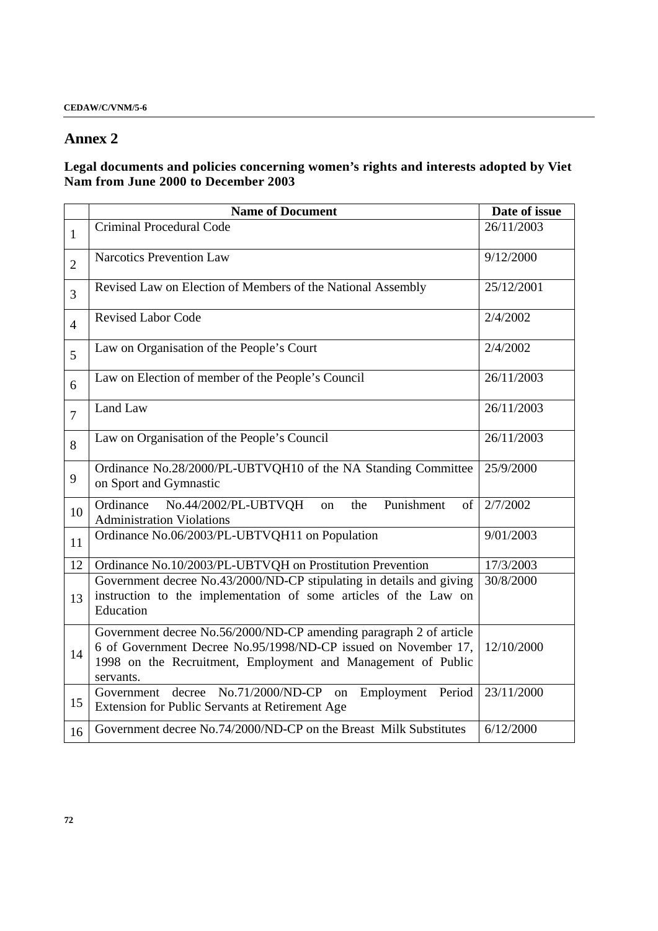# **Annex 2**

## **Legal documents and policies concerning women's rights and interests adopted by Viet Nam from June 2000 to December 2003**

|                | <b>Name of Document</b>                                                                                                                                                                                           | Date of issue |  |  |  |
|----------------|-------------------------------------------------------------------------------------------------------------------------------------------------------------------------------------------------------------------|---------------|--|--|--|
| $\mathbf{1}$   | Criminal Procedural Code                                                                                                                                                                                          | 26/11/2003    |  |  |  |
| $\overline{2}$ | <b>Narcotics Prevention Law</b>                                                                                                                                                                                   | 9/12/2000     |  |  |  |
| $\overline{3}$ | Revised Law on Election of Members of the National Assembly                                                                                                                                                       | 25/12/2001    |  |  |  |
| $\overline{4}$ | <b>Revised Labor Code</b>                                                                                                                                                                                         | 2/4/2002      |  |  |  |
| 5              | Law on Organisation of the People's Court                                                                                                                                                                         | 2/4/2002      |  |  |  |
| 6              | Law on Election of member of the People's Council                                                                                                                                                                 | 26/11/2003    |  |  |  |
| $\overline{7}$ | Land Law                                                                                                                                                                                                          | 26/11/2003    |  |  |  |
| 8              | Law on Organisation of the People's Council                                                                                                                                                                       | 26/11/2003    |  |  |  |
| 9              | Ordinance No.28/2000/PL-UBTVQH10 of the NA Standing Committee<br>on Sport and Gymnastic                                                                                                                           | 25/9/2000     |  |  |  |
| 10             | Punishment<br>No.44/2002/PL-UBTVQH<br>Ordinance<br>the<br>of<br>on<br><b>Administration Violations</b>                                                                                                            | 2/7/2002      |  |  |  |
| 11             | Ordinance No.06/2003/PL-UBTVQH11 on Population                                                                                                                                                                    | 9/01/2003     |  |  |  |
| 12             | Ordinance No.10/2003/PL-UBTVQH on Prostitution Prevention                                                                                                                                                         | 17/3/2003     |  |  |  |
| 13             | Government decree No.43/2000/ND-CP stipulating in details and giving<br>instruction to the implementation of some articles of the Law on<br>Education                                                             | 30/8/2000     |  |  |  |
| 14             | Government decree No.56/2000/ND-CP amending paragraph 2 of article<br>6 of Government Decree No.95/1998/ND-CP issued on November 17,<br>1998 on the Recruitment, Employment and Management of Public<br>servants. | 12/10/2000    |  |  |  |
| 15             | Government decree No.71/2000/ND-CP on<br>Employment Period<br>Extension for Public Servants at Retirement Age                                                                                                     | 23/11/2000    |  |  |  |
| 16             | Government decree No.74/2000/ND-CP on the Breast Milk Substitutes                                                                                                                                                 | 6/12/2000     |  |  |  |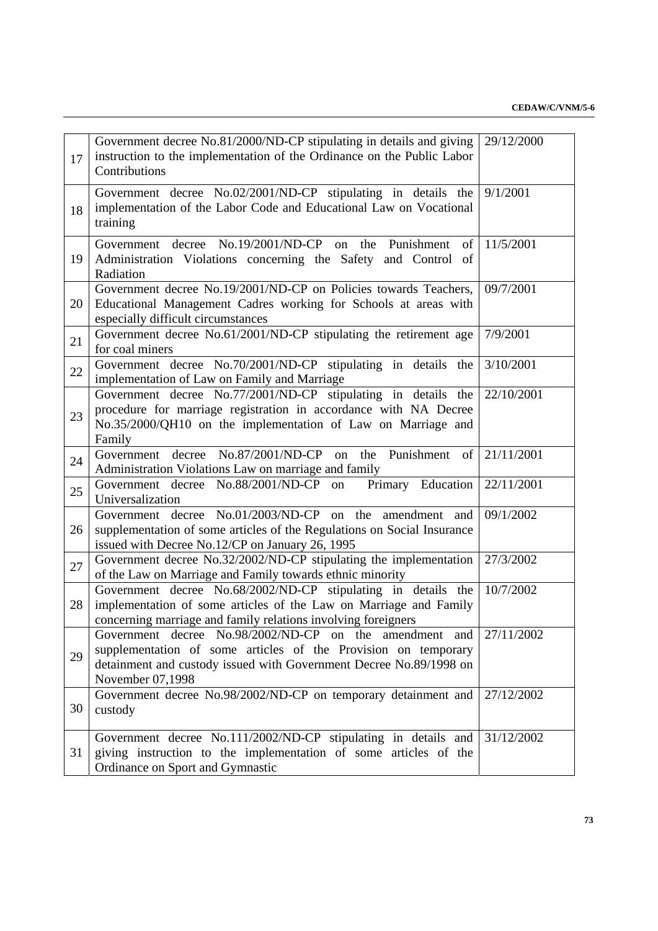| 17 | Government decree No.81/2000/ND-CP stipulating in details and giving<br>instruction to the implementation of the Ordinance on the Public Labor<br>Contributions                                                     | 29/12/2000 |
|----|---------------------------------------------------------------------------------------------------------------------------------------------------------------------------------------------------------------------|------------|
| 18 | Government decree No.02/2001/ND-CP stipulating in details the<br>implementation of the Labor Code and Educational Law on Vocational<br>training                                                                     | 9/1/2001   |
| 19 | Government decree No.19/2001/ND-CP on the Punishment<br>of  <br>Administration Violations concerning the Safety and Control of<br>Radiation                                                                         | 11/5/2001  |
| 20 | Government decree No.19/2001/ND-CP on Policies towards Teachers,<br>Educational Management Cadres working for Schools at areas with<br>especially difficult circumstances                                           | 09/7/2001  |
| 21 | Government decree No.61/2001/ND-CP stipulating the retirement age<br>for coal miners                                                                                                                                | 7/9/2001   |
| 22 | Government decree No.70/2001/ND-CP stipulating in details the<br>implementation of Law on Family and Marriage                                                                                                       | 3/10/2001  |
| 23 | Government decree No.77/2001/ND-CP stipulating in details the<br>procedure for marriage registration in accordance with NA Decree<br>No.35/2000/QH10 on the implementation of Law on Marriage and<br>Family         | 22/10/2001 |
| 24 | decree $No.87/2001/ND-CP$ on<br>Punishment<br>the<br>Government<br>of<br>Administration Violations Law on marriage and family                                                                                       | 21/11/2001 |
| 25 | Primary Education<br>Government decree No.88/2001/ND-CP on<br>Universalization                                                                                                                                      | 22/11/2001 |
| 26 | Government decree No.01/2003/ND-CP on the amendment and<br>supplementation of some articles of the Regulations on Social Insurance<br>issued with Decree No.12/CP on January 26, 1995                               | 09/1/2002  |
| 27 | Government decree No.32/2002/ND-CP stipulating the implementation<br>of the Law on Marriage and Family towards ethnic minority                                                                                      | 27/3/2002  |
| 28 | Government decree No.68/2002/ND-CP stipulating in details the<br>implementation of some articles of the Law on Marriage and Family<br>concerning marriage and family relations involving foreigners                 | 10/7/2002  |
| 29 | Government decree No.98/2002/ND-CP on the amendment and<br>supplementation of some articles of the Provision on temporary<br>detainment and custody issued with Government Decree No.89/1998 on<br>November 07,1998 | 27/11/2002 |
| 30 | Government decree No.98/2002/ND-CP on temporary detainment and<br>custody                                                                                                                                           | 27/12/2002 |
| 31 | Government decree No.111/2002/ND-CP stipulating in details and<br>giving instruction to the implementation of some articles of the<br>Ordinance on Sport and Gymnastic                                              | 31/12/2002 |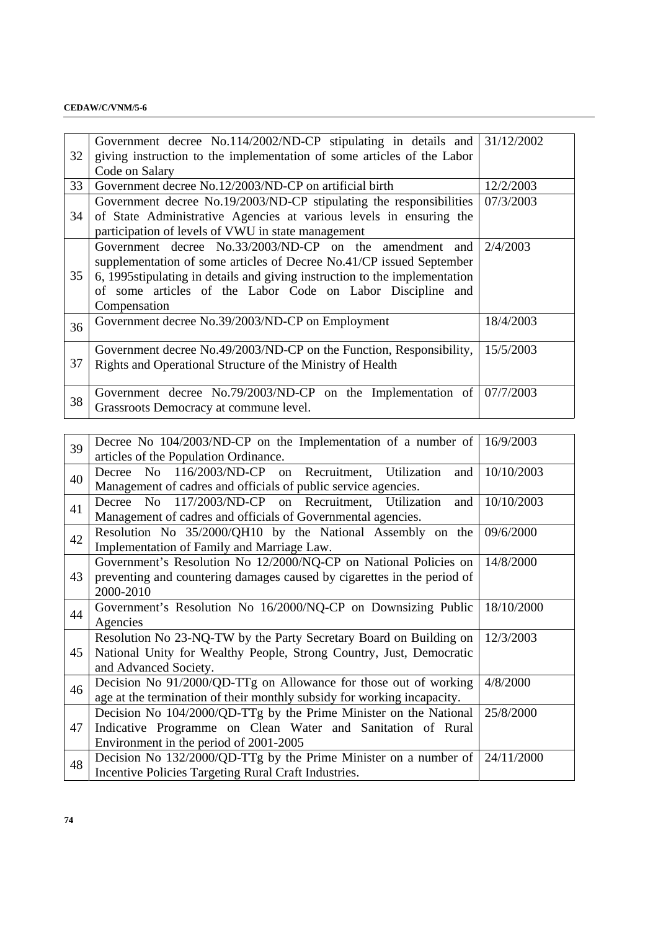## **CEDAW/C/VNM/5-6**

| 32 | Government decree No.114/2002/ND-CP stipulating in details and 31/12/2002   |           |
|----|-----------------------------------------------------------------------------|-----------|
|    | giving instruction to the implementation of some articles of the Labor      |           |
|    | Code on Salary                                                              |           |
| 33 | Government decree No.12/2003/ND-CP on artificial birth                      | 12/2/2003 |
|    | Government decree No.19/2003/ND-CP stipulating the responsibilities         | 07/3/2003 |
| 34 | of State Administrative Agencies at various levels in ensuring the          |           |
|    | participation of levels of VWU in state management                          |           |
|    | Government decree $\text{No.33/2003/ND-CP}$ on the amendment and            | 2/4/2003  |
|    | supplementation of some articles of Decree No.41/CP issued September        |           |
| 35 | 6, 1995 stipulating in details and giving instruction to the implementation |           |
|    | of some articles of the Labor Code on Labor Discipline and                  |           |
|    | Compensation                                                                |           |
| 36 | Government decree No.39/2003/ND-CP on Employment                            | 18/4/2003 |
|    |                                                                             |           |
|    | Government decree No.49/2003/ND-CP on the Function, Responsibility,         | 15/5/2003 |
| 37 | Rights and Operational Structure of the Ministry of Health                  |           |
|    |                                                                             |           |
| 38 | Government decree No.79/2003/ND-CP on the Implementation of $07/7/2003$     |           |
|    | Grassroots Democracy at commune level.                                      |           |
|    |                                                                             |           |

| 39 | Decree No $104/2003/ND$ -CP on the Implementation of a number of $\left( \frac{16}{9/2003} \right)$ |            |
|----|-----------------------------------------------------------------------------------------------------|------------|
|    | articles of the Population Ordinance.                                                               |            |
| 40 | Decree No 116/2003/ND-CP on Recruitment, Utilization<br>and                                         | 10/10/2003 |
|    | Management of cadres and officials of public service agencies.                                      |            |
| 41 | Decree No 117/2003/ND-CP on Recruitment, Utilization<br>and                                         | 10/10/2003 |
|    | Management of cadres and officials of Governmental agencies.                                        |            |
| 42 | Resolution No 35/2000/QH10 by the National Assembly on the                                          | 09/6/2000  |
|    | Implementation of Family and Marriage Law.                                                          |            |
|    | Government's Resolution No 12/2000/NQ-CP on National Policies on                                    | 14/8/2000  |
| 43 | preventing and countering damages caused by cigarettes in the period of                             |            |
|    | 2000-2010                                                                                           |            |
| 44 | Government's Resolution No 16/2000/NQ-CP on Downsizing Public                                       | 18/10/2000 |
|    | Agencies                                                                                            |            |
|    | Resolution No 23-NQ-TW by the Party Secretary Board on Building on                                  | 12/3/2003  |
| 45 | National Unity for Wealthy People, Strong Country, Just, Democratic                                 |            |
|    | and Advanced Society.                                                                               |            |
|    | Decision No 91/2000/QD-TTg on Allowance for those out of working                                    | 4/8/2000   |
| 46 | age at the termination of their monthly subsidy for working incapacity.                             |            |
|    | Decision No 104/2000/QD-TTg by the Prime Minister on the National                                   | 25/8/2000  |
| 47 | Indicative Programme on Clean Water and Sanitation of Rural                                         |            |
|    | Environment in the period of 2001-2005                                                              |            |
| 48 | Decision No 132/2000/QD-TTg by the Prime Minister on a number of                                    | 24/11/2000 |
|    | Incentive Policies Targeting Rural Craft Industries.                                                |            |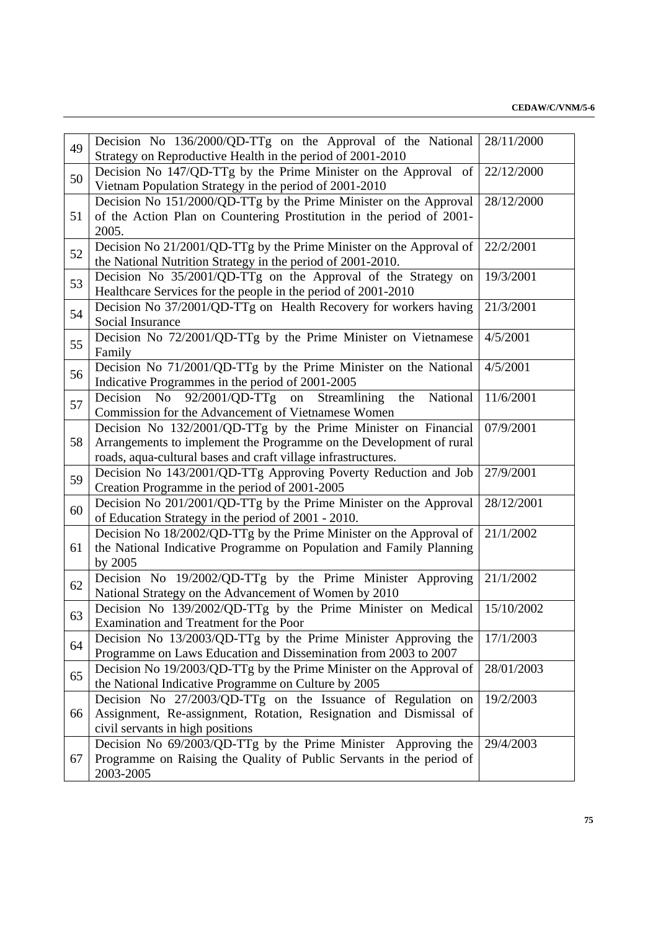| 49 | Decision No 136/2000/QD-TTg on the Approval of the National                                                                           | 28/11/2000 |
|----|---------------------------------------------------------------------------------------------------------------------------------------|------------|
|    | Strategy on Reproductive Health in the period of 2001-2010                                                                            |            |
| 50 | Decision No 147/QD-TTg by the Prime Minister on the Approval of                                                                       | 22/12/2000 |
|    | Vietnam Population Strategy in the period of 2001-2010<br>Decision No 151/2000/QD-TTg by the Prime Minister on the Approval           | 28/12/2000 |
| 51 | of the Action Plan on Countering Prostitution in the period of 2001-                                                                  |            |
|    | 2005.                                                                                                                                 |            |
| 52 | Decision No 21/2001/QD-TTg by the Prime Minister on the Approval of                                                                   | 22/2/2001  |
|    | the National Nutrition Strategy in the period of 2001-2010.                                                                           |            |
| 53 | Decision No 35/2001/QD-TTg on the Approval of the Strategy on                                                                         | 19/3/2001  |
| 54 | Healthcare Services for the people in the period of 2001-2010                                                                         |            |
|    | Decision No 37/2001/QD-TTg on Health Recovery for workers having                                                                      | 21/3/2001  |
|    | Social Insurance                                                                                                                      |            |
| 55 | Decision No 72/2001/QD-TTg by the Prime Minister on Vietnamese<br>Family                                                              | 4/5/2001   |
| 56 | Decision No 71/2001/QD-TTg by the Prime Minister on the National                                                                      | 4/5/2001   |
|    | Indicative Programmes in the period of 2001-2005                                                                                      |            |
| 57 | $92/2001/QD-TTg$ on<br>N <sub>o</sub><br>Streamlining<br>National<br>Decision<br>the                                                  | 11/6/2001  |
|    | Commission for the Advancement of Vietnamese Women                                                                                    | 07/9/2001  |
| 58 | Decision No 132/2001/QD-TTg by the Prime Minister on Financial<br>Arrangements to implement the Programme on the Development of rural |            |
|    | roads, aqua-cultural bases and craft village infrastructures.                                                                         |            |
|    | Decision No 143/2001/QD-TTg Approving Poverty Reduction and Job                                                                       | 27/9/2001  |
| 59 | Creation Programme in the period of 2001-2005                                                                                         |            |
|    | Decision No 201/2001/QD-TTg by the Prime Minister on the Approval                                                                     | 28/12/2001 |
| 60 | of Education Strategy in the period of 2001 - 2010.                                                                                   |            |
|    | Decision No 18/2002/QD-TTg by the Prime Minister on the Approval of                                                                   | 21/1/2002  |
| 61 | the National Indicative Programme on Population and Family Planning                                                                   |            |
|    | by 2005                                                                                                                               |            |
| 62 | Decision No 19/2002/QD-TTg by the Prime Minister Approving                                                                            | 21/1/2002  |
|    | National Strategy on the Advancement of Women by 2010                                                                                 |            |
| 63 | Decision No 139/2002/QD-TTg by the Prime Minister on Medical                                                                          | 15/10/2002 |
|    | Examination and Treatment for the Poor<br>Decision No 13/2003/QD-TTg by the Prime Minister Approving the                              | 17/1/2003  |
| 64 | Programme on Laws Education and Dissemination from 2003 to 2007                                                                       |            |
|    | Decision No 19/2003/QD-TTg by the Prime Minister on the Approval of                                                                   | 28/01/2003 |
| 65 | the National Indicative Programme on Culture by 2005                                                                                  |            |
| 66 | Decision No 27/2003/QD-TTg on the Issuance of Regulation on                                                                           | 19/2/2003  |
|    | Assignment, Re-assignment, Rotation, Resignation and Dismissal of                                                                     |            |
|    | civil servants in high positions                                                                                                      |            |
| 67 | Decision No 69/2003/QD-TTg by the Prime Minister Approving the                                                                        | 29/4/2003  |
|    | Programme on Raising the Quality of Public Servants in the period of                                                                  |            |
|    | 2003-2005                                                                                                                             |            |